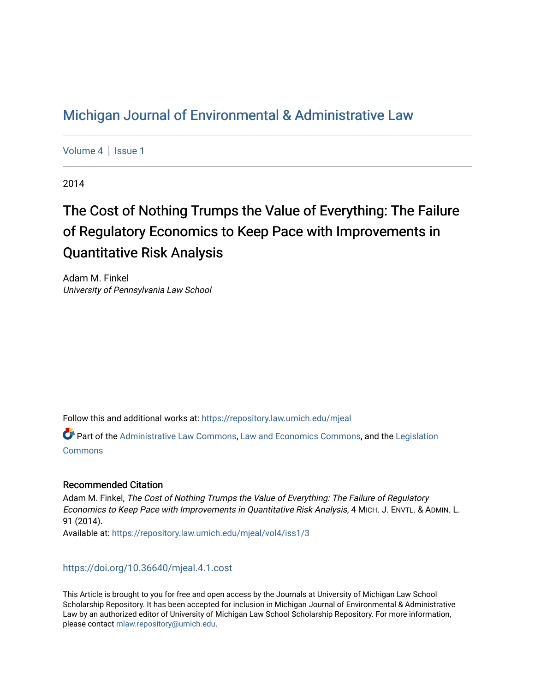## [Michigan Journal of Environmental & Administrative Law](https://repository.law.umich.edu/mjeal)

[Volume 4](https://repository.law.umich.edu/mjeal/vol4) | Issue 1

2014

# The Cost of Nothing Trumps the Value of Everything: The Failure of Regulatory Economics to Keep Pace with Improvements in Quantitative Risk Analysis

Adam M. Finkel University of Pennsylvania Law School

Follow this and additional works at: [https://repository.law.umich.edu/mjeal](https://repository.law.umich.edu/mjeal?utm_source=repository.law.umich.edu%2Fmjeal%2Fvol4%2Fiss1%2F3&utm_medium=PDF&utm_campaign=PDFCoverPages)

Part of the [Administrative Law Commons,](http://network.bepress.com/hgg/discipline/579?utm_source=repository.law.umich.edu%2Fmjeal%2Fvol4%2Fiss1%2F3&utm_medium=PDF&utm_campaign=PDFCoverPages) [Law and Economics Commons](http://network.bepress.com/hgg/discipline/612?utm_source=repository.law.umich.edu%2Fmjeal%2Fvol4%2Fiss1%2F3&utm_medium=PDF&utm_campaign=PDFCoverPages), and the [Legislation](http://network.bepress.com/hgg/discipline/859?utm_source=repository.law.umich.edu%2Fmjeal%2Fvol4%2Fiss1%2F3&utm_medium=PDF&utm_campaign=PDFCoverPages)  [Commons](http://network.bepress.com/hgg/discipline/859?utm_source=repository.law.umich.edu%2Fmjeal%2Fvol4%2Fiss1%2F3&utm_medium=PDF&utm_campaign=PDFCoverPages)

#### Recommended Citation

Adam M. Finkel, The Cost of Nothing Trumps the Value of Everything: The Failure of Regulatory Economics to Keep Pace with Improvements in Quantitative Risk Analysis, 4 MICH. J. ENVTL. & ADMIN. L. 91 (2014). Available at: [https://repository.law.umich.edu/mjeal/vol4/iss1/3](https://repository.law.umich.edu/mjeal/vol4/iss1/3?utm_source=repository.law.umich.edu%2Fmjeal%2Fvol4%2Fiss1%2F3&utm_medium=PDF&utm_campaign=PDFCoverPages)

<https://doi.org/10.36640/mjeal.4.1.cost>

This Article is brought to you for free and open access by the Journals at University of Michigan Law School Scholarship Repository. It has been accepted for inclusion in Michigan Journal of Environmental & Administrative Law by an authorized editor of University of Michigan Law School Scholarship Repository. For more information, please contact [mlaw.repository@umich.edu.](mailto:mlaw.repository@umich.edu)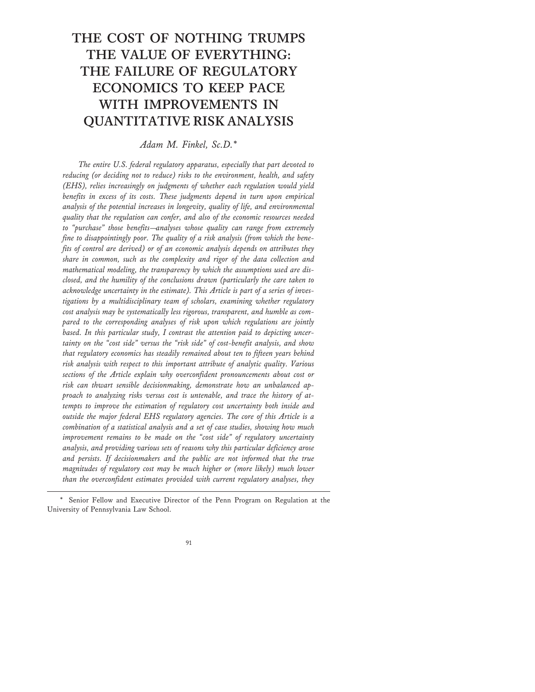## **THE COST OF NOTHING TRUMPS THE VALUE OF EVERYTHING: THE FAILURE OF REGULATORY ECONOMICS TO KEEP PACE WITH IMPROVEMENTS IN QUANTITATIVE RISK ANALYSIS**

*Adam M. Finkel, Sc.D.\**

*The entire U.S. federal regulatory apparatus, especially that part devoted to reducing (or deciding not to reduce) risks to the environment, health, and safety (EHS), relies increasingly on judgments of whether each regulation would yield benefits in excess of its costs. These judgments depend in turn upon empirical analysis of the potential increases in longevity, quality of life, and environmental quality that the regulation can confer, and also of the economic resources needed to "purchase" those benefits—analyses whose quality can range from extremely fine to disappointingly poor. The quality of a risk analysis (from which the benefits of control are derived) or of an economic analysis depends on attributes they share in common, such as the complexity and rigor of the data collection and mathematical modeling, the transparency by which the assumptions used are disclosed, and the humility of the conclusions drawn (particularly the care taken to acknowledge uncertainty in the estimate). This Article is part of a series of investigations by a multidisciplinary team of scholars, examining whether regulatory cost analysis may be systematically less rigorous, transparent, and humble as compared to the corresponding analyses of risk upon which regulations are jointly based. In this particular study, I contrast the attention paid to depicting uncertainty on the "cost side" versus the "risk side" of cost-benefit analysis, and show that regulatory economics has steadily remained about ten to fifteen years behind risk analysis with respect to this important attribute of analytic quality. Various sections of the Article explain why overconfident pronouncements about cost or risk can thwart sensible decisionmaking, demonstrate how an unbalanced approach to analyzing risks versus cost is untenable, and trace the history of attempts to improve the estimation of regulatory cost uncertainty both inside and outside the major federal EHS regulatory agencies. The core of this Article is a combination of a statistical analysis and a set of case studies, showing how much improvement remains to be made on the "cost side" of regulatory uncertainty analysis, and providing various sets of reasons why this particular deficiency arose and persists. If decisionmakers and the public are not informed that the true magnitudes of regulatory cost may be much higher or (more likely) much lower than the overconfident estimates provided with current regulatory analyses, they*

<sup>\*</sup> Senior Fellow and Executive Director of the Penn Program on Regulation at the University of Pennsylvania Law School.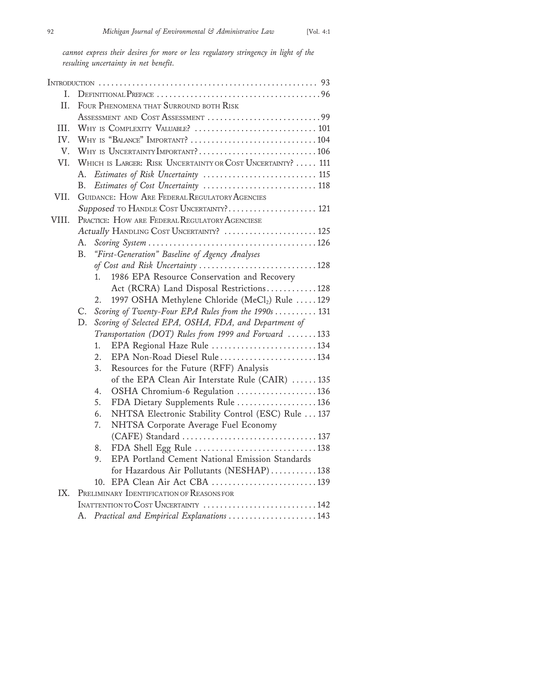*cannot express their desires for more or less regulatory stringency in light of the resulting uncertainty in net benefit.*

| I.    |                                                                  |
|-------|------------------------------------------------------------------|
| II.   | FOUR PHENOMENA THAT SURROUND BOTH RISK                           |
|       | ASSESSMENT AND COST ASSESSMENT 99                                |
| III.  |                                                                  |
| IV.   |                                                                  |
| V.    |                                                                  |
| VI.   | WHICH IS LARGER: RISK UNCERTAINTY OR COST UNCERTAINTY?  111      |
|       | Estimates of Risk Uncertainty  115<br>А.                         |
|       | Estimates of Cost Uncertainty  118<br>В.                         |
| VII.  | <b>GUIDANCE: HOW ARE FEDERAL REGULATORY AGENCIES</b>             |
|       | Supposed TO HANDLE COST UNCERTAINTY? 121                         |
| VIII. | PRACTICE: HOW ARE FEDERAL REGULATORY AGENCIESE                   |
|       | Actually HANDLING COST UNCERTAINTY?  125                         |
|       | А.                                                               |
|       | "First-Generation" Baseline of Agency Analyses<br><b>B.</b>      |
|       | of Cost and Risk Uncertainty 128                                 |
|       | 1986 EPA Resource Conservation and Recovery<br>1 <sub>1</sub>    |
|       | Act (RCRA) Land Disposal Restrictions128                         |
|       | 1997 OSHA Methylene Chloride (MeCl <sub>2</sub> ) Rule 129<br>2. |
|       | Scoring of Twenty-Four EPA Rules from the 1990s  131<br>C.       |
|       | Scoring of Selected EPA, OSHA, FDA, and Department of<br>D.      |
|       | Transportation (DOT) Rules from 1999 and Forward 133             |
|       | EPA Regional Haze Rule 134<br>1.                                 |
|       | EPA Non-Road Diesel Rule134<br>2.                                |
|       | 3.<br>Resources for the Future (RFF) Analysis                    |
|       | of the EPA Clean Air Interstate Rule (CAIR)  135                 |
|       | OSHA Chromium-6 Regulation 136<br>4.                             |
|       | 5.<br>FDA Dietary Supplements Rule 136                           |
|       | 6.<br>NHTSA Electronic Stability Control (ESC) Rule  137         |
|       | 7.<br>NHTSA Corporate Average Fuel Economy                       |
|       |                                                                  |
|       | 8.                                                               |
|       | EPA Portland Cement National Emission Standards<br>9.            |
|       | for Hazardous Air Pollutants (NESHAP)138                         |
|       | 10.                                                              |
| IX.   | PRELIMINARY IDENTIFICATION OF REASONS FOR                        |
|       |                                                                  |
|       | A. Practical and Empirical Explanations 143                      |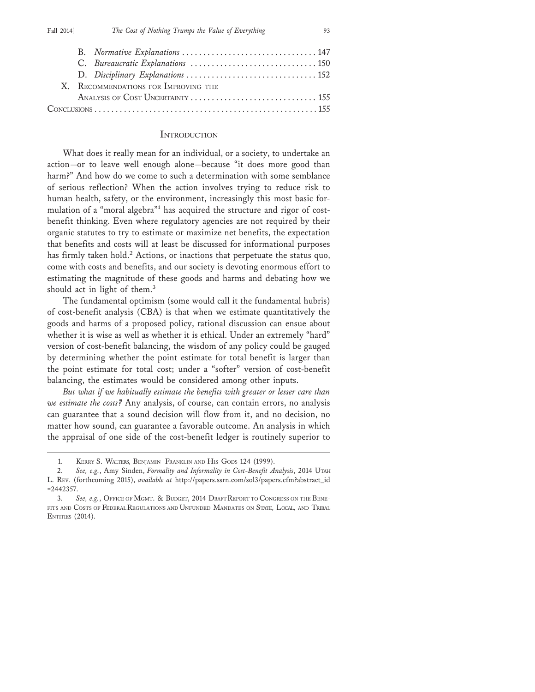| X. RECOMMENDATIONS FOR IMPROVING THE |  |
|--------------------------------------|--|
|                                      |  |
|                                      |  |

#### **INTRODUCTION**

What does it really mean for an individual, or a society, to undertake an action—or to leave well enough alone—because "it does more good than harm?" And how do we come to such a determination with some semblance of serious reflection? When the action involves trying to reduce risk to human health, safety, or the environment, increasingly this most basic formulation of a "moral algebra"<sup>1</sup> has acquired the structure and rigor of costbenefit thinking. Even where regulatory agencies are not required by their organic statutes to try to estimate or maximize net benefits, the expectation that benefits and costs will at least be discussed for informational purposes has firmly taken hold.<sup>2</sup> Actions, or inactions that perpetuate the status quo, come with costs and benefits, and our society is devoting enormous effort to estimating the magnitude of these goods and harms and debating how we should act in light of them.<sup>3</sup>

The fundamental optimism (some would call it the fundamental hubris) of cost-benefit analysis (CBA) is that when we estimate quantitatively the goods and harms of a proposed policy, rational discussion can ensue about whether it is wise as well as whether it is ethical. Under an extremely "hard" version of cost-benefit balancing, the wisdom of any policy could be gauged by determining whether the point estimate for total benefit is larger than the point estimate for total cost; under a "softer" version of cost-benefit balancing, the estimates would be considered among other inputs.

*But what if we habitually estimate the benefits with greater or lesser care than we estimate the costs?* Any analysis, of course, can contain errors, no analysis can guarantee that a sound decision will flow from it, and no decision, no matter how sound, can guarantee a favorable outcome. An analysis in which the appraisal of one side of the cost-benefit ledger is routinely superior to

<sup>1.</sup> KERRY S. WALTERS, BENJAMIN FRANKLIN AND HIS GODS 124 (1999).

<sup>2.</sup> *See, e.g.*, Amy Sinden, *Formality and Informality in Cost-Benefit Analysis*, 2014 UTAH L. REV. (forthcoming 2015), *available at* http://papers.ssrn.com/sol3/papers.cfm?abstract\_id =2442357.

<sup>3.</sup> *See, e.g.*, OFFICE OF MGMT. & BUDGET, 2014 DRAFT REPORT TO CONGRESS ON THE BENE-FITS AND COSTS OF FEDERAL REGULATIONS AND UNFUNDED MANDATES ON STATE, LOCAL, AND TRIBAL **ENTITIES** (2014).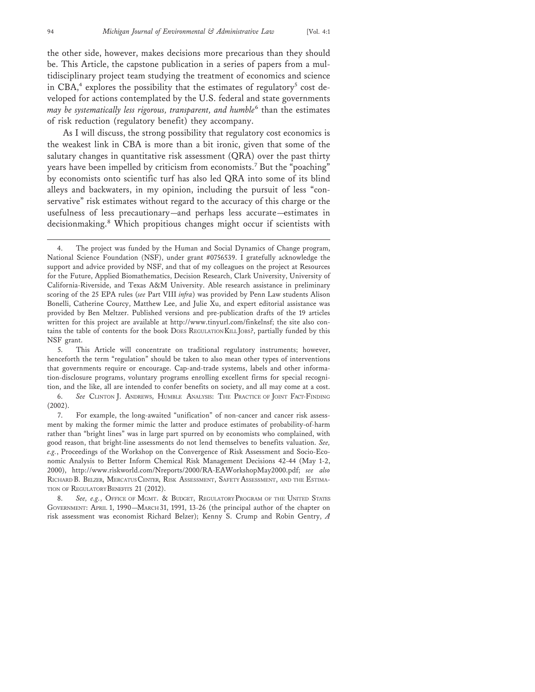the other side, however, makes decisions more precarious than they should be. This Article, the capstone publication in a series of papers from a multidisciplinary project team studying the treatment of economics and science in CBA,<sup>4</sup> explores the possibility that the estimates of regulatory<sup>5</sup> cost developed for actions contemplated by the U.S. federal and state governments *may be systematically less rigorous, transparent, and humble*<sup>6</sup> than the estimates of risk reduction (regulatory benefit) they accompany.

As I will discuss, the strong possibility that regulatory cost economics is the weakest link in CBA is more than a bit ironic, given that some of the salutary changes in quantitative risk assessment (QRA) over the past thirty years have been impelled by criticism from economists.<sup>7</sup> But the "poaching" by economists onto scientific turf has also led QRA into some of its blind alleys and backwaters, in my opinion, including the pursuit of less "conservative" risk estimates without regard to the accuracy of this charge or the usefulness of less precautionary—and perhaps less accurate—estimates in decisionmaking.<sup>8</sup> Which propitious changes might occur if scientists with

5. This Article will concentrate on traditional regulatory instruments; however, henceforth the term "regulation" should be taken to also mean other types of interventions that governments require or encourage. Cap-and-trade systems, labels and other information-disclosure programs, voluntary programs enrolling excellent firms for special recognition, and the like, all are intended to confer benefits on society, and all may come at a cost.

<sup>4.</sup> The project was funded by the Human and Social Dynamics of Change program, National Science Foundation (NSF), under grant #0756539. I gratefully acknowledge the support and advice provided by NSF, and that of my colleagues on the project at Resources for the Future, Applied Biomathematics, Decision Research, Clark University, University of California-Riverside, and Texas A&M University. Able research assistance in preliminary scoring of the 25 EPA rules (*see* Part VIII *infra*) was provided by Penn Law students Alison Bonelli, Catherine Courcy, Matthew Lee, and Julie Xu, and expert editorial assistance was provided by Ben Meltzer. Published versions and pre-publication drafts of the 19 articles written for this project are available at http://www.tinyurl.com/finkelnsf; the site also contains the table of contents for the book DOES REGULATION KILL JOBS?, partially funded by this NSF grant.

<sup>6.</sup> *See* CLINTON J. ANDREWS, HUMBLE ANALYSIS: THE PRACTICE OF JOINT FACT-FINDING (2002).

<sup>7.</sup> For example, the long-awaited "unification" of non-cancer and cancer risk assessment by making the former mimic the latter and produce estimates of probability-of-harm rather than "bright lines" was in large part spurred on by economists who complained, with good reason, that bright-line assessments do not lend themselves to benefits valuation. *See, e.g.*, Proceedings of the Workshop on the Convergence of Risk Assessment and Socio-Economic Analysis to Better Inform Chemical Risk Management Decisions 42-44 (May 1-2, 2000), http://www.riskworld.com/Nreports/2000/RA-EAWorkshopMay2000.pdf; *see also* RICHARD B. BELZER, MERCATUS CENTER, RISK ASSESSMENT, SAFETY ASSESSMENT, AND THE ESTIMA-TION OF REGULATORY BENEFITS 21 (2012).

<sup>8.</sup> *See, e.g.*, OFFICE OF MGMT. & BUDGET, REGULATORY PROGRAM OF THE UNITED STATES GOVERNMENT: APRIL 1, 1990—MARCH 31, 1991, 13-26 (the principal author of the chapter on risk assessment was economist Richard Belzer); Kenny S. Crump and Robin Gentry, *A*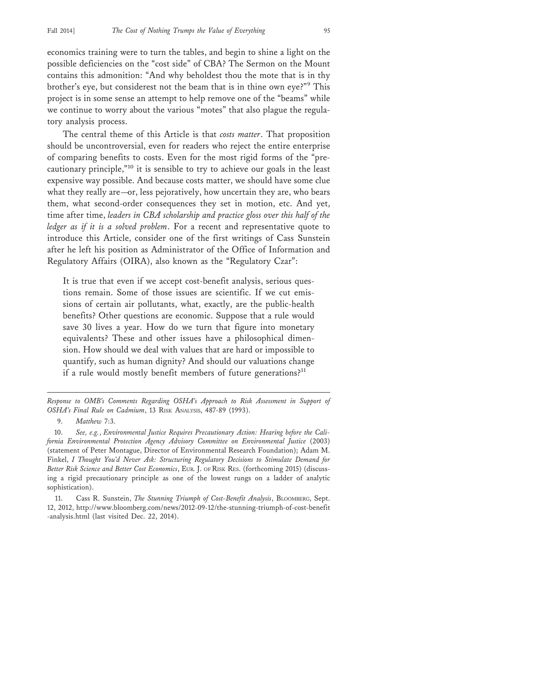economics training were to turn the tables, and begin to shine a light on the possible deficiencies on the "cost side" of CBA? The Sermon on the Mount contains this admonition: "And why beholdest thou the mote that is in thy brother's eye, but considerest not the beam that is in thine own eye?"<sup>9</sup> This project is in some sense an attempt to help remove one of the "beams" while we continue to worry about the various "motes" that also plague the regulatory analysis process.

The central theme of this Article is that *costs matter*. That proposition should be uncontroversial, even for readers who reject the entire enterprise of comparing benefits to costs. Even for the most rigid forms of the "precautionary principle,"10 it is sensible to try to achieve our goals in the least expensive way possible. And because costs matter, we should have some clue what they really are—or, less pejoratively, how uncertain they are, who bears them, what second-order consequences they set in motion, etc. And yet, time after time, *leaders in CBA scholarship and practice gloss over this half of the ledger as if it is a solved problem*. For a recent and representative quote to introduce this Article, consider one of the first writings of Cass Sunstein after he left his position as Administrator of the Office of Information and Regulatory Affairs (OIRA), also known as the "Regulatory Czar":

It is true that even if we accept cost-benefit analysis, serious questions remain. Some of those issues are scientific. If we cut emissions of certain air pollutants, what, exactly, are the public-health benefits? Other questions are economic. Suppose that a rule would save 30 lives a year. How do we turn that figure into monetary equivalents? These and other issues have a philosophical dimension. How should we deal with values that are hard or impossible to quantify, such as human dignity? And should our valuations change if a rule would mostly benefit members of future generations?<sup>11</sup>

*Response to OMB's Comments Regarding OSHA's Approach to Risk Assessment in Support of OSHA's Final Rule on Cadmium*, 13 RISK ANALYSIS, 487-89 (1993).

<sup>9.</sup> *Matthew* 7:3.

<sup>10.</sup> *See, e.g.*, *Environmental Justice Requires Precautionary Action: Hearing before the California Environmental Protection Agency Advisory Committee on Environmental Justice* (2003) (statement of Peter Montague, Director of Environmental Research Foundation); Adam M. Finkel, *I Thought You'd Never Ask: Structuring Regulatory Decisions to Stimulate Demand for Better Risk Science and Better Cost Economics*, EUR. J. OF RISK RES. (forthcoming 2015) (discussing a rigid precautionary principle as one of the lowest rungs on a ladder of analytic sophistication).

<sup>11.</sup> Cass R. Sunstein, *The Stunning Triumph of Cost-Benefit Analysis*, BLOOMBERG, Sept. 12, 2012, http://www.bloomberg.com/news/2012-09-12/the-stunning-triumph-of-cost-benefit -analysis.html (last visited Dec. 22, 2014).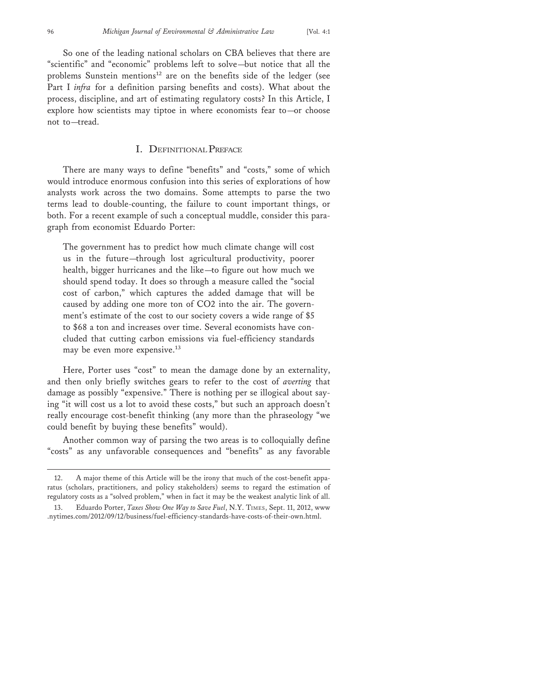So one of the leading national scholars on CBA believes that there are "scientific" and "economic" problems left to solve—but notice that all the problems Sunstein mentions<sup>12</sup> are on the benefits side of the ledger (see Part I *infra* for a definition parsing benefits and costs). What about the process, discipline, and art of estimating regulatory costs? In this Article, I explore how scientists may tiptoe in where economists fear to—or choose not to—tread.

#### I. DEFINITIONAL PREFACE

There are many ways to define "benefits" and "costs," some of which would introduce enormous confusion into this series of explorations of how analysts work across the two domains. Some attempts to parse the two terms lead to double-counting, the failure to count important things, or both. For a recent example of such a conceptual muddle, consider this paragraph from economist Eduardo Porter:

The government has to predict how much climate change will cost us in the future—through lost agricultural productivity, poorer health, bigger hurricanes and the like—to figure out how much we should spend today. It does so through a measure called the "social cost of carbon," which captures the added damage that will be caused by adding one more ton of CO2 into the air. The government's estimate of the cost to our society covers a wide range of \$5 to \$68 a ton and increases over time. Several economists have concluded that cutting carbon emissions via fuel-efficiency standards may be even more expensive.<sup>13</sup>

Here, Porter uses "cost" to mean the damage done by an externality, and then only briefly switches gears to refer to the cost of *averting* that damage as possibly "expensive." There is nothing per se illogical about saying "it will cost us a lot to avoid these costs," but such an approach doesn't really encourage cost-benefit thinking (any more than the phraseology "we could benefit by buying these benefits" would).

Another common way of parsing the two areas is to colloquially define "costs" as any unfavorable consequences and "benefits" as any favorable

<sup>12.</sup> A major theme of this Article will be the irony that much of the cost-benefit apparatus (scholars, practitioners, and policy stakeholders) seems to regard the estimation of regulatory costs as a "solved problem," when in fact it may be the weakest analytic link of all.

<sup>13.</sup> Eduardo Porter, *Taxes Show One Way to Save Fuel*, N.Y. TIMES, Sept. 11, 2012, www .nytimes.com/2012/09/12/business/fuel-efficiency-standards-have-costs-of-their-own.html.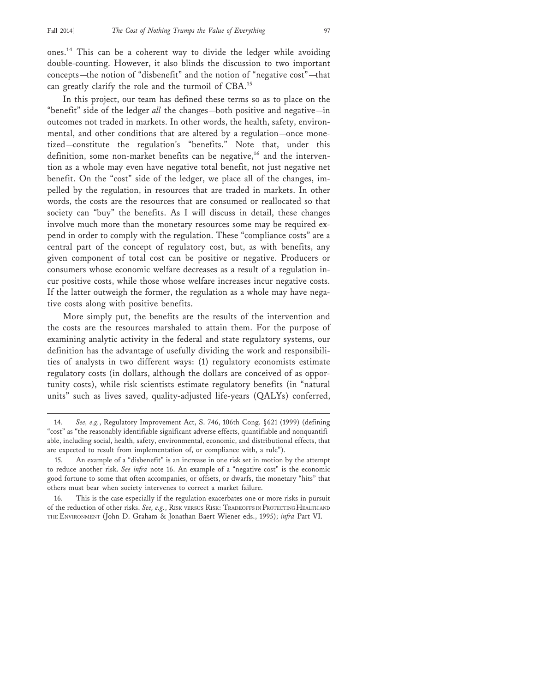ones.14 This can be a coherent way to divide the ledger while avoiding double-counting. However, it also blinds the discussion to two important concepts—the notion of "disbenefit" and the notion of "negative cost"—that can greatly clarify the role and the turmoil of CBA.<sup>15</sup>

In this project, our team has defined these terms so as to place on the "benefit" side of the ledger *all* the changes—both positive and negative—in outcomes not traded in markets. In other words, the health, safety, environmental, and other conditions that are altered by a regulation—once monetized—constitute the regulation's "benefits." Note that, under this definition, some non-market benefits can be negative,<sup>16</sup> and the intervention as a whole may even have negative total benefit, not just negative net benefit. On the "cost" side of the ledger, we place all of the changes, impelled by the regulation, in resources that are traded in markets. In other words, the costs are the resources that are consumed or reallocated so that society can "buy" the benefits. As I will discuss in detail, these changes involve much more than the monetary resources some may be required expend in order to comply with the regulation. These "compliance costs" are a central part of the concept of regulatory cost, but, as with benefits, any given component of total cost can be positive or negative. Producers or consumers whose economic welfare decreases as a result of a regulation incur positive costs, while those whose welfare increases incur negative costs. If the latter outweigh the former, the regulation as a whole may have negative costs along with positive benefits.

More simply put, the benefits are the results of the intervention and the costs are the resources marshaled to attain them. For the purpose of examining analytic activity in the federal and state regulatory systems, our definition has the advantage of usefully dividing the work and responsibilities of analysts in two different ways: (1) regulatory economists estimate regulatory costs (in dollars, although the dollars are conceived of as opportunity costs), while risk scientists estimate regulatory benefits (in "natural units" such as lives saved, quality-adjusted life-years (QALYs) conferred,

<sup>14.</sup> *See, e.g.*, Regulatory Improvement Act, S. 746, 106th Cong. §621 (1999) (defining "cost" as "the reasonably identifiable significant adverse effects, quantifiable and nonquantifiable, including social, health, safety, environmental, economic, and distributional effects, that are expected to result from implementation of, or compliance with, a rule").

<sup>15.</sup> An example of a "disbenefit" is an increase in one risk set in motion by the attempt to reduce another risk. *See infra* note 16. An example of a "negative cost" is the economic good fortune to some that often accompanies, or offsets, or dwarfs, the monetary "hits" that others must bear when society intervenes to correct a market failure.

<sup>16.</sup> This is the case especially if the regulation exacerbates one or more risks in pursuit of the reduction of other risks. *See, e.g.*, RISK VERSUS RISK: TRADEOFFS IN PROTECTING HEALTH AND THE ENVIRONMENT (John D. Graham & Jonathan Baert Wiener eds., 1995); *infra* Part VI.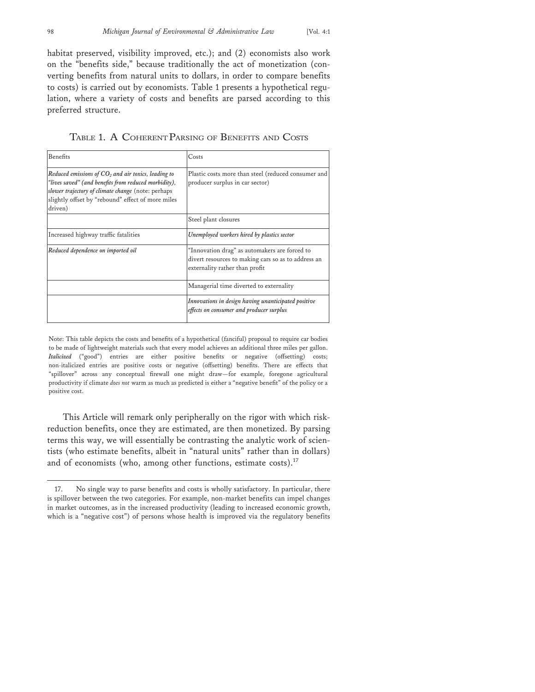habitat preserved, visibility improved, etc.); and (2) economists also work on the "benefits side," because traditionally the act of monetization (converting benefits from natural units to dollars, in order to compare benefits to costs) is carried out by economists. Table 1 presents a hypothetical regulation, where a variety of costs and benefits are parsed according to this preferred structure.

| <b>Benefits</b>                                                                                                                                                                                                                     | Costs                                                                                                                                  |
|-------------------------------------------------------------------------------------------------------------------------------------------------------------------------------------------------------------------------------------|----------------------------------------------------------------------------------------------------------------------------------------|
| Reduced emissions of $CO2$ and air toxics, leading to<br>"lives saved" (and benefits from reduced morbidity),<br>slower trajectory of climate change (note: perhaps<br>slightly offset by "rebound" effect of more miles<br>driven) | Plastic costs more than steel (reduced consumer and<br>producer surplus in car sector)                                                 |
|                                                                                                                                                                                                                                     | Steel plant closures                                                                                                                   |
| Increased highway traffic fatalities                                                                                                                                                                                                | Unemployed workers hired by plastics sector                                                                                            |
| Reduced dependence on imported oil                                                                                                                                                                                                  | "Innovation drag" as automakers are forced to<br>divert resources to making cars so as to address an<br>externality rather than profit |
|                                                                                                                                                                                                                                     | Managerial time diverted to externality                                                                                                |
|                                                                                                                                                                                                                                     | Innovations in design having unanticipated positive<br>effects on consumer and producer surplus                                        |

Note: This table depicts the costs and benefits of a hypothetical (fanciful) proposal to require car bodies to be made of lightweight materials such that every model achieves an additional three miles per gallon. *Italicized* ("good") entries are either positive benefits or negative (offsetting) costs; non-italicized entries are positive costs or negative (offsetting) benefits. There are effects that "spillover" across any conceptual firewall one might draw—for example, foregone agricultural productivity if climate *does not* warm as much as predicted is either a "negative benefit" of the policy or a positive cost.

This Article will remark only peripherally on the rigor with which riskreduction benefits, once they are estimated, are then monetized. By parsing terms this way, we will essentially be contrasting the analytic work of scientists (who estimate benefits, albeit in "natural units" rather than in dollars) and of economists (who, among other functions, estimate costs). $17$ 

<sup>17.</sup> No single way to parse benefits and costs is wholly satisfactory. In particular, there is spillover between the two categories. For example, non-market benefits can impel changes in market outcomes, as in the increased productivity (leading to increased economic growth, which is a "negative cost") of persons whose health is improved via the regulatory benefits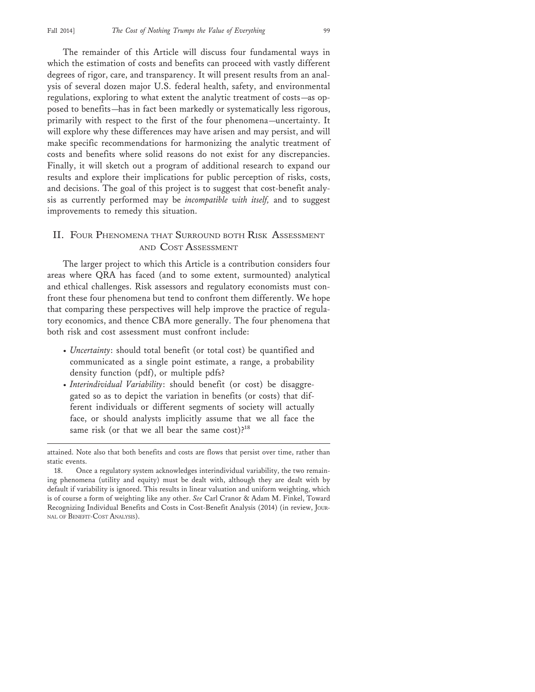The remainder of this Article will discuss four fundamental ways in which the estimation of costs and benefits can proceed with vastly different degrees of rigor, care, and transparency. It will present results from an analysis of several dozen major U.S. federal health, safety, and environmental regulations, exploring to what extent the analytic treatment of costs—as opposed to benefits—has in fact been markedly or systematically less rigorous, primarily with respect to the first of the four phenomena—uncertainty. It will explore why these differences may have arisen and may persist, and will make specific recommendations for harmonizing the analytic treatment of costs and benefits where solid reasons do not exist for any discrepancies. Finally, it will sketch out a program of additional research to expand our results and explore their implications for public perception of risks, costs, and decisions. The goal of this project is to suggest that cost-benefit analysis as currently performed may be *incompatible with itself,* and to suggest improvements to remedy this situation.

#### II. FOUR PHENOMENA THAT SURROUND BOTH RISK ASSESSMENT AND COST ASSESSMENT

The larger project to which this Article is a contribution considers four areas where QRA has faced (and to some extent, surmounted) analytical and ethical challenges. Risk assessors and regulatory economists must confront these four phenomena but tend to confront them differently. We hope that comparing these perspectives will help improve the practice of regulatory economics, and thence CBA more generally. The four phenomena that both risk and cost assessment must confront include:

- *Uncertainty*: should total benefit (or total cost) be quantified and communicated as a single point estimate, a range, a probability density function (pdf), or multiple pdfs?
- *Interindividual Variability*: should benefit (or cost) be disaggregated so as to depict the variation in benefits (or costs) that different individuals or different segments of society will actually face, or should analysts implicitly assume that we all face the same risk (or that we all bear the same cost)?<sup>18</sup>

attained. Note also that both benefits and costs are flows that persist over time, rather than static events.

<sup>18.</sup> Once a regulatory system acknowledges interindividual variability, the two remaining phenomena (utility and equity) must be dealt with, although they are dealt with by default if variability is ignored. This results in linear valuation and uniform weighting, which is of course a form of weighting like any other. *See* Carl Cranor & Adam M. Finkel, Toward Recognizing Individual Benefits and Costs in Cost-Benefit Analysis (2014) (in review, JOUR-NAL OF BENEFIT-COST ANALYSIS).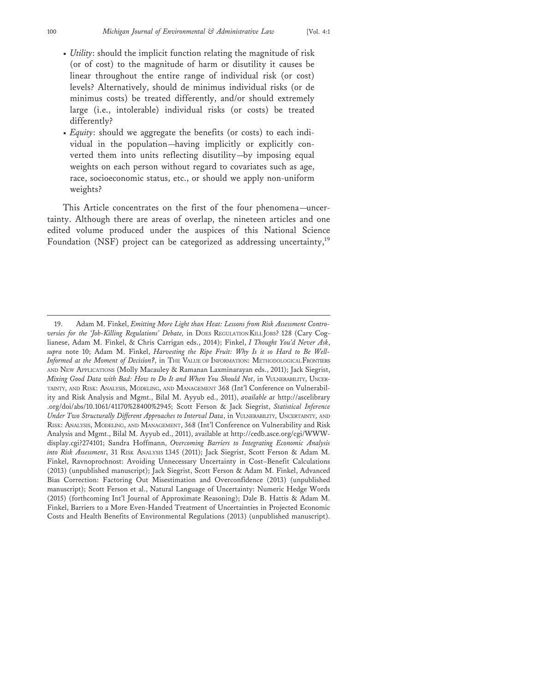- *Utility*: should the implicit function relating the magnitude of risk (or of cost) to the magnitude of harm or disutility it causes be linear throughout the entire range of individual risk (or cost) levels? Alternatively, should de minimus individual risks (or de minimus costs) be treated differently, and/or should extremely large (i.e., intolerable) individual risks (or costs) be treated differently?
- *Equity*: should we aggregate the benefits (or costs) to each individual in the population—having implicitly or explicitly converted them into units reflecting disutility—by imposing equal weights on each person without regard to covariates such as age, race, socioeconomic status, etc., or should we apply non-uniform weights?

This Article concentrates on the first of the four phenomena—uncertainty. Although there are areas of overlap, the nineteen articles and one edited volume produced under the auspices of this National Science Foundation (NSF) project can be categorized as addressing uncertainty,<sup>19</sup>

<sup>19.</sup> Adam M. Finkel, *Emitting More Light than Heat: Lessons from Risk Assessment Controversies for the 'Job-Killing Regulations' Debate,* in DOES REGULATION KILL JOBS? 128 (Cary Coglianese, Adam M. Finkel, & Chris Carrigan eds., 2014); Finkel, *I Thought You'd Never Ask*, *supra* note 10; Adam M. Finkel, *Harvesting the Ripe Fruit: Why Is it so Hard to Be Well-Informed at the Moment of Decision?*, in THE VALUE OF INFORMATION: METHODOLOGICAL FRONTIERS AND NEW APPLICATIONS (Molly Macauley & Ramanan Laxminarayan eds., 2011); Jack Siegrist, *Mixing Good Data with Bad: How to Do It and When You Should Not*, in VULNERABILITY, UNCER-TAINTY, AND RISK: ANALYSIS, MODELING, AND MANAGEMENT 368 (Int'l Conference on Vulnerability and Risk Analysis and Mgmt., Bilal M. Ayyub ed., 2011), *available at* http://ascelibrary .org/doi/abs/10.1061/41170%28400%2945; Scott Ferson & Jack Siegrist, *Statistical Inference Under Two Structurally Different Approaches to Interval Data*, in VULNERABILITY, UNCERTAINTY, AND RISK: ANALYSIS, MODELING, AND MANAGEMENT, 368 (Int'l Conference on Vulnerability and Risk Analysis and Mgmt., Bilal M. Ayyub ed., 2011), available at http://cedb.asce.org/cgi/WWWdisplay.cgi?274101; Sandra Hoffmann, *Overcoming Barriers to Integrating Economic Analysis into Risk Assessment*, 31 RISK ANALYSIS 1345 (2011); Jack Siegrist, Scott Ferson & Adam M. Finkel, Ravnoprochnost: Avoiding Unnecessary Uncertainty in Cost–Benefit Calculations (2013) (unpublished manuscript); Jack Siegrist, Scott Ferson & Adam M. Finkel, Advanced Bias Correction: Factoring Out Misestimation and Overconfidence (2013) (unpublished manuscript); Scott Ferson et al., Natural Language of Uncertainty: Numeric Hedge Words (2015) (forthcoming Int'l Journal of Approximate Reasoning); Dale B. Hattis & Adam M. Finkel, Barriers to a More Even-Handed Treatment of Uncertainties in Projected Economic Costs and Health Benefits of Environmental Regulations (2013) (unpublished manuscript).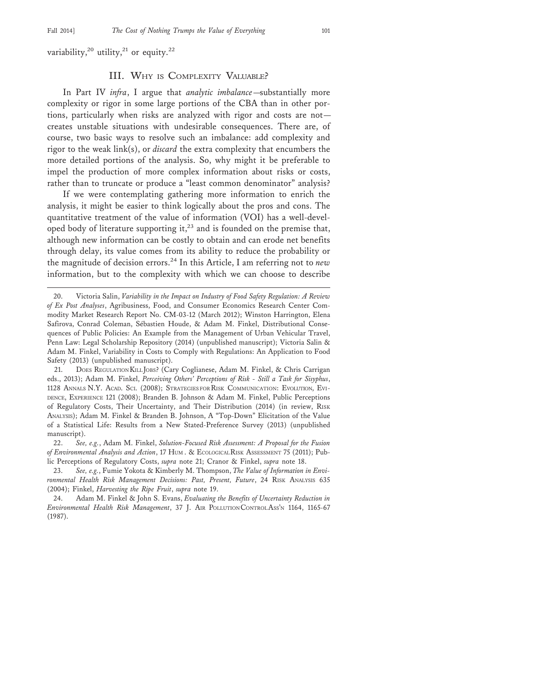variability,<sup>20</sup> utility,<sup>21</sup> or equity.<sup>22</sup>

#### III. WHY IS COMPLEXITY VALUABLE?

In Part IV *infra*, I argue that *analytic imbalance*—substantially more complexity or rigor in some large portions of the CBA than in other portions, particularly when risks are analyzed with rigor and costs are not creates unstable situations with undesirable consequences. There are, of course, two basic ways to resolve such an imbalance: add complexity and rigor to the weak link(s), or *discard* the extra complexity that encumbers the more detailed portions of the analysis. So, why might it be preferable to impel the production of more complex information about risks or costs, rather than to truncate or produce a "least common denominator" analysis?

If we were contemplating gathering more information to enrich the analysis, it might be easier to think logically about the pros and cons. The quantitative treatment of the value of information (VOI) has a well-developed body of literature supporting it,<sup>23</sup> and is founded on the premise that, although new information can be costly to obtain and can erode net benefits through delay, its value comes from its ability to reduce the probability or the magnitude of decision errors.24 In this Article, I am referring not to *new* information, but to the complexity with which we can choose to describe

22. *See, e.g.*, Adam M. Finkel, *Solution-Focused Risk Assessment: A Proposal for the Fusion of Environmental Analysis and Action*, 17 HUM . & ECOLOGICAL RISK ASSESSMENT 75 (2011); Public Perceptions of Regulatory Costs, *supra* note 21; Cranor & Finkel, *supra* note 18.

23. *See, e.g.*, Fumie Yokota & Kimberly M. Thompson, *The Value of Information in Environmental Health Risk Management Decisions: Past, Present, Future*, 24 RISK ANALYSIS 635 (2004); Finkel, *Harvesting the Ripe Fruit*, *supra* note 19.

<sup>20.</sup> Victoria Salin, *Variability in the Impact on Industry of Food Safety Regulation: A Review of Ex Post Analyses*, Agribusiness, Food, and Consumer Economics Research Center Commodity Market Research Report No. CM-03-12 (March 2012); Winston Harrington, Elena Safirova, Conrad Coleman, Sébastien Houde, & Adam M. Finkel, Distributional Consequences of Public Policies: An Example from the Management of Urban Vehicular Travel, Penn Law: Legal Scholarship Repository (2014) (unpublished manuscript); Victoria Salin & Adam M. Finkel, Variability in Costs to Comply with Regulations: An Application to Food Safety (2013) (unpublished manuscript).

<sup>21.</sup> DOES REGULATION KILL JOBS? (Cary Coglianese, Adam M. Finkel, & Chris Carrigan eds., 2013); Adam M. Finkel, *Perceiving Others' Perceptions of Risk - Still a Task for Sisyphus*, 1128 ANNALS N.Y. ACAD. SCI. (2008); STRATEGIES FOR RISK COMMUNICATION: EVOLUTION, EVI-DENCE, EXPERIENCE 121 (2008); Branden B. Johnson & Adam M. Finkel, Public Perceptions of Regulatory Costs, Their Uncertainty, and Their Distribution (2014) (in review, RISK ANALYSIS); Adam M. Finkel & Branden B. Johnson, A "Top-Down" Elicitation of the Value of a Statistical Life: Results from a New Stated-Preference Survey (2013) (unpublished manuscript).

<sup>24.</sup> Adam M. Finkel & John S. Evans, *Evaluating the Benefits of Uncertainty Reduction in Environmental Health Risk Management*, 37 J. AIR POLLUTION CONTROL ASS'N 1164, 1165-67 (1987).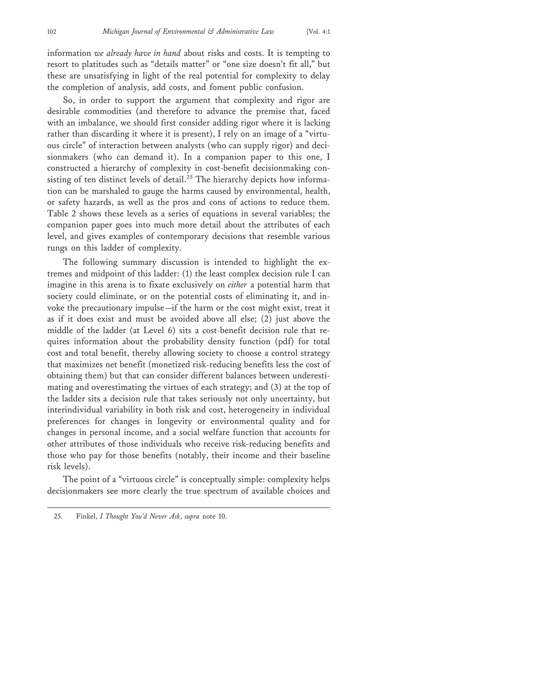information *we already have in hand* about risks and costs. It is tempting to resort to platitudes such as "details matter" or "one size doesn't fit all," but these are unsatisfying in light of the real potential for complexity to delay the completion of analysis, add costs, and foment public confusion.

So, in order to support the argument that complexity and rigor are desirable commodities (and therefore to advance the premise that, faced with an imbalance, we should first consider adding rigor where it is lacking rather than discarding it where it is present), I rely on an image of a "virtuous circle" of interaction between analysts (who can supply rigor) and decisionmakers (who can demand it). In a companion paper to this one, I constructed a hierarchy of complexity in cost-benefit decisionmaking consisting of ten distinct levels of detail.<sup>25</sup> The hierarchy depicts how information can be marshaled to gauge the harms caused by environmental, health, or safety hazards, as well as the pros and cons of actions to reduce them. Table 2 shows these levels as a series of equations in several variables; the companion paper goes into much more detail about the attributes of each level, and gives examples of contemporary decisions that resemble various rungs on this ladder of complexity.

The following summary discussion is intended to highlight the extremes and midpoint of this ladder: (1) the least complex decision rule I can imagine in this arena is to fixate exclusively on *either* a potential harm that society could eliminate, or on the potential costs of eliminating it, and invoke the precautionary impulse—if the harm or the cost might exist, treat it as if it does exist and must be avoided above all else; (2) just above the middle of the ladder (at Level 6) sits a cost-benefit decision rule that requires information about the probability density function (pdf) for total cost and total benefit, thereby allowing society to choose a control strategy that maximizes net benefit (monetized risk-reducing benefits less the cost of obtaining them) but that can consider different balances between underestimating and overestimating the virtues of each strategy; and (3) at the top of the ladder sits a decision rule that takes seriously not only uncertainty, but interindividual variability in both risk and cost, heterogeneity in individual preferences for changes in longevity or environmental quality and for changes in personal income, and a social welfare function that accounts for other attributes of those individuals who receive risk-reducing benefits and those who pay for those benefits (notably, their income and their baseline risk levels).

The point of a "virtuous circle" is conceptually simple: complexity helps decisionmakers see more clearly the true spectrum of available choices and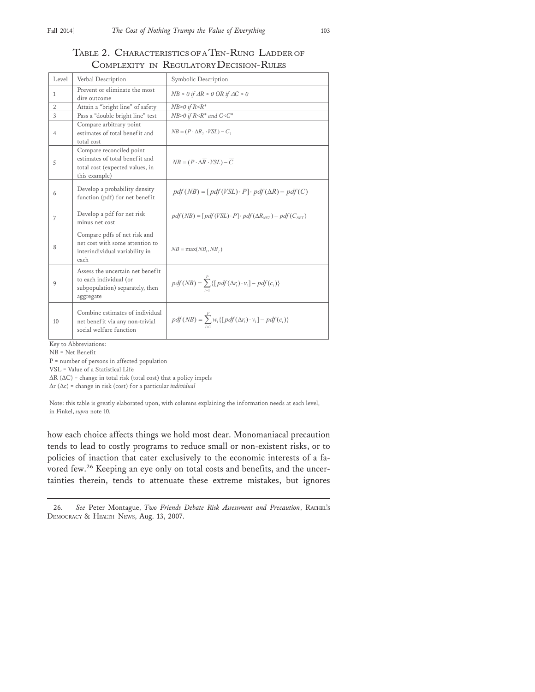## TABLE 2. CHARACTERISTICS OF A TEN-RUNG LADDER OF COMPLEXITY IN REGULATORY DECISION-RULES

| Level          | Verbal Description                                                                                             | Symbolic Description                                                                  |
|----------------|----------------------------------------------------------------------------------------------------------------|---------------------------------------------------------------------------------------|
| 1              | Prevent or eliminate the most<br>dire outcome                                                                  | $NB > 0$ if $AR > 0$ OR if $AC > 0$                                                   |
| $\overline{2}$ | Attain a "bright line" of safety                                                                               | $NB$ >0 if $R$ < $R$ *                                                                |
| 3              | Pass a "double bright line" test                                                                               | NB>0 if $R$ < $R$ * and $C$ < $C$ *                                                   |
| 4              | Compare arbitrary point<br>estimates of total benefit and<br>total cost                                        | $NB = (P \cdot \Delta R, \cdot VSL) - C,$                                             |
| 5              | Compare reconciled point<br>estimates of total benefit and<br>total cost (expected values, in<br>this example) | $NB = (P \cdot \Delta \overline{R} \cdot VSL) - \overline{C}$                         |
| 6              | Develop a probability density<br>function (pdf) for net benefit                                                | $pdf(NB) = [pdf(VSL) \cdot P] \cdot pdf(\Delta R) - pdf(C)$                           |
| 7              | Develop a pdf for net risk<br>minus net cost                                                                   | $pdf(NB) = [pdf(VSL) \cdot P] \cdot pdf(\Delta R_{\text{NET}}) - pdf(C_{\text{NET}})$ |
| 8              | Compare pdfs of net risk and<br>net cost with some attention to<br>interindividual variability in<br>each      | $NB = max(NB_i, NB_i)$                                                                |
| 9              | Assess the uncertain net benefit<br>to each individual (or<br>subpopulation) separately, then<br>aggregate     | $pdf(NB) = \sum_{i}^{P} \{ [pdf(\Delta r_i) \cdot v_i] - pdf(c_i) \}$                 |
| 10             | Combine estimates of individual<br>net benefit via any non-trivial<br>social welfare function                  | $pdf(NB) = \sum_{i=1}^{P} w_i \{ [pdf(\Delta r_i) \cdot v_i] - pdf(c_i) \}$           |

Key to Abbreviations:

NB = Net Benefit

P = number of persons in affected population

VSL = Value of a Statistical Life

 $\Delta R$  ( $\Delta C$ ) = change in total risk (total cost) that a policy impels

 $\Delta r$  ( $\Delta c$ ) = change in risk (cost) for a particular *individual* 

Note: this table is greatly elaborated upon, with columns explaining the information needs at each level, in Finkel, *supra* note 10.

how each choice affects things we hold most dear. Monomaniacal precaution tends to lead to costly programs to reduce small or non-existent risks, or to policies of inaction that cater exclusively to the economic interests of a favored few.26 Keeping an eye only on total costs and benefits, and the uncertainties therein, tends to attenuate these extreme mistakes, but ignores

<sup>26.</sup> *See* Peter Montague, *Two Friends Debate Risk Assessment and Precaution*, RACHEL'S DEMOCRACY & HEALTH NEWS, Aug. 13, 2007.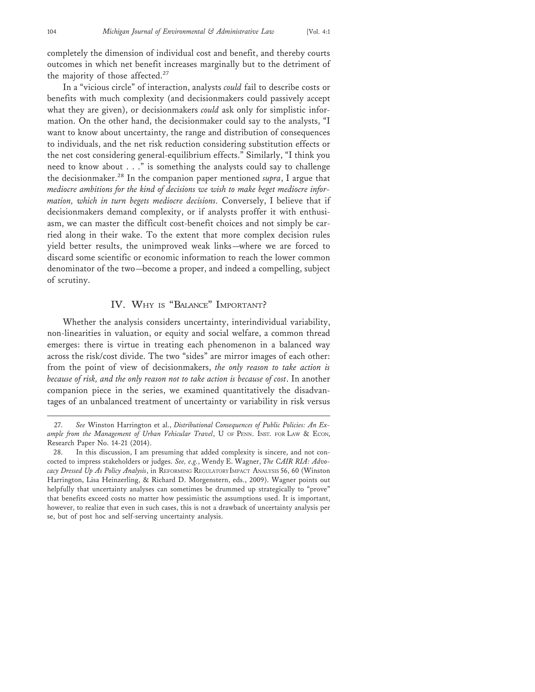completely the dimension of individual cost and benefit, and thereby courts outcomes in which net benefit increases marginally but to the detriment of the majority of those affected.<sup>27</sup>

In a "vicious circle" of interaction, analysts *could* fail to describe costs or benefits with much complexity (and decisionmakers could passively accept what they are given), or decisionmakers *could* ask only for simplistic information. On the other hand, the decisionmaker could say to the analysts, "I want to know about uncertainty, the range and distribution of consequences to individuals, and the net risk reduction considering substitution effects or the net cost considering general-equilibrium effects." Similarly, "I think you need to know about . . ." is something the analysts could say to challenge the decisionmaker.28 In the companion paper mentioned *supra*, I argue that *mediocre ambitions for the kind of decisions we wish to make beget mediocre information, which in turn begets mediocre decisions.* Conversely, I believe that if decisionmakers demand complexity, or if analysts proffer it with enthusiasm, we can master the difficult cost-benefit choices and not simply be carried along in their wake. To the extent that more complex decision rules yield better results, the unimproved weak links—where we are forced to discard some scientific or economic information to reach the lower common denominator of the two—become a proper, and indeed a compelling, subject of scrutiny.

#### IV. WHY IS "BALANCE" IMPORTANT?

Whether the analysis considers uncertainty, interindividual variability, non-linearities in valuation, or equity and social welfare, a common thread emerges: there is virtue in treating each phenomenon in a balanced way across the risk/cost divide. The two "sides" are mirror images of each other: from the point of view of decisionmakers, *the only reason to take action is because of risk, and the only reason not to take action is because of cost*. In another companion piece in the series, we examined quantitatively the disadvantages of an unbalanced treatment of uncertainty or variability in risk versus

<sup>27.</sup> *See* Winston Harrington et al., *Distributional Consequences of Public Policies: An Ex*ample from the Management of Urban Vehicular Travel, U OF PENN. INST. FOR LAW & ECON, Research Paper No. 14-21 (2014).

<sup>28.</sup> In this discussion, I am presuming that added complexity is sincere, and not concocted to impress stakeholders or judges. *See, e.g.*, Wendy E. Wagner, *The CAIR RIA: Advocacy Dressed Up As Policy Analysis*, in REFORMING REGULATORY IMPACT ANALYSIS 56, 60 (Winston Harrington, Lisa Heinzerling, & Richard D. Morgenstern, eds., 2009). Wagner points out helpfully that uncertainty analyses can sometimes be drummed up strategically to "prove" that benefits exceed costs no matter how pessimistic the assumptions used. It is important, however, to realize that even in such cases, this is not a drawback of uncertainty analysis per se, but of post hoc and self-serving uncertainty analysis.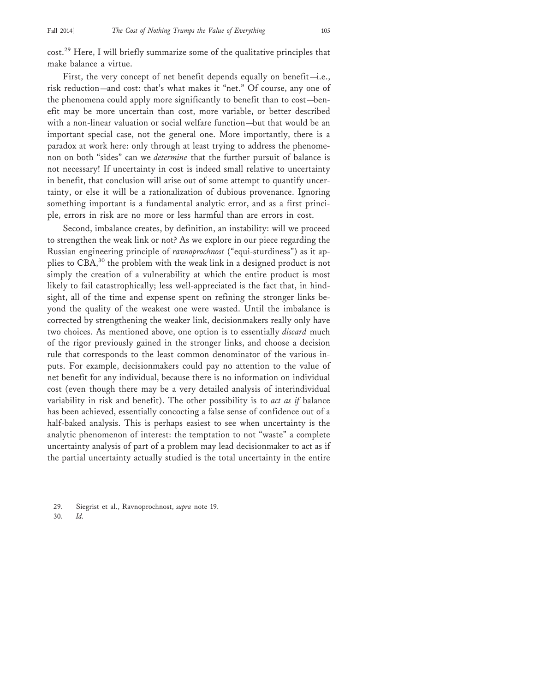cost.29 Here, I will briefly summarize some of the qualitative principles that make balance a virtue.

First, the very concept of net benefit depends equally on benefit—i.e., risk reduction—and cost: that's what makes it "net." Of course, any one of the phenomena could apply more significantly to benefit than to cost—benefit may be more uncertain than cost, more variable, or better described with a non-linear valuation or social welfare function—but that would be an important special case, not the general one. More importantly, there is a paradox at work here: only through at least trying to address the phenomenon on both "sides" can we *determine* that the further pursuit of balance is not necessary! If uncertainty in cost is indeed small relative to uncertainty in benefit, that conclusion will arise out of some attempt to quantify uncertainty, or else it will be a rationalization of dubious provenance. Ignoring something important is a fundamental analytic error, and as a first principle, errors in risk are no more or less harmful than are errors in cost.

Second, imbalance creates, by definition, an instability: will we proceed to strengthen the weak link or not? As we explore in our piece regarding the Russian engineering principle of *ravnoprochnost* ("equi-sturdiness") as it applies to CBA,30 the problem with the weak link in a designed product is not simply the creation of a vulnerability at which the entire product is most likely to fail catastrophically; less well-appreciated is the fact that, in hindsight, all of the time and expense spent on refining the stronger links beyond the quality of the weakest one were wasted. Until the imbalance is corrected by strengthening the weaker link, decisionmakers really only have two choices. As mentioned above, one option is to essentially *discard* much of the rigor previously gained in the stronger links, and choose a decision rule that corresponds to the least common denominator of the various inputs. For example, decisionmakers could pay no attention to the value of net benefit for any individual, because there is no information on individual cost (even though there may be a very detailed analysis of interindividual variability in risk and benefit). The other possibility is to *act as if* balance has been achieved, essentially concocting a false sense of confidence out of a half-baked analysis. This is perhaps easiest to see when uncertainty is the analytic phenomenon of interest: the temptation to not "waste" a complete uncertainty analysis of part of a problem may lead decisionmaker to act as if the partial uncertainty actually studied is the total uncertainty in the entire

30. *Id.*

<sup>29.</sup> Siegrist et al., Ravnoprochnost, *supra* note 19.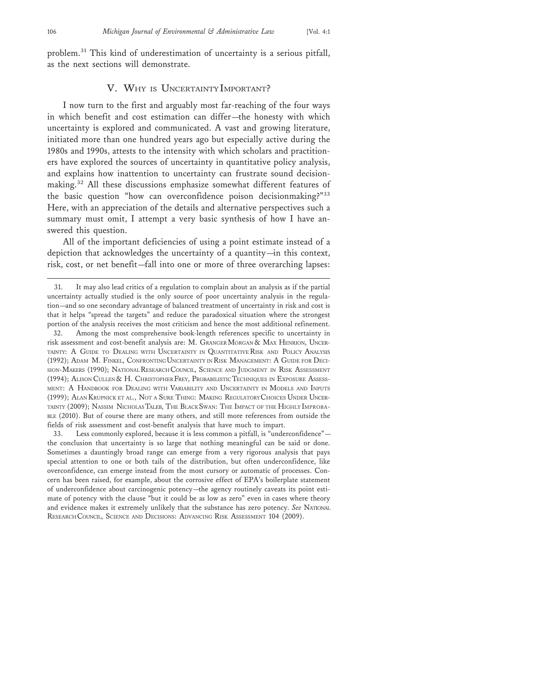problem.31 This kind of underestimation of uncertainty is a serious pitfall, as the next sections will demonstrate.

#### V. WHY IS UNCERTAINTY IMPORTANT?

I now turn to the first and arguably most far-reaching of the four ways in which benefit and cost estimation can differ—the honesty with which uncertainty is explored and communicated. A vast and growing literature, initiated more than one hundred years ago but especially active during the 1980s and 1990s, attests to the intensity with which scholars and practitioners have explored the sources of uncertainty in quantitative policy analysis, and explains how inattention to uncertainty can frustrate sound decisionmaking.32 All these discussions emphasize somewhat different features of the basic question "how can overconfidence poison decisionmaking?"<sup>33</sup> Here, with an appreciation of the details and alternative perspectives such a summary must omit, I attempt a very basic synthesis of how I have answered this question.

All of the important deficiencies of using a point estimate instead of a depiction that acknowledges the uncertainty of a quantity—in this context, risk, cost, or net benefit—fall into one or more of three overarching lapses:

33. Less commonly explored, because it is less common a pitfall, is "underconfidence" the conclusion that uncertainty is so large that nothing meaningful can be said or done. Sometimes a dauntingly broad range can emerge from a very rigorous analysis that pays special attention to one or both tails of the distribution, but often underconfidence, like overconfidence, can emerge instead from the most cursory or automatic of processes. Concern has been raised, for example, about the corrosive effect of EPA's boilerplate statement of underconfidence about carcinogenic potency—the agency routinely caveats its point estimate of potency with the clause "but it could be as low as zero" even in cases where theory and evidence makes it extremely unlikely that the substance has zero potency. *See* NATIONAL RESEARCH COUNCIL, SCIENCE AND DECISIONS: ADVANCING RISK ASSESSMENT 104 (2009).

<sup>31.</sup> It may also lead critics of a regulation to complain about an analysis as if the partial uncertainty actually studied is the only source of poor uncertainty analysis in the regulation—and so one secondary advantage of balanced treatment of uncertainty in risk and cost is that it helps "spread the targets" and reduce the paradoxical situation where the strongest portion of the analysis receives the most criticism and hence the most additional refinement.

<sup>32.</sup> Among the most comprehensive book-length references specific to uncertainty in risk assessment and cost-benefit analysis are: M. GRANGER MORGAN & MAX HENRION, UNCER-TAINTY: A GUIDE TO DEALING WITH UNCERTAINTY IN QUANTITATIVE RISK AND POLICY ANALYSIS (1992); ADAM M. FINKEL, CONFRONTING UNCERTAINTY IN RISK MANAGEMENT: A GUIDE FOR DECI-SION-MAKERS (1990); NATIONAL RESEARCH COUNCIL, SCIENCE AND JUDGMENT IN RISK ASSESSMENT (1994); ALISON CULLEN & H. CHRISTOPHER FREY, PROBABILISTIC TECHNIQUES IN EXPOSURE ASSESS-MENT: A HANDBOOK FOR DEALING WITH VARIABILITY AND UNCERTAINTY IN MODELS AND INPUTS (1999); ALAN KRUPNICK ET AL., NOT A SURE THING: MAKING REGULATORY CHOICES UNDER UNCER-TAINTY (2009); NASSIM NICHOLAS TALEB, THE BLACK SWAN: THE IMPACT OF THE HIGHLY IMPROBA-BLE (2010). But of course there are many others, and still more references from outside the fields of risk assessment and cost-benefit analysis that have much to impart.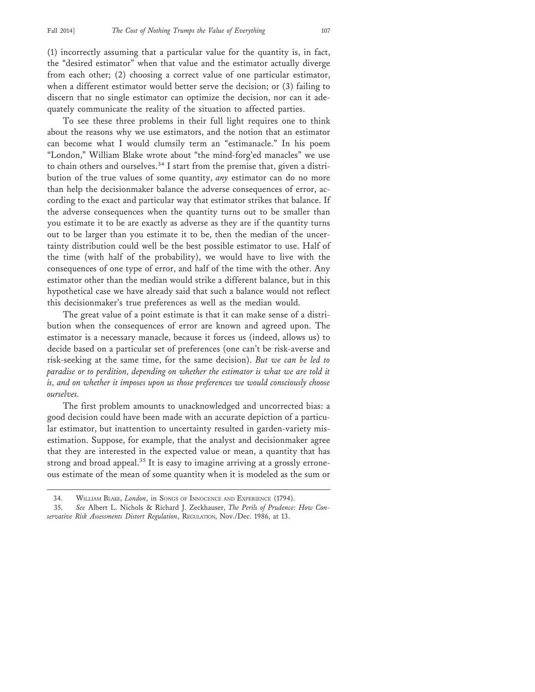(1) incorrectly assuming that a particular value for the quantity is, in fact, the "desired estimator" when that value and the estimator actually diverge from each other; (2) choosing a correct value of one particular estimator, when a different estimator would better serve the decision; or (3) failing to discern that no single estimator can optimize the decision, nor can it adequately communicate the reality of the situation to affected parties.

To see these three problems in their full light requires one to think about the reasons why we use estimators, and the notion that an estimator can become what I would clumsily term an "estimanacle." In his poem "London," William Blake wrote about "the mind-forg'ed manacles" we use to chain others and ourselves.<sup>34</sup> I start from the premise that, given a distribution of the true values of some quantity, *any* estimator can do no more than help the decisionmaker balance the adverse consequences of error, according to the exact and particular way that estimator strikes that balance. If the adverse consequences when the quantity turns out to be smaller than you estimate it to be are exactly as adverse as they are if the quantity turns out to be larger than you estimate it to be, then the median of the uncertainty distribution could well be the best possible estimator to use. Half of the time (with half of the probability), we would have to live with the consequences of one type of error, and half of the time with the other. Any estimator other than the median would strike a different balance, but in this hypothetical case we have already said that such a balance would not reflect this decisionmaker's true preferences as well as the median would.

The great value of a point estimate is that it can make sense of a distribution when the consequences of error are known and agreed upon. The estimator is a necessary manacle, because it forces us (indeed, allows us) to decide based on a particular set of preferences (one can't be risk-averse and risk-seeking at the same time, for the same decision). *But we can be led to paradise or to perdition, depending on whether the estimator is what we are told it is, and on whether it imposes upon us those preferences we would consciously choose ourselves.*

The first problem amounts to unacknowledged and uncorrected bias: a good decision could have been made with an accurate depiction of a particular estimator, but inattention to uncertainty resulted in garden-variety misestimation. Suppose, for example, that the analyst and decisionmaker agree that they are interested in the expected value or mean, a quantity that has strong and broad appeal.<sup>35</sup> It is easy to imagine arriving at a grossly erroneous estimate of the mean of some quantity when it is modeled as the sum or

<sup>34.</sup> WILLIAM BLAKE, *London*, in SONGS OF INNOCENCE AND EXPERIENCE (1794).

<sup>35.</sup> *See* Albert L. Nichols & Richard J. Zeckhauser, *The Perils of Prudence: How Conservative Risk Assessments Distort Regulation*, REGULATION, Nov./Dec. 1986, at 13.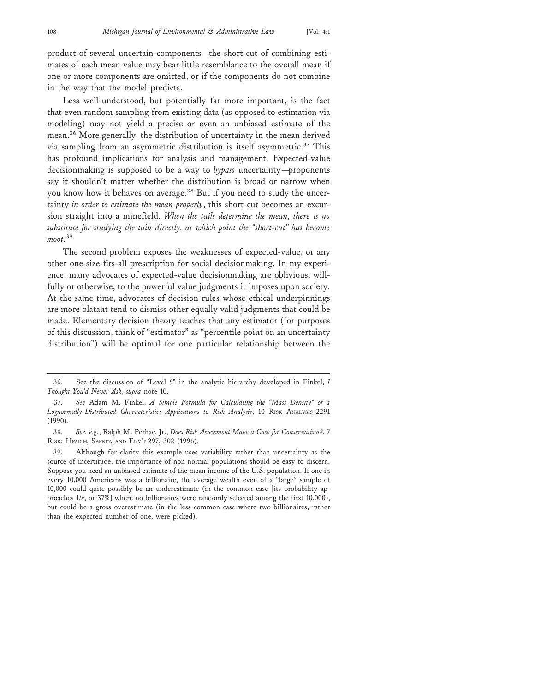product of several uncertain components—the short-cut of combining estimates of each mean value may bear little resemblance to the overall mean if one or more components are omitted, or if the components do not combine in the way that the model predicts.

Less well-understood, but potentially far more important, is the fact that even random sampling from existing data (as opposed to estimation via modeling) may not yield a precise or even an unbiased estimate of the mean.36 More generally, the distribution of uncertainty in the mean derived via sampling from an asymmetric distribution is itself asymmetric.37 This has profound implications for analysis and management. Expected-value decisionmaking is supposed to be a way to *bypass* uncertainty—proponents say it shouldn't matter whether the distribution is broad or narrow when you know how it behaves on average.<sup>38</sup> But if you need to study the uncertainty *in order to estimate the mean properly*, this short-cut becomes an excursion straight into a minefield. *When the tails determine the mean, there is no substitute for studying the tails directly, at which point the "short-cut" has become moot.*<sup>39</sup>

The second problem exposes the weaknesses of expected-value, or any other one-size-fits-all prescription for social decisionmaking. In my experience, many advocates of expected-value decisionmaking are oblivious, willfully or otherwise, to the powerful value judgments it imposes upon society. At the same time, advocates of decision rules whose ethical underpinnings are more blatant tend to dismiss other equally valid judgments that could be made. Elementary decision theory teaches that any estimator (for purposes of this discussion, think of "estimator" as "percentile point on an uncertainty distribution") will be optimal for one particular relationship between the

<sup>36.</sup> See the discussion of "Level 5" in the analytic hierarchy developed in Finkel, *I Thought You'd Never Ask*, *supra* note 10.

<sup>37.</sup> *See* Adam M. Finkel, *A Simple Formula for Calculating the "Mass Density" of a Lognormally-Distributed Characteristic: Applications to Risk Analysis*, 10 RISK ANALYSIS 2291 (1990).

<sup>38.</sup> *See, e.g.*, Ralph M. Perhac, Jr., *Does Risk Assessment Make a Case for Conservatism?*, 7 RISK: HEALTH, SAFETY, AND ENV'T 297, 302 (1996).

<sup>39.</sup> Although for clarity this example uses variability rather than uncertainty as the source of incertitude, the importance of non-normal populations should be easy to discern. Suppose you need an unbiased estimate of the mean income of the U.S. population. If one in every 10,000 Americans was a billionaire, the average wealth even of a "large" sample of 10,000 could quite possibly be an underestimate (in the common case [its probability approaches 1/*e*, or 37%] where no billionaires were randomly selected among the first 10,000), but could be a gross overestimate (in the less common case where two billionaires, rather than the expected number of one, were picked).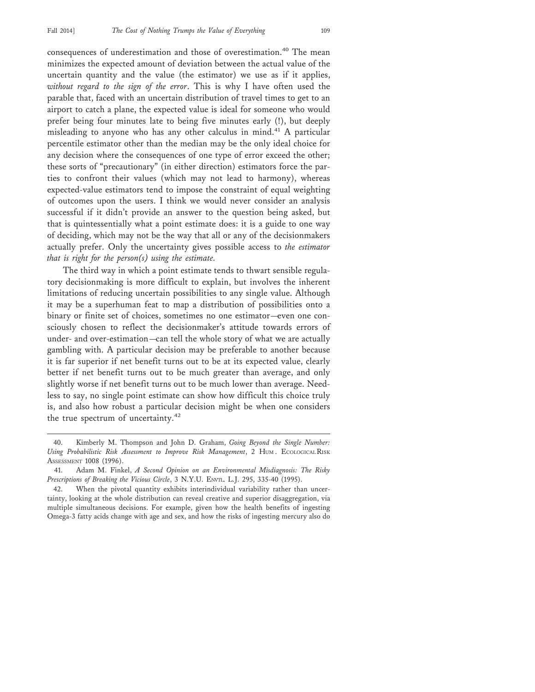consequences of underestimation and those of overestimation.40 The mean minimizes the expected amount of deviation between the actual value of the uncertain quantity and the value (the estimator) we use as if it applies, *without regard to the sign of the error*. This is why I have often used the parable that, faced with an uncertain distribution of travel times to get to an airport to catch a plane, the expected value is ideal for someone who would prefer being four minutes late to being five minutes early (!), but deeply misleading to anyone who has any other calculus in mind.41 A particular percentile estimator other than the median may be the only ideal choice for any decision where the consequences of one type of error exceed the other; these sorts of "precautionary" (in either direction) estimators force the parties to confront their values (which may not lead to harmony), whereas expected-value estimators tend to impose the constraint of equal weighting of outcomes upon the users. I think we would never consider an analysis successful if it didn't provide an answer to the question being asked, but that is quintessentially what a point estimate does: it is a guide to one way of deciding, which may not be the way that all or any of the decisionmakers actually prefer. Only the uncertainty gives possible access to *the estimator that is right for the person(s) using the estimate.*

The third way in which a point estimate tends to thwart sensible regulatory decisionmaking is more difficult to explain, but involves the inherent limitations of reducing uncertain possibilities to any single value. Although it may be a superhuman feat to map a distribution of possibilities onto a binary or finite set of choices, sometimes no one estimator—even one consciously chosen to reflect the decisionmaker's attitude towards errors of under- and over-estimation—can tell the whole story of what we are actually gambling with. A particular decision may be preferable to another because it is far superior if net benefit turns out to be at its expected value, clearly better if net benefit turns out to be much greater than average, and only slightly worse if net benefit turns out to be much lower than average. Needless to say, no single point estimate can show how difficult this choice truly is, and also how robust a particular decision might be when one considers the true spectrum of uncertainty.<sup>42</sup>

<sup>40.</sup> Kimberly M. Thompson and John D. Graham, *Going Beyond the Single Number: Using Probabilistic Risk Assessment to Improve Risk Management*, 2 HUM . ECOLOGICAL RISK ASSESSMENT 1008 (1996).

<sup>41.</sup> Adam M. Finkel, *A Second Opinion on an Environmental Misdiagnosis: The Risky Prescriptions of Breaking the Vicious Circle*, 3 N.Y.U. ENVTL. L.J. 295, 335-40 (1995).

When the pivotal quantity exhibits interindividual variability rather than uncertainty, looking at the whole distribution can reveal creative and superior disaggregation, via multiple simultaneous decisions. For example, given how the health benefits of ingesting Omega-3 fatty acids change with age and sex, and how the risks of ingesting mercury also do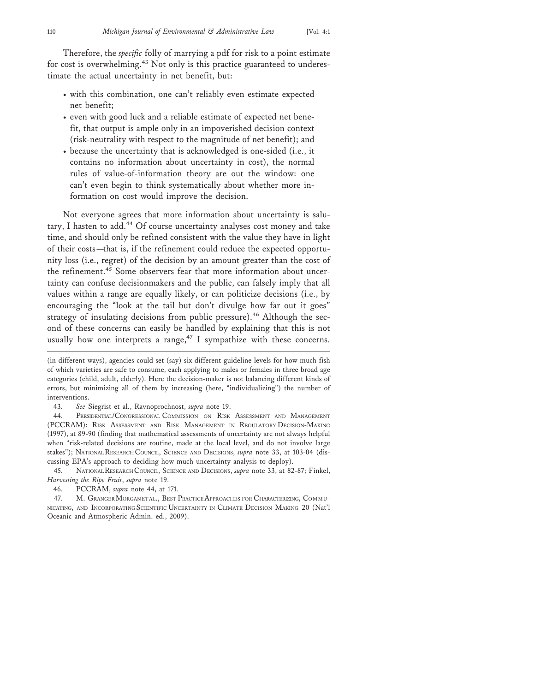Therefore, the *specific* folly of marrying a pdf for risk to a point estimate

for cost is overwhelming.<sup>43</sup> Not only is this practice guaranteed to underestimate the actual uncertainty in net benefit, but:

- with this combination, one can't reliably even estimate expected net benefit;
- even with good luck and a reliable estimate of expected net benefit, that output is ample only in an impoverished decision context (risk-neutrality with respect to the magnitude of net benefit); and
- because the uncertainty that is acknowledged is one-sided (i.e., it contains no information about uncertainty in cost), the normal rules of value-of-information theory are out the window: one can't even begin to think systematically about whether more information on cost would improve the decision.

Not everyone agrees that more information about uncertainty is salutary, I hasten to add.<sup>44</sup> Of course uncertainty analyses cost money and take time, and should only be refined consistent with the value they have in light of their costs—that is, if the refinement could reduce the expected opportunity loss (i.e., regret) of the decision by an amount greater than the cost of the refinement.<sup>45</sup> Some observers fear that more information about uncertainty can confuse decisionmakers and the public, can falsely imply that all values within a range are equally likely, or can politicize decisions (i.e., by encouraging the "look at the tail but don't divulge how far out it goes" strategy of insulating decisions from public pressure).<sup>46</sup> Although the second of these concerns can easily be handled by explaining that this is not usually how one interprets a range,<sup>47</sup> I sympathize with these concerns.

45. NATIONAL RESEARCH COUNCIL, SCIENCE AND DECISIONS, *supra* note 33, at 82-87; Finkel, *Harvesting the Ripe Fruit*, *supra* note 19.

46. PCCRAM, *supra* note 44, at 171.

47. M. GRANGER MORGAN ET AL., BEST PRACTICE APPROACHES FOR CHARACTERIZING, COMMU-NICATING, AND INCORPORATING SCIENTIFIC UNCERTAINTY IN CLIMATE DECISION MAKING 20 (Nat'l Oceanic and Atmospheric Admin. ed., 2009).

<sup>(</sup>in different ways), agencies could set (say) six different guideline levels for how much fish of which varieties are safe to consume, each applying to males or females in three broad age categories (child, adult, elderly). Here the decision-maker is not balancing different kinds of errors, but minimizing all of them by increasing (here, "individualizing") the number of interventions.

<sup>43.</sup> *See* Siegrist et al., Ravnoprochnost, *supra* note 19.

<sup>44.</sup> PRESIDENTIAL/CONGRESSIONAL COMMISSION ON RISK ASSESSMENT AND MANAGEMENT (PCCRAM): RISK ASSESSMENT AND RISK MANAGEMENT IN REGULATORY DECISION-MAKING (1997), at 89-90 (finding that mathematical assessments of uncertainty are not always helpful when "risk-related decisions are routine, made at the local level, and do not involve large stakes"); NATIONAL RESEARCH COUNCIL, SCIENCE AND DECISIONS, *supra* note 33, at 103-04 (discussing EPA's approach to deciding how much uncertainty analysis to deploy).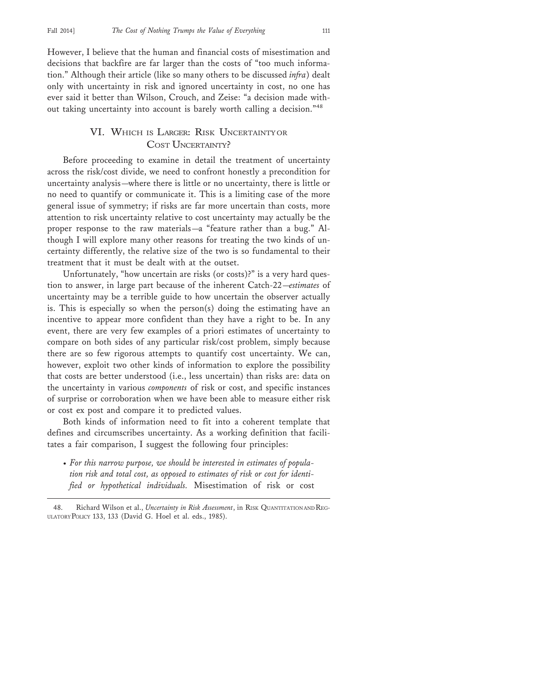However, I believe that the human and financial costs of misestimation and decisions that backfire are far larger than the costs of "too much information." Although their article (like so many others to be discussed *infra*) dealt only with uncertainty in risk and ignored uncertainty in cost, no one has ever said it better than Wilson, Crouch, and Zeise: "a decision made without taking uncertainty into account is barely worth calling a decision."<sup>48</sup>

## VI. WHICH IS LARGER: RISK UNCERTAINTY OR COST UNCERTAINTY?

Before proceeding to examine in detail the treatment of uncertainty across the risk/cost divide, we need to confront honestly a precondition for uncertainty analysis—where there is little or no uncertainty, there is little or no need to quantify or communicate it. This is a limiting case of the more general issue of symmetry; if risks are far more uncertain than costs, more attention to risk uncertainty relative to cost uncertainty may actually be the proper response to the raw materials—a "feature rather than a bug." Although I will explore many other reasons for treating the two kinds of uncertainty differently, the relative size of the two is so fundamental to their treatment that it must be dealt with at the outset.

Unfortunately, "how uncertain are risks (or costs)?" is a very hard question to answer, in large part because of the inherent Catch-22—*estimates* of uncertainty may be a terrible guide to how uncertain the observer actually is. This is especially so when the person(s) doing the estimating have an incentive to appear more confident than they have a right to be. In any event, there are very few examples of a priori estimates of uncertainty to compare on both sides of any particular risk/cost problem, simply because there are so few rigorous attempts to quantify cost uncertainty. We can, however, exploit two other kinds of information to explore the possibility that costs are better understood (i.e., less uncertain) than risks are: data on the uncertainty in various *components* of risk or cost, and specific instances of surprise or corroboration when we have been able to measure either risk or cost ex post and compare it to predicted values.

Both kinds of information need to fit into a coherent template that defines and circumscribes uncertainty. As a working definition that facilitates a fair comparison, I suggest the following four principles:

• *For this narrow purpose, we should be interested in estimates of population risk and total cost, as opposed to estimates of risk or cost for identified or hypothetical individuals.* Misestimation of risk or cost

<sup>48.</sup> Richard Wilson et al., *Uncertainty in Risk Assessment*, in RISK QUANTITATION AND REG-ULATORY POLICY 133, 133 (David G. Hoel et al. eds., 1985).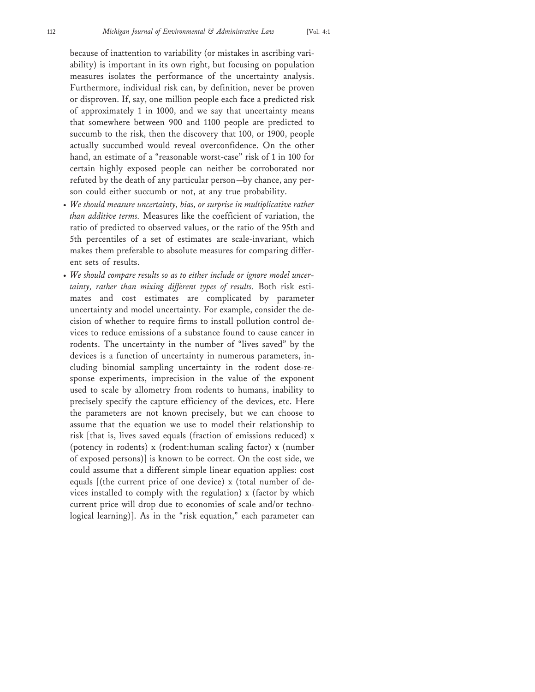because of inattention to variability (or mistakes in ascribing variability) is important in its own right, but focusing on population measures isolates the performance of the uncertainty analysis. Furthermore, individual risk can, by definition, never be proven or disproven. If, say, one million people each face a predicted risk of approximately 1 in 1000, and we say that uncertainty means that somewhere between 900 and 1100 people are predicted to succumb to the risk, then the discovery that 100, or 1900, people actually succumbed would reveal overconfidence. On the other hand, an estimate of a "reasonable worst-case" risk of 1 in 100 for certain highly exposed people can neither be corroborated nor refuted by the death of any particular person—by chance, any person could either succumb or not, at any true probability.

- *We should measure uncertainty, bias, or surprise in multiplicative rather than additive terms.* Measures like the coefficient of variation, the ratio of predicted to observed values, or the ratio of the 95th and 5th percentiles of a set of estimates are scale-invariant, which makes them preferable to absolute measures for comparing different sets of results.
- *We should compare results so as to either include or ignore model uncertainty, rather than mixing different types of results.* Both risk estimates and cost estimates are complicated by parameter uncertainty and model uncertainty. For example, consider the decision of whether to require firms to install pollution control devices to reduce emissions of a substance found to cause cancer in rodents. The uncertainty in the number of "lives saved" by the devices is a function of uncertainty in numerous parameters, including binomial sampling uncertainty in the rodent dose-response experiments, imprecision in the value of the exponent used to scale by allometry from rodents to humans, inability to precisely specify the capture efficiency of the devices, etc. Here the parameters are not known precisely, but we can choose to assume that the equation we use to model their relationship to risk [that is, lives saved equals (fraction of emissions reduced) x (potency in rodents) x (rodent:human scaling factor) x (number of exposed persons)] is known to be correct. On the cost side, we could assume that a different simple linear equation applies: cost equals [(the current price of one device) x (total number of devices installed to comply with the regulation) x (factor by which current price will drop due to economies of scale and/or technological learning)]. As in the "risk equation," each parameter can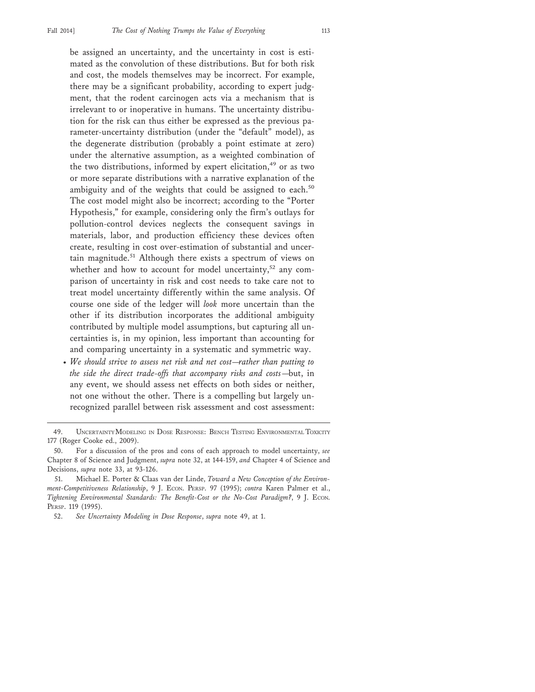be assigned an uncertainty, and the uncertainty in cost is estimated as the convolution of these distributions. But for both risk and cost, the models themselves may be incorrect. For example, there may be a significant probability, according to expert judgment, that the rodent carcinogen acts via a mechanism that is irrelevant to or inoperative in humans. The uncertainty distribution for the risk can thus either be expressed as the previous parameter-uncertainty distribution (under the "default" model), as the degenerate distribution (probably a point estimate at zero) under the alternative assumption, as a weighted combination of the two distributions, informed by expert elicitation,<sup>49</sup> or as two or more separate distributions with a narrative explanation of the ambiguity and of the weights that could be assigned to each.<sup>50</sup> The cost model might also be incorrect; according to the "Porter Hypothesis," for example, considering only the firm's outlays for pollution-control devices neglects the consequent savings in materials, labor, and production efficiency these devices often create, resulting in cost over-estimation of substantial and uncertain magnitude.<sup>51</sup> Although there exists a spectrum of views on whether and how to account for model uncertainty,<sup>52</sup> any comparison of uncertainty in risk and cost needs to take care not to treat model uncertainty differently within the same analysis. Of course one side of the ledger will *look* more uncertain than the other if its distribution incorporates the additional ambiguity contributed by multiple model assumptions, but capturing all uncertainties is, in my opinion, less important than accounting for and comparing uncertainty in a systematic and symmetric way.

• *We should strive to assess net risk and net cost—rather than putting to the side the direct trade-offs that accompany risks and costs*—but, in any event, we should assess net effects on both sides or neither, not one without the other. There is a compelling but largely unrecognized parallel between risk assessment and cost assessment:

<sup>49.</sup> UNCERTAINTY MODELING IN DOSE RESPONSE: BENCH TESTING ENVIRONMENTAL TOXICITY 177 (Roger Cooke ed., 2009).

<sup>50.</sup> For a discussion of the pros and cons of each approach to model uncertainty, *see* Chapter 8 of Science and Judgment, *supra* note 32, at 144-159, *and* Chapter 4 of Science and Decisions, *supra* note 33, at 93-126.

<sup>51.</sup> Michael E. Porter & Claas van der Linde, *Toward a New Conception of the Environment-Competitiveness Relationship*, 9 J. ECON. PERSP. 97 (1995); *contra* Karen Palmer et al., *Tightening Environmental Standards: The Benefit-Cost or the No-Cost Paradigm?*, 9 J. ECON. PERSP. 119 (1995).

<sup>52.</sup> *See Uncertainty Modeling in Dose Response*, *supra* note 49, at 1.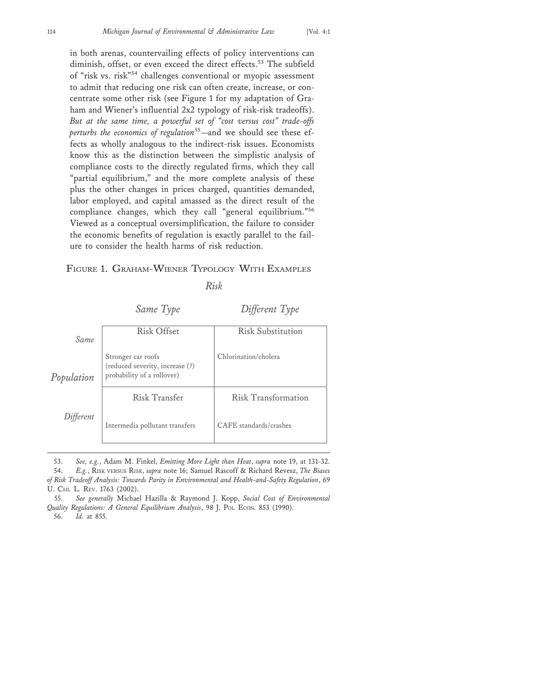in both arenas, countervailing effects of policy interventions can diminish, offset, or even exceed the direct effects.<sup>53</sup> The subfield of "risk vs. risk"54 challenges conventional or myopic assessment to admit that reducing one risk can often create, increase, or concentrate some other risk (see Figure 1 for my adaptation of Graham and Wiener's influential 2x2 typology of risk-risk tradeoffs). *But at the same time, a powerful set of "cost versus cost" trade-offs perturbs the economics of regulation*55—and we should see these effects as wholly analogous to the indirect-risk issues. Economists know this as the distinction between the simplistic analysis of compliance costs to the directly regulated firms, which they call "partial equilibrium," and the more complete analysis of these plus the other changes in prices charged, quantities demanded, labor employed, and capital amassed as the direct result of the compliance changes, which they call "general equilibrium."<sup>56</sup> Viewed as a conceptual oversimplification, the failure to consider the economic benefits of regulation is exactly parallel to the failure to consider the health harms of risk reduction.

#### FIGURE 1. GRAHAM-WIENER TYPOLOGY WITH EXAMPLES

#### *Risk*

*Same Type Different Type*

| Same       | <b>Risk Offset</b>                                                                  | <b>Risk Substitution</b> |
|------------|-------------------------------------------------------------------------------------|--------------------------|
| Population | Stronger car roofs<br>(reduced severity, increase (?)<br>probability of a rollover) | Chlorination/cholera     |
|            | Risk Transfer                                                                       | Risk Transformation      |
| Different  | Intermedia pollutant transfers                                                      | CAFE standards/crashes   |

<sup>53.</sup> *See, e.g.*, Adam M. Finkel, *Emitting More Light than Heat*, *supra* note 19, at 131-32. 54. *E.g.*, RISK VERSUS RISK, *supra* note 16; Samuel Rascoff & Richard Revesz, *The Biases of Risk Tradeoff Analysis: Towards Parity in Environmental and Health-and-Safety Regulation*, 69 U. CHI. L. REV. 1763 (2002).

<sup>55.</sup> *See generally* Michael Hazilla & Raymond J. Kopp, *Social Cost of Environmental Quality Regulations: A General Equilibrium Analysis*, 98 J. POL. ECON. 853 (1990). 56. *Id.* at 855.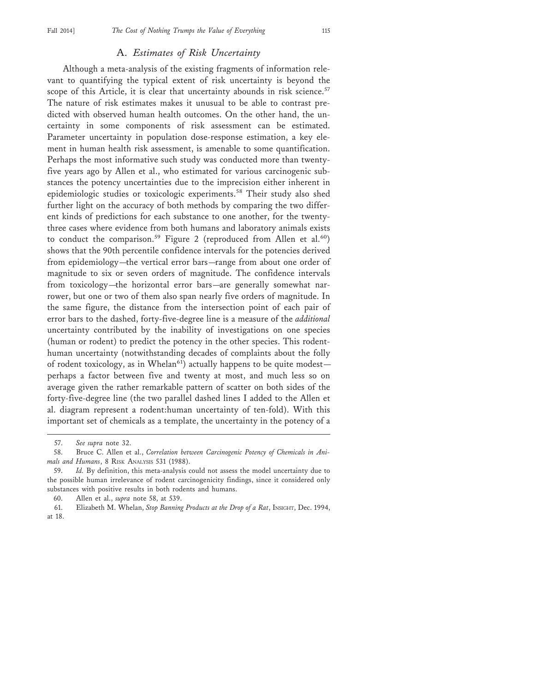## A. *Estimates of Risk Uncertainty*

Although a meta-analysis of the existing fragments of information relevant to quantifying the typical extent of risk uncertainty is beyond the scope of this Article, it is clear that uncertainty abounds in risk science.<sup>57</sup> The nature of risk estimates makes it unusual to be able to contrast predicted with observed human health outcomes. On the other hand, the uncertainty in some components of risk assessment can be estimated. Parameter uncertainty in population dose-response estimation, a key element in human health risk assessment, is amenable to some quantification. Perhaps the most informative such study was conducted more than twentyfive years ago by Allen et al., who estimated for various carcinogenic substances the potency uncertainties due to the imprecision either inherent in epidemiologic studies or toxicologic experiments.<sup>58</sup> Their study also shed further light on the accuracy of both methods by comparing the two different kinds of predictions for each substance to one another, for the twentythree cases where evidence from both humans and laboratory animals exists to conduct the comparison.<sup>59</sup> Figure 2 (reproduced from Allen et al.<sup>60</sup>) shows that the 90th percentile confidence intervals for the potencies derived from epidemiology—the vertical error bars—range from about one order of magnitude to six or seven orders of magnitude. The confidence intervals from toxicology—the horizontal error bars—are generally somewhat narrower, but one or two of them also span nearly five orders of magnitude. In the same figure, the distance from the intersection point of each pair of error bars to the dashed, forty-five-degree line is a measure of the *additional* uncertainty contributed by the inability of investigations on one species (human or rodent) to predict the potency in the other species. This rodenthuman uncertainty (notwithstanding decades of complaints about the folly of rodent toxicology, as in Whelan<sup>61</sup>) actually happens to be quite modestperhaps a factor between five and twenty at most, and much less so on average given the rather remarkable pattern of scatter on both sides of the forty-five-degree line (the two parallel dashed lines I added to the Allen et al. diagram represent a rodent:human uncertainty of ten-fold). With this important set of chemicals as a template, the uncertainty in the potency of a

<sup>57.</sup> *See supra* note 32.

<sup>58.</sup> Bruce C. Allen et al., *Correlation between Carcinogenic Potency of Chemicals in Animals and Humans*, 8 RISK ANALYSIS 531 (1988).

<sup>59.</sup> *Id.* By definition, this meta-analysis could not assess the model uncertainty due to the possible human irrelevance of rodent carcinogenicity findings, since it considered only substances with positive results in both rodents and humans.

<sup>60.</sup> Allen et al., *supra* note 58, at 539.

<sup>61.</sup> Elizabeth M. Whelan, *Stop Banning Products at the Drop of a Rat*, INSIGHT, Dec. 1994, at 18.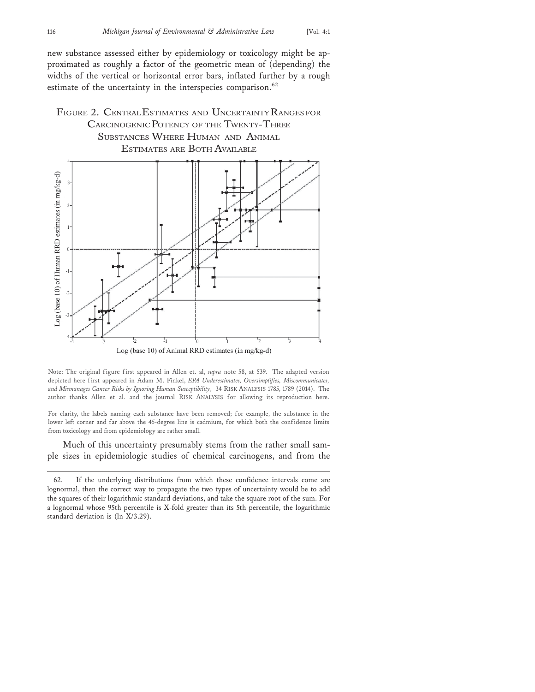new substance assessed either by epidemiology or toxicology might be approximated as roughly a factor of the geometric mean of (depending) the widths of the vertical or horizontal error bars, inflated further by a rough estimate of the uncertainty in the interspecies comparison.<sup>62</sup>

## FIGURE 2. CENTRAL ESTIMATES AND UNCERTAINTY RANGES FOR CARCINOGENIC POTENCY OF THE TWENTY-THREE SUBSTANCES WHERE HUMAN AND ANIMAL ESTIMATES ARE BOTH AVAILABLE



Note: The original figure first appeared in Allen et. al, *supra* note 58, at 539. The adapted version depicted here first appeared in Adam M. Finkel, *EPA Underestimates, Oversimplifies, Miscommunicates, and Mismanages Cancer Risks by Ignoring Human Susceptibility*, 34 RISK ANALYSIS 1785, 1789 (2014). The author thanks Allen et al. and the journal RISK ANALYSIS for allowing its reproduction here.

For clarity, the labels naming each substance have been removed; for example, the substance in the lower left corner and far above the 45-degree line is cadmium, for which both the confidence limits from toxicology and from epidemiology are rather small.

Much of this uncertainty presumably stems from the rather small sample sizes in epidemiologic studies of chemical carcinogens, and from the

<sup>62.</sup> If the underlying distributions from which these confidence intervals come are lognormal, then the correct way to propagate the two types of uncertainty would be to add the squares of their logarithmic standard deviations, and take the square root of the sum. For a lognormal whose 95th percentile is X-fold greater than its 5th percentile, the logarithmic standard deviation is (ln X/3.29).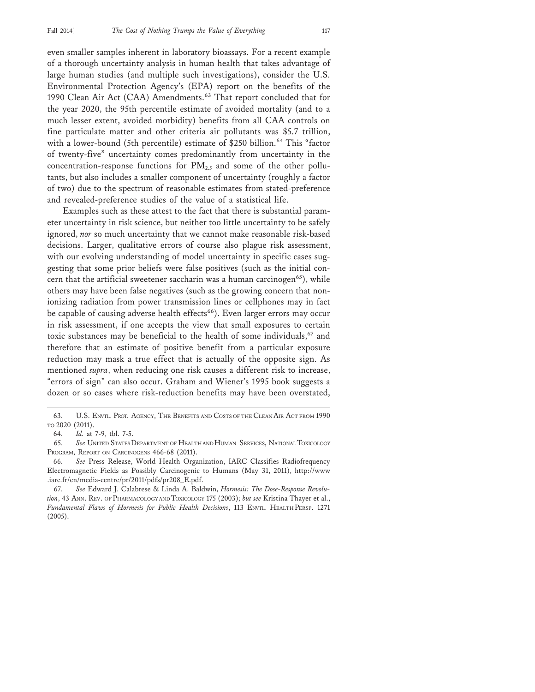even smaller samples inherent in laboratory bioassays. For a recent example of a thorough uncertainty analysis in human health that takes advantage of large human studies (and multiple such investigations), consider the U.S. Environmental Protection Agency's (EPA) report on the benefits of the 1990 Clean Air Act (CAA) Amendments.<sup>63</sup> That report concluded that for the year 2020, the 95th percentile estimate of avoided mortality (and to a much lesser extent, avoided morbidity) benefits from all CAA controls on fine particulate matter and other criteria air pollutants was \$5.7 trillion, with a lower-bound (5th percentile) estimate of \$250 billion.<sup>64</sup> This "factor of twenty-five" uncertainty comes predominantly from uncertainty in the concentration-response functions for  $PM_{2.5}$  and some of the other pollutants, but also includes a smaller component of uncertainty (roughly a factor of two) due to the spectrum of reasonable estimates from stated-preference and revealed-preference studies of the value of a statistical life.

Examples such as these attest to the fact that there is substantial parameter uncertainty in risk science, but neither too little uncertainty to be safely ignored, *nor* so much uncertainty that we cannot make reasonable risk-based decisions. Larger, qualitative errors of course also plague risk assessment, with our evolving understanding of model uncertainty in specific cases suggesting that some prior beliefs were false positives (such as the initial concern that the artificial sweetener saccharin was a human carcinogen<sup>65</sup>), while others may have been false negatives (such as the growing concern that nonionizing radiation from power transmission lines or cellphones may in fact be capable of causing adverse health effects<sup>66</sup>). Even larger errors may occur in risk assessment, if one accepts the view that small exposures to certain toxic substances may be beneficial to the health of some individuals,<sup>67</sup> and therefore that an estimate of positive benefit from a particular exposure reduction may mask a true effect that is actually of the opposite sign. As mentioned *supra*, when reducing one risk causes a different risk to increase, "errors of sign" can also occur. Graham and Wiener's 1995 book suggests a dozen or so cases where risk-reduction benefits may have been overstated,

<sup>63.</sup> U.S. ENVTL. PROT. AGENCY, THE BENEFITS AND COSTS OF THE CLEAN AIR ACT FROM 1990 TO 2020 (2011).

<sup>64.</sup> *Id.* at 7-9, tbl. 7-5.

<sup>65.</sup> *See* UNITED STATES DEPARTMENT OF HEALTH AND HUMAN SERVICES, NATIONAL TOXICOLOGY PROGRAM, REPORT ON CARCINOGENS 466-68 (2011).

<sup>66.</sup> *See* Press Release, World Health Organization, IARC Classifies Radiofrequency Electromagnetic Fields as Possibly Carcinogenic to Humans (May 31, 2011), http://www .iarc.fr/en/media-centre/pr/2011/pdfs/pr208\_E.pdf.

<sup>67.</sup> *See* Edward J. Calabrese & Linda A. Baldwin, *Hormesis: The Dose-Response Revolution*, 43 ANN. REV. OF PHARMACOLOGY AND TOXICOLOGY 175 (2003); *but see* Kristina Thayer et al., *Fundamental Flaws of Hormesis for Public Health Decisions*, 113 ENVTL. HEALTH PERSP. 1271 (2005).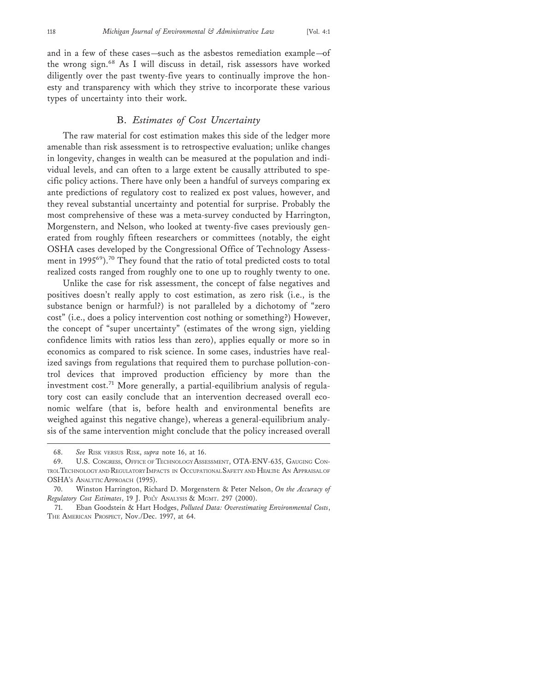and in a few of these cases—such as the asbestos remediation example—of the wrong sign.<sup>68</sup> As I will discuss in detail, risk assessors have worked diligently over the past twenty-five years to continually improve the honesty and transparency with which they strive to incorporate these various types of uncertainty into their work.

#### B. *Estimates of Cost Uncertainty*

The raw material for cost estimation makes this side of the ledger more amenable than risk assessment is to retrospective evaluation; unlike changes in longevity, changes in wealth can be measured at the population and individual levels, and can often to a large extent be causally attributed to specific policy actions. There have only been a handful of surveys comparing ex ante predictions of regulatory cost to realized ex post values, however, and they reveal substantial uncertainty and potential for surprise. Probably the most comprehensive of these was a meta-survey conducted by Harrington, Morgenstern, and Nelson, who looked at twenty-five cases previously generated from roughly fifteen researchers or committees (notably, the eight OSHA cases developed by the Congressional Office of Technology Assessment in 1995<sup>69</sup>).<sup>70</sup> They found that the ratio of total predicted costs to total realized costs ranged from roughly one to one up to roughly twenty to one.

Unlike the case for risk assessment, the concept of false negatives and positives doesn't really apply to cost estimation, as zero risk (i.e., is the substance benign or harmful?) is not paralleled by a dichotomy of "zero cost" (i.e., does a policy intervention cost nothing or something?) However, the concept of "super uncertainty" (estimates of the wrong sign, yielding confidence limits with ratios less than zero), applies equally or more so in economics as compared to risk science. In some cases, industries have realized savings from regulations that required them to purchase pollution-control devices that improved production efficiency by more than the investment  $cost.^{71}$  More generally, a partial-equilibrium analysis of regulatory cost can easily conclude that an intervention decreased overall economic welfare (that is, before health and environmental benefits are weighed against this negative change), whereas a general-equilibrium analysis of the same intervention might conclude that the policy increased overall

<sup>68.</sup> *See* RISK VERSUS RISK, *supra* note 16, at 16.

<sup>69.</sup> U.S. CONGRESS, OFFICE OF TECHNOLOGY ASSESSMENT, OTA-ENV-635, GAUGING CON-TROL TECHNOLOGY AND REGULATORY IMPACTS IN OCCUPATIONAL SAFETY AND HEALTH: AN APPRAISAL OF OSHA'S ANALYTIC APPROACH (1995).

<sup>70.</sup> Winston Harrington, Richard D. Morgenstern & Peter Nelson, *On the Accuracy of Regulatory Cost Estimates*, 19 J. POL'Y ANALYSIS & MGMT. 297 (2000).

<sup>71.</sup> Eban Goodstein & Hart Hodges, *Polluted Data: Overestimating Environmental Costs*, THE AMERICAN PROSPECT, Nov./Dec. 1997, at 64.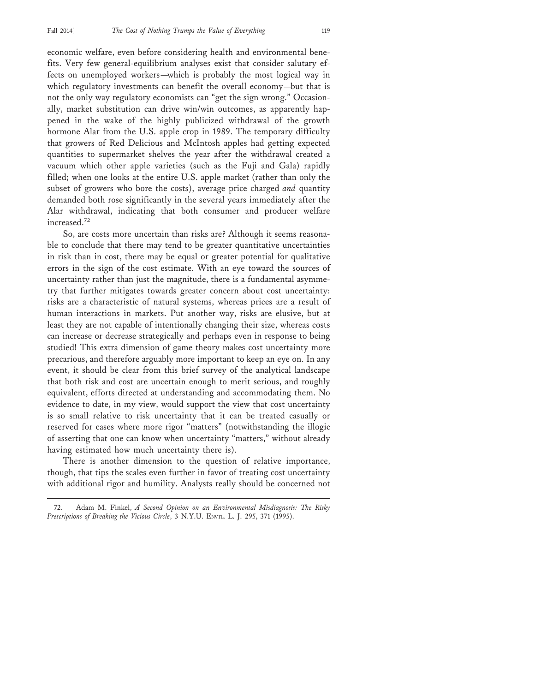economic welfare, even before considering health and environmental benefits. Very few general-equilibrium analyses exist that consider salutary effects on unemployed workers—which is probably the most logical way in which regulatory investments can benefit the overall economy—but that is not the only way regulatory economists can "get the sign wrong." Occasionally, market substitution can drive win/win outcomes, as apparently happened in the wake of the highly publicized withdrawal of the growth hormone Alar from the U.S. apple crop in 1989. The temporary difficulty that growers of Red Delicious and McIntosh apples had getting expected quantities to supermarket shelves the year after the withdrawal created a vacuum which other apple varieties (such as the Fuji and Gala) rapidly filled; when one looks at the entire U.S. apple market (rather than only the subset of growers who bore the costs), average price charged *and* quantity demanded both rose significantly in the several years immediately after the Alar withdrawal, indicating that both consumer and producer welfare increased.<sup>72</sup>

So, are costs more uncertain than risks are? Although it seems reasonable to conclude that there may tend to be greater quantitative uncertainties in risk than in cost, there may be equal or greater potential for qualitative errors in the sign of the cost estimate. With an eye toward the sources of uncertainty rather than just the magnitude, there is a fundamental asymmetry that further mitigates towards greater concern about cost uncertainty: risks are a characteristic of natural systems, whereas prices are a result of human interactions in markets. Put another way, risks are elusive, but at least they are not capable of intentionally changing their size, whereas costs can increase or decrease strategically and perhaps even in response to being studied! This extra dimension of game theory makes cost uncertainty more precarious, and therefore arguably more important to keep an eye on. In any event, it should be clear from this brief survey of the analytical landscape that both risk and cost are uncertain enough to merit serious, and roughly equivalent, efforts directed at understanding and accommodating them. No evidence to date, in my view, would support the view that cost uncertainty is so small relative to risk uncertainty that it can be treated casually or reserved for cases where more rigor "matters" (notwithstanding the illogic of asserting that one can know when uncertainty "matters," without already having estimated how much uncertainty there is).

There is another dimension to the question of relative importance, though, that tips the scales even further in favor of treating cost uncertainty with additional rigor and humility. Analysts really should be concerned not

<sup>72.</sup> Adam M. Finkel, *A Second Opinion on an Environmental Misdiagnosis: The Risky Prescriptions of Breaking the Vicious Circle*, 3 N.Y.U. ENVTL. L. J. 295, 371 (1995).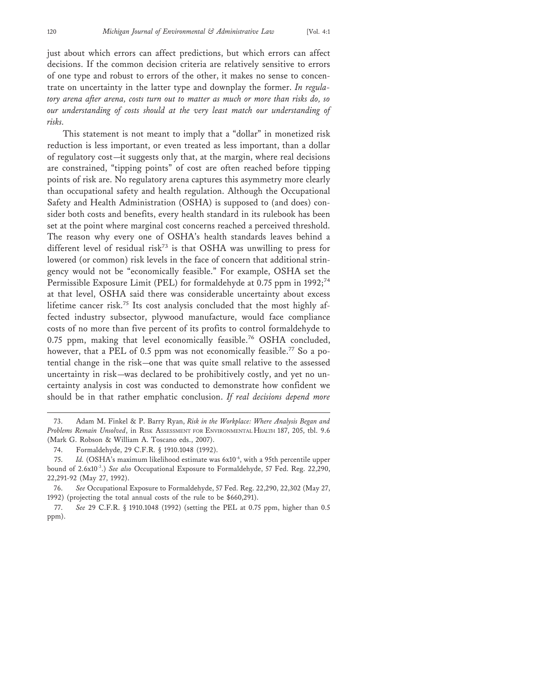just about which errors can affect predictions, but which errors can affect decisions. If the common decision criteria are relatively sensitive to errors of one type and robust to errors of the other, it makes no sense to concentrate on uncertainty in the latter type and downplay the former. *In regulatory arena after arena, costs turn out to matter as much or more than risks do, so our understanding of costs should at the very least match our understanding of risks.*

This statement is not meant to imply that a "dollar" in monetized risk reduction is less important, or even treated as less important, than a dollar of regulatory cost—it suggests only that, at the margin, where real decisions are constrained, "tipping points" of cost are often reached before tipping points of risk are. No regulatory arena captures this asymmetry more clearly than occupational safety and health regulation. Although the Occupational Safety and Health Administration (OSHA) is supposed to (and does) consider both costs and benefits, every health standard in its rulebook has been set at the point where marginal cost concerns reached a perceived threshold. The reason why every one of OSHA's health standards leaves behind a different level of residual risk<sup>73</sup> is that OSHA was unwilling to press for lowered (or common) risk levels in the face of concern that additional stringency would not be "economically feasible." For example, OSHA set the Permissible Exposure Limit (PEL) for formaldehyde at 0.75 ppm in 1992;<sup>74</sup> at that level, OSHA said there was considerable uncertainty about excess lifetime cancer risk.75 Its cost analysis concluded that the most highly affected industry subsector, plywood manufacture, would face compliance costs of no more than five percent of its profits to control formaldehyde to 0.75 ppm, making that level economically feasible.76 OSHA concluded, however, that a PEL of 0.5 ppm was not economically feasible.<sup>77</sup> So a potential change in the risk—one that was quite small relative to the assessed uncertainty in risk—was declared to be prohibitively costly, and yet no uncertainty analysis in cost was conducted to demonstrate how confident we should be in that rather emphatic conclusion. *If real decisions depend more*

<sup>73.</sup> Adam M. Finkel & P. Barry Ryan, *Risk in the Workplace: Where Analysis Began and Problems Remain Unsolved*, in RISK ASSESSMENT FOR ENVIRONMENTAL HEALTH 187, 205, tbl. 9.6 (Mark G. Robson & William A. Toscano eds., 2007).

<sup>74.</sup> Formaldehyde, 29 C.F.R. § 1910.1048 (1992).

<sup>75.</sup> *Id.* (OSHA's maximum likelihood estimate was 6x10<sup>-6</sup>, with a 95th percentile upper bound of 2.6x10-3.) *See also* Occupational Exposure to Formaldehyde, 57 Fed. Reg. 22,290, 22,291-92 (May 27, 1992).

<sup>76.</sup> *See* Occupational Exposure to Formaldehyde, 57 Fed. Reg. 22,290, 22,302 (May 27, 1992) (projecting the total annual costs of the rule to be \$660,291).

<sup>77.</sup> *See* 29 C.F.R. § 1910.1048 (1992) (setting the PEL at 0.75 ppm, higher than 0.5 ppm).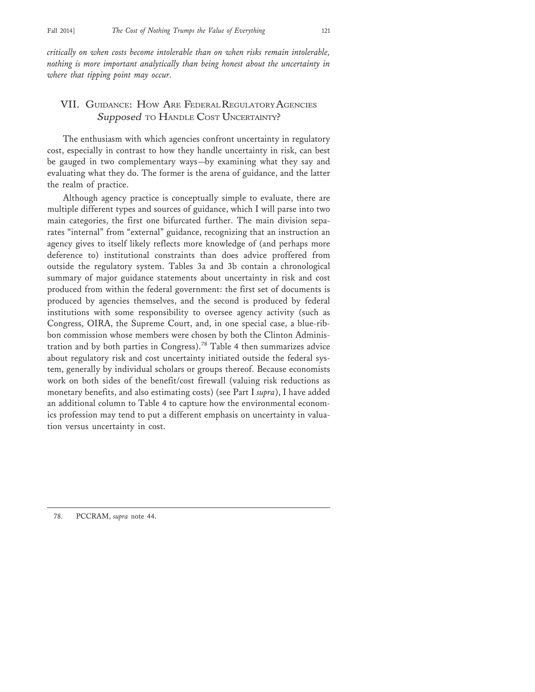*critically on when costs become intolerable than on when risks remain intolerable, nothing is more important analytically than being honest about the uncertainty in where that tipping point may occur.*

## VII. GUIDANCE: HOW ARE FEDERAL REGULATORY AGENCIES Supposed TO HANDLE COST UNCERTAINTY?

The enthusiasm with which agencies confront uncertainty in regulatory cost, especially in contrast to how they handle uncertainty in risk, can best be gauged in two complementary ways—by examining what they say and evaluating what they do. The former is the arena of guidance, and the latter the realm of practice.

Although agency practice is conceptually simple to evaluate, there are multiple different types and sources of guidance, which I will parse into two main categories, the first one bifurcated further. The main division separates "internal" from "external" guidance, recognizing that an instruction an agency gives to itself likely reflects more knowledge of (and perhaps more deference to) institutional constraints than does advice proffered from outside the regulatory system. Tables 3a and 3b contain a chronological summary of major guidance statements about uncertainty in risk and cost produced from within the federal government: the first set of documents is produced by agencies themselves, and the second is produced by federal institutions with some responsibility to oversee agency activity (such as Congress, OIRA, the Supreme Court, and, in one special case, a blue-ribbon commission whose members were chosen by both the Clinton Administration and by both parties in Congress).78 Table 4 then summarizes advice about regulatory risk and cost uncertainty initiated outside the federal system, generally by individual scholars or groups thereof. Because economists work on both sides of the benefit/cost firewall (valuing risk reductions as monetary benefits, and also estimating costs) (see Part I *supra*), I have added an additional column to Table 4 to capture how the environmental economics profession may tend to put a different emphasis on uncertainty in valuation versus uncertainty in cost.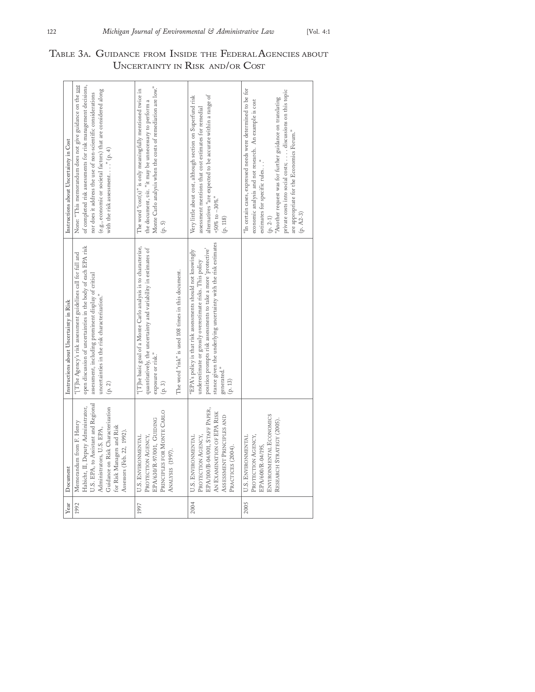| Year | Document                                                                                                                                                                                                                            | Instructions about Uncertainty in Risk                                                                                                                                                                                                                                                | Instructions about Uncertainty in Cost                                                                                                                                                                                                                                                                                                                    |
|------|-------------------------------------------------------------------------------------------------------------------------------------------------------------------------------------------------------------------------------------|---------------------------------------------------------------------------------------------------------------------------------------------------------------------------------------------------------------------------------------------------------------------------------------|-----------------------------------------------------------------------------------------------------------------------------------------------------------------------------------------------------------------------------------------------------------------------------------------------------------------------------------------------------------|
| 1992 | U.S. EPA, to Assistant and Regional<br>Habicht, II, Deputy Administrator,<br>Guidance on Risk Characterization<br>Memorandum from F. Henry<br>for Risk Managers and Risk<br>Administrators, U.S. EPA,<br>Assessors (Feb. 22, 1992). | open discussion of uncertainties in the body of each EPA risk<br>"[T] he Agency's risk assessment guidelines call for full and<br>assessment, including prominent display of critical<br>uncertainties in the risk characterization."<br>(p. 2)                                       | of completed risk assessments for risk management decisions,<br>None: "This memorandum does not give guidance on the use<br>(e.g., economic or societal factors) that are considered along<br>nor does it address the use of non-scientific considerations<br>with the risk assessment. " $(p, 4)$                                                        |
| 1997 | PRINCIPLES FOR MONTE CARLO<br>EPA/630/R-97/001, GUIDING<br>U.S. ENVIRONMENTAL<br>PROTECTION AGENCY,<br>ANALYSIS (1997).                                                                                                             | "[T]he basic goal of a Monte Carlo analysis is to characterize,<br>quantitatively, the uncertainty and variability in estimates of<br>The word "risk" is used 108 times in this document.<br>exposure or risk."<br>(p.3)                                                              | Monte Carlo analysis when the costs of remediation are low."<br>The word "cost(s)" is only meaningfully mentioned twice in<br>the document, viz. "it may be unnecessary to perform a<br>(p. 5)                                                                                                                                                            |
| 2004 | EPA/100/B-04/001, STAFF PAPER,<br>AN EXAMINATION OF EPA RISK<br>ASSESSMENT PRINCIPLES AND<br>U.S. ENVIRONMENTAL<br>PROTECTION AGENCY,<br>PRACTICES (2004).                                                                          | stance given the underlying uncertainty with the risk estimates<br>position prompts risk assessments to take a more 'protective'<br>"EPA's policy is that risk assessments should not knowingly<br>underestimate or grossly overestimate risks. This policy<br>generated."<br>(p. 13) | alternatives "are expected to be accurate within a range of<br>Very little about cost, although section on Superfund risk<br>assessment mentions that cost estimates for remedial<br>+50% to $-30\%$ ."<br>(p. 118)                                                                                                                                       |
| 2005 | ENVIRONMENTAL ECONOMICS<br>RESEARCH STRATEGY (2005).<br>U.S. ENVIRONMENTAL<br>PROTECTION AGENCY,<br>EPA/600/R-04/195,                                                                                                               |                                                                                                                                                                                                                                                                                       | "In certain cases, expressed needs were determined to be for<br>private costs into social costs; discussions on this topic<br>'Another request was for further guidance on translating<br>economic analysis and not research. An example is cost<br>are appropriate for the Economics Forum."<br>estimates for specific rules"<br>(p. A2-3)<br>$(p. 2-1)$ |

TABLE 3A. GUIDANCE FROM INSIDE THE FEDERAL AGENCIES ABOUT UNCERTAINTY IN RISK AND/OR COST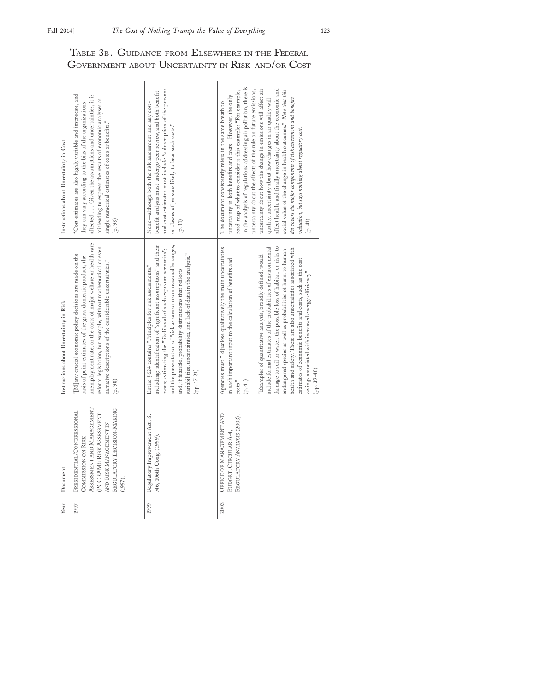| Year | Document                                                                                                                                                                     | Instructions about Uncertainty in Risk                                                                                                                                                                                                                                                                                                                                                                                                                                                                                                                                                                                               | Instructions about Uncertainty in Cost                                                                                                                                                                                                                                                                                                                                                                                                                                                                                                                                                                                                                                                                                           |
|------|------------------------------------------------------------------------------------------------------------------------------------------------------------------------------|--------------------------------------------------------------------------------------------------------------------------------------------------------------------------------------------------------------------------------------------------------------------------------------------------------------------------------------------------------------------------------------------------------------------------------------------------------------------------------------------------------------------------------------------------------------------------------------------------------------------------------------|----------------------------------------------------------------------------------------------------------------------------------------------------------------------------------------------------------------------------------------------------------------------------------------------------------------------------------------------------------------------------------------------------------------------------------------------------------------------------------------------------------------------------------------------------------------------------------------------------------------------------------------------------------------------------------------------------------------------------------|
| 1997 | REGULATORY DECISION-MAKING<br>ASSESSMENT AND MANAGEMENT<br>PRESIDENTIAL/CONGRESSIONAL<br>(PCCRAM): RISK ASSESSMENT<br>AND RISK MANAGEMENT IN<br>COMMISSION ON RISK<br>(1997) | unemployment rate, or the costs of major welfare or health care<br>reform legislation, for example, without mathematical or even<br>"[M]any crucial economic policy decisions are made on the<br>basis of point estimates of the gross domestic product, the<br>narrative descriptions of the considerable uncertainties."<br>(p. 90)                                                                                                                                                                                                                                                                                                | 'Cost estimates are also highly variable and imprecise, and<br>affected Given the assumptions and uncertainties, it is<br>misleading to express the results of economic analyses as<br>they can vary according to the bias of the organizations<br>single numerical estimates of costs or benefits."<br>(p. 98)                                                                                                                                                                                                                                                                                                                                                                                                                  |
| 1999 | Regulatory Improvement Act, S.<br>746, 106th Cong. (1999)                                                                                                                    | including: identification of "significant assumptions" and their<br>and the presentation of "risk as one or more reasonable ranges,<br>bases; estimating the "likelihood of such exposure scenarios";<br>variabilities, uncertainties, and lack of data in the analysis."<br>Entire §624 contains "Principles for risk assessments,"<br>and, if feasible, probability distributions that reflects<br>(pp. 17-21)                                                                                                                                                                                                                     | and cost estimates must include "a description of the persons<br>benefit analysis must undergo peer review, and both benefit<br>None-although both the risk assessment and any cost-<br>or classes of persons likely to bear such costs."<br>$(p. 11)$                                                                                                                                                                                                                                                                                                                                                                                                                                                                           |
| 2003 | OFFICE OF MANAGEMENT AND<br>REGULATORY ANALYSIS (2003).<br>BUDGET, CIRCULAR A-4,                                                                                             | damage to soil or water, the possible loss of habitat, or risks to<br>Agencies must "[d]isclose qualitatively the main uncertainties<br>include formal estimates of the probabilities of environmental<br>health and safety. There are also uncertainties associated with<br>endangered species as well as probabilities of harm to human<br>"Examples of quantitative analysis, broadly defined, would<br>in each important input to the calculation of benefits and<br>estimates of economic benefits and costs, such as the cost<br>savings associated with increased energy efficiency."<br>$(pp. 39-40)$<br>$(p. 41)$<br>costs. | in the analysis of regulations addressing air pollution, there is<br>affect health, and finally uncertainty about the economic and<br>uncertainty about how the change in emissions will affect air<br>uncertainty about the effects of the rule on future emissions,<br>social value of the change in health outcomes." Note that this<br>road-map of what to consider is this example: "For example,<br>uncertainty in both benefits and costs. However, the only<br>list covers the major components of risk assessment and benefits<br>quality, uncertainty about how changes in air quality will<br>The document consistently refers in the same breath to<br>valuation, but says nothing about regulatory cost.<br>(p. 41) |

## TABLE 3B. GUIDANCE FROM ELSEWHERE IN THE FEDERAL GOVERNMENT ABOUT UNCERTAINTY IN RISK AND/OR COST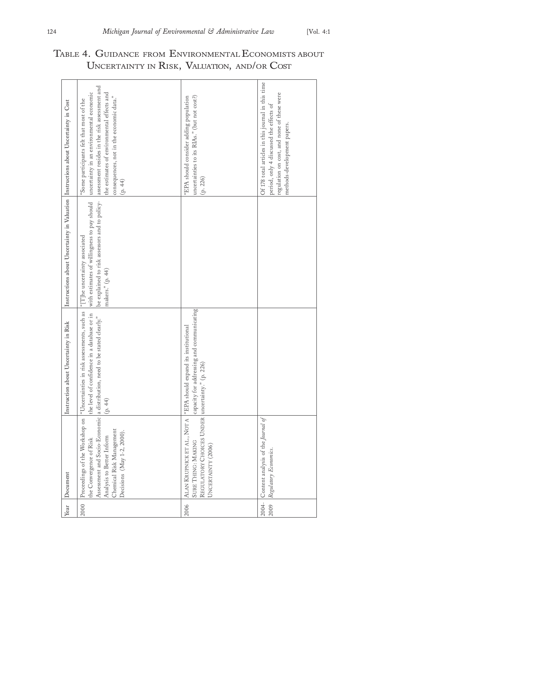|      | Year Document                                                                                                  | Instruction about Uncertainty in Risk                                                                                                                                                                            | Instructions about Uncertainty in Valuation Instructions about Uncertainty in Cost                                                                                                              |                                                                                                                                                                                          |
|------|----------------------------------------------------------------------------------------------------------------|------------------------------------------------------------------------------------------------------------------------------------------------------------------------------------------------------------------|-------------------------------------------------------------------------------------------------------------------------------------------------------------------------------------------------|------------------------------------------------------------------------------------------------------------------------------------------------------------------------------------------|
| 2000 | Chemical Risk Management<br>Decisions (May 1-2, 2000).<br>Analysis to Better Inform<br>the Convergence of Risk | Proceedings of the Workshop on "Uncertainties in risk assessments, such as<br>the level of confidence in a database or in<br>Assessment and Socio-Economic a distribution, need to be stated clearly."<br>(p.44) | be explained to risk assessors and to policy- assessment resides in the risk assessment and<br>with estimates of willingness to pay should<br>"[T]he uncertainty associated<br>makers." (p. 44) | uncertainty in an environmental economic<br>the estimates of environmental effects and<br>consequences, not in the economic data."<br>"Some participants felt that most of the<br>(p.44) |
| 2006 | REGULATORY CHOICES UNDER uncertainty." (p. 226)<br>SURE THING: MAKING<br>UNCERTAINTY (2006)                    | capacity for addressing and communicating<br>ALAN KRUPNICK ET AL., NOT A <sup>"</sup> EPA should expand its institutional                                                                                        |                                                                                                                                                                                                 | uncertainties to its RIAs." (but not cost?)<br>"EPA should consider adding population<br>(p. 226)                                                                                        |
| 2009 | 2004- Content analysis of the Journal of<br>Regulatory Economics.                                              |                                                                                                                                                                                                                  |                                                                                                                                                                                                 | Of 178 total articles in this journal in this time<br>regulation on cost, and none of these were<br>period, only 4 discussed the effects of<br>methods-development papers.               |

|  | TABLE 4. GUIDANCE FROM ENVIRONMENTAL ECONOMISTS ABOUT |  |  |  |  |
|--|-------------------------------------------------------|--|--|--|--|
|  | UNCERTAINTY IN RISK, VALUATION, AND/OR COST           |  |  |  |  |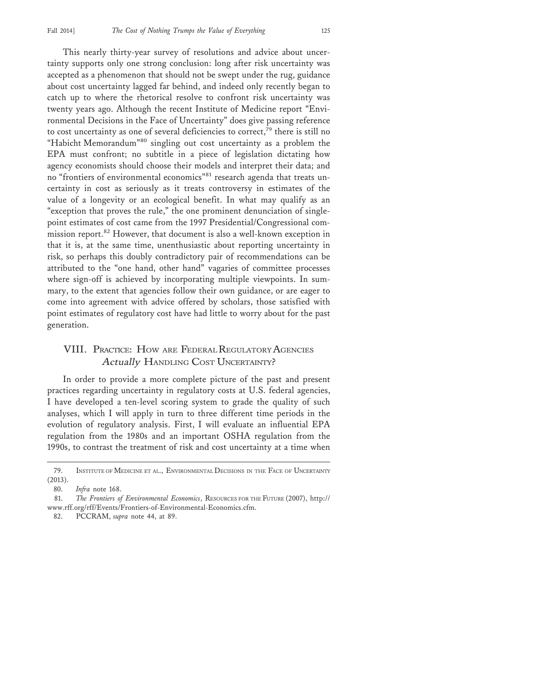This nearly thirty-year survey of resolutions and advice about uncertainty supports only one strong conclusion: long after risk uncertainty was accepted as a phenomenon that should not be swept under the rug, guidance about cost uncertainty lagged far behind, and indeed only recently began to catch up to where the rhetorical resolve to confront risk uncertainty was twenty years ago. Although the recent Institute of Medicine report "Environmental Decisions in the Face of Uncertainty" does give passing reference to cost uncertainty as one of several deficiencies to correct, $^{79}$  there is still no "Habicht Memorandum"80 singling out cost uncertainty as a problem the EPA must confront; no subtitle in a piece of legislation dictating how agency economists should choose their models and interpret their data; and no "frontiers of environmental economics"81 research agenda that treats uncertainty in cost as seriously as it treats controversy in estimates of the value of a longevity or an ecological benefit. In what may qualify as an "exception that proves the rule," the one prominent denunciation of singlepoint estimates of cost came from the 1997 Presidential/Congressional commission report.<sup>82</sup> However, that document is also a well-known exception in that it is, at the same time, unenthusiastic about reporting uncertainty in risk, so perhaps this doubly contradictory pair of recommendations can be attributed to the "one hand, other hand" vagaries of committee processes where sign-off is achieved by incorporating multiple viewpoints. In summary, to the extent that agencies follow their own guidance, or are eager to come into agreement with advice offered by scholars, those satisfied with point estimates of regulatory cost have had little to worry about for the past generation.

## VIII. PRACTICE: HOW ARE FEDERAL REGULATORY AGENCIES Actually HANDLING COST UNCERTAINTY?

In order to provide a more complete picture of the past and present practices regarding uncertainty in regulatory costs at U.S. federal agencies, I have developed a ten-level scoring system to grade the quality of such analyses, which I will apply in turn to three different time periods in the evolution of regulatory analysis. First, I will evaluate an influential EPA regulation from the 1980s and an important OSHA regulation from the 1990s, to contrast the treatment of risk and cost uncertainty at a time when

<sup>79.</sup> INSTITUTE OF MEDICINE ET AL., ENVIRONMENTAL DECISIONS IN THE FACE OF UNCERTAINTY (2013).

<sup>80.</sup> *Infra* note 168.

<sup>81.</sup> *The Frontiers of Environmental Economics*, RESOURCES FOR THE FUTURE (2007), http:// www.rff.org/rff/Events/Frontiers-of-Environmental-Economics.cfm.

<sup>82.</sup> PCCRAM, *supra* note 44, at 89.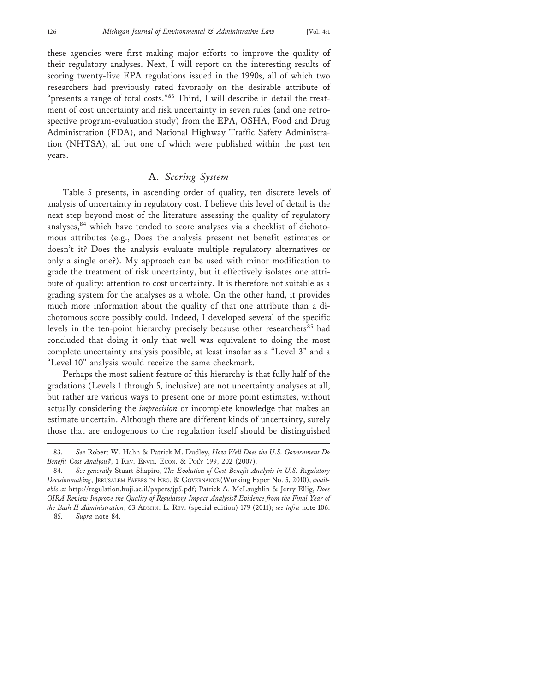these agencies were first making major efforts to improve the quality of their regulatory analyses. Next, I will report on the interesting results of scoring twenty-five EPA regulations issued in the 1990s, all of which two researchers had previously rated favorably on the desirable attribute of "presents a range of total costs."<sup>83</sup> Third, I will describe in detail the treatment of cost uncertainty and risk uncertainty in seven rules (and one retrospective program-evaluation study) from the EPA, OSHA, Food and Drug Administration (FDA), and National Highway Traffic Safety Administration (NHTSA), all but one of which were published within the past ten years.

#### A. *Scoring System*

Table 5 presents, in ascending order of quality, ten discrete levels of analysis of uncertainty in regulatory cost. I believe this level of detail is the next step beyond most of the literature assessing the quality of regulatory analyses,<sup>84</sup> which have tended to score analyses via a checklist of dichotomous attributes (e.g., Does the analysis present net benefit estimates or doesn't it? Does the analysis evaluate multiple regulatory alternatives or only a single one?). My approach can be used with minor modification to grade the treatment of risk uncertainty, but it effectively isolates one attribute of quality: attention to cost uncertainty. It is therefore not suitable as a grading system for the analyses as a whole. On the other hand, it provides much more information about the quality of that one attribute than a dichotomous score possibly could. Indeed, I developed several of the specific levels in the ten-point hierarchy precisely because other researchers<sup>85</sup> had concluded that doing it only that well was equivalent to doing the most complete uncertainty analysis possible, at least insofar as a "Level 3" and a "Level 10" analysis would receive the same checkmark.

Perhaps the most salient feature of this hierarchy is that fully half of the gradations (Levels 1 through 5, inclusive) are not uncertainty analyses at all, but rather are various ways to present one or more point estimates, without actually considering the *imprecision* or incomplete knowledge that makes an estimate uncertain. Although there are different kinds of uncertainty, surely those that are endogenous to the regulation itself should be distinguished

<sup>83.</sup> *See* Robert W. Hahn & Patrick M. Dudley, *How Well Does the U.S. Government Do Benefit-Cost Analysis?*, 1 REV. ENVTL. ECON. & POL'Y 199, 202 (2007).

<sup>84.</sup> *See generally* Stuart Shapiro, *The Evolution of Cost-Benefit Analysis in U.S. Regulatory Decisionmaking*, JERUSALEM PAPERS IN REG. & GOVERNANCE (Working Paper No. 5, 2010), *available at* http://regulation.huji.ac.il/papers/jp5.pdf; Patrick A. McLaughlin & Jerry Ellig, *Does OIRA Review Improve the Quality of Regulatory Impact Analysis? Evidence from the Final Year of the Bush II Administration*, 63 ADMIN. L. REV. (special edition) 179 (2011); *see infra* note 106. 85. *Supra* note 84.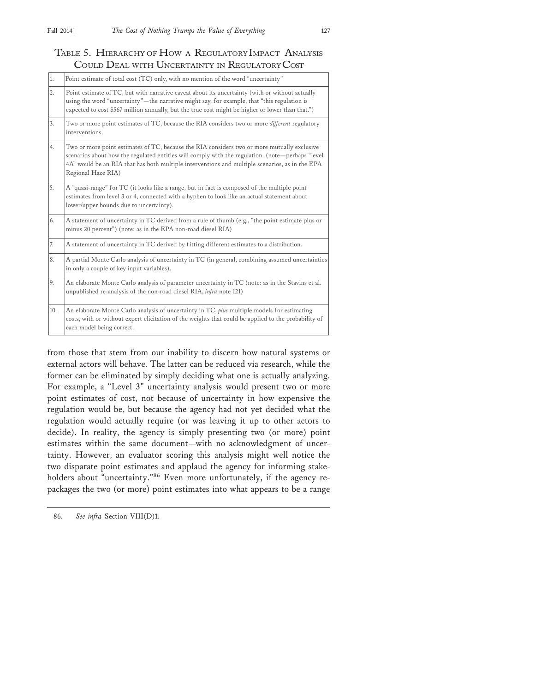## TABLE 5. HIERARCHY OF HOW A REGULATORY IMPACT ANALYSIS COULD DEAL WITH UNCERTAINTY IN REGULATORY COST

| 1.               | Point estimate of total cost (TC) only, with no mention of the word "uncertainty"                                                                                                                                                                                                                                       |
|------------------|-------------------------------------------------------------------------------------------------------------------------------------------------------------------------------------------------------------------------------------------------------------------------------------------------------------------------|
| $\overline{2}$ . | Point estimate of TC, but with narrative caveat about its uncertainty (with or without actually<br>using the word "uncertainty"—the narrative might say, for example, that "this regulation is<br>expected to cost \$567 million annually, but the true cost might be higher or lower than that.")                      |
| 3.               | Two or more point estimates of TC, because the RIA considers two or more <i>different</i> regulatory<br>interventions.                                                                                                                                                                                                  |
| 4.               | Two or more point estimates of TC, because the RIA considers two or more mutually exclusive<br>scenarios about how the regulated entities will comply with the regulation. (note—perhaps "level<br>4A" would be an RIA that has both multiple interventions and multiple scenarios, as in the EPA<br>Regional Haze RIA) |
| 5.               | A "quasi-range" for TC (it looks like a range, but in fact is composed of the multiple point<br>estimates from level 3 or 4, connected with a hyphen to look like an actual statement about<br>lower/upper bounds due to uncertainty).                                                                                  |
| 6.               | A statement of uncertainty in TC derived from a rule of thumb (e.g., "the point estimate plus or<br>minus 20 percent") (note: as in the EPA non-road diesel RIA)                                                                                                                                                        |
| 7.               | A statement of uncertainty in TC derived by fitting different estimates to a distribution.                                                                                                                                                                                                                              |
| 18.              | A partial Monte Carlo analysis of uncertainty in TC (in general, combining assumed uncertainties<br>in only a couple of key input variables).                                                                                                                                                                           |
| 9.               | An elaborate Monte Carlo analysis of parameter uncertainty in TC (note: as in the Stavins et al.<br>unpublished re-analysis of the non-road diesel RIA, infra note 121)                                                                                                                                                 |
| 10.              | An elaborate Monte Carlo analysis of uncertainty in TC, plus multiple models for estimating<br>costs, with or without expert elicitation of the weights that could be applied to the probability of<br>each model being correct.                                                                                        |

from those that stem from our inability to discern how natural systems or external actors will behave. The latter can be reduced via research, while the former can be eliminated by simply deciding what one is actually analyzing. For example, a "Level 3" uncertainty analysis would present two or more point estimates of cost, not because of uncertainty in how expensive the regulation would be, but because the agency had not yet decided what the regulation would actually require (or was leaving it up to other actors to decide). In reality, the agency is simply presenting two (or more) point estimates within the same document—with no acknowledgment of uncertainty. However, an evaluator scoring this analysis might well notice the two disparate point estimates and applaud the agency for informing stakeholders about "uncertainty."<sup>86</sup> Even more unfortunately, if the agency repackages the two (or more) point estimates into what appears to be a range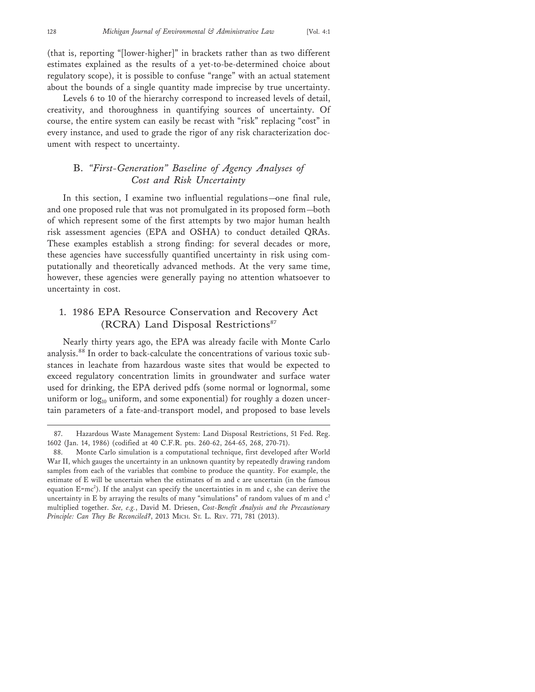(that is, reporting "[lower-higher]" in brackets rather than as two different estimates explained as the results of a yet-to-be-determined choice about regulatory scope), it is possible to confuse "range" with an actual statement about the bounds of a single quantity made imprecise by true uncertainty.

Levels 6 to 10 of the hierarchy correspond to increased levels of detail, creativity, and thoroughness in quantifying sources of uncertainty. Of course, the entire system can easily be recast with "risk" replacing "cost" in every instance, and used to grade the rigor of any risk characterization document with respect to uncertainty.

## B. *"First-Generation" Baseline of Agency Analyses of Cost and Risk Uncertainty*

In this section, I examine two influential regulations—one final rule, and one proposed rule that was not promulgated in its proposed form—both of which represent some of the first attempts by two major human health risk assessment agencies (EPA and OSHA) to conduct detailed QRAs. These examples establish a strong finding: for several decades or more, these agencies have successfully quantified uncertainty in risk using computationally and theoretically advanced methods. At the very same time, however, these agencies were generally paying no attention whatsoever to uncertainty in cost.

## 1. 1986 EPA Resource Conservation and Recovery Act (RCRA) Land Disposal Restrictions<sup>87</sup>

Nearly thirty years ago, the EPA was already facile with Monte Carlo analysis.88 In order to back-calculate the concentrations of various toxic substances in leachate from hazardous waste sites that would be expected to exceed regulatory concentration limits in groundwater and surface water used for drinking, the EPA derived pdfs (some normal or lognormal, some uniform or  $log_{10}$  uniform, and some exponential) for roughly a dozen uncertain parameters of a fate-and-transport model, and proposed to base levels

<sup>87.</sup> Hazardous Waste Management System: Land Disposal Restrictions, 51 Fed. Reg. 1602 (Jan. 14, 1986) (codified at 40 C.F.R. pts. 260-62, 264-65, 268, 270-71).

<sup>88.</sup> Monte Carlo simulation is a computational technique, first developed after World War II, which gauges the uncertainty in an unknown quantity by repeatedly drawing random samples from each of the variables that combine to produce the quantity. For example, the estimate of E will be uncertain when the estimates of m and c are uncertain (in the famous equation E=mc<sup>2</sup>). If the analyst can specify the uncertainties in m and c, she can derive the uncertainty in E by arraying the results of many "simulations" of random values of m and  $c<sup>2</sup>$ multiplied together. *See, e.g.*, David M. Driesen, *Cost-Benefit Analysis and the Precautionary Principle: Can They Be Reconciled?*, 2013 MICH. ST. L. REV. 771, 781 (2013).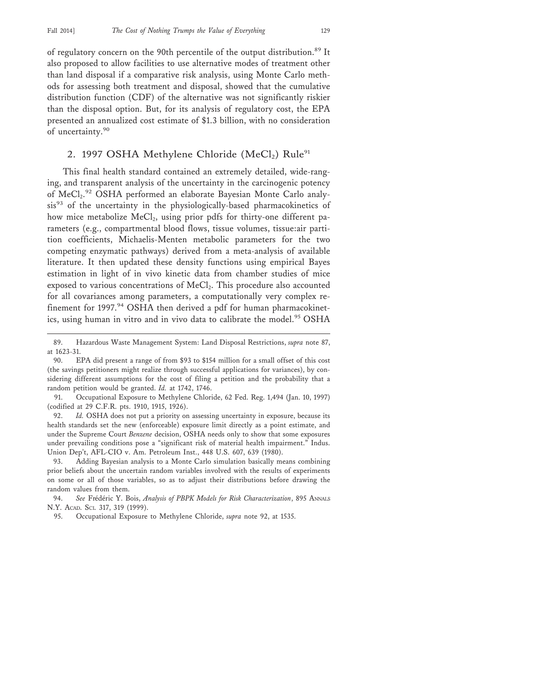of regulatory concern on the 90th percentile of the output distribution.<sup>89</sup> It also proposed to allow facilities to use alternative modes of treatment other than land disposal if a comparative risk analysis, using Monte Carlo methods for assessing both treatment and disposal, showed that the cumulative distribution function (CDF) of the alternative was not significantly riskier than the disposal option. But, for its analysis of regulatory cost, the EPA presented an annualized cost estimate of \$1.3 billion, with no consideration of uncertainty.<sup>90</sup>

#### 2. 1997 OSHA Methylene Chloride (MeCl<sub>2</sub>) Rule<sup>91</sup>

This final health standard contained an extremely detailed, wide-ranging, and transparent analysis of the uncertainty in the carcinogenic potency of MeCl<sub>2</sub>.<sup>92</sup> OSHA performed an elaborate Bayesian Monte Carlo analysis<sup>93</sup> of the uncertainty in the physiologically-based pharmacokinetics of how mice metabolize MeCl<sub>2</sub>, using prior pdfs for thirty-one different parameters (e.g., compartmental blood flows, tissue volumes, tissue:air partition coefficients, Michaelis-Menten metabolic parameters for the two competing enzymatic pathways) derived from a meta-analysis of available literature. It then updated these density functions using empirical Bayes estimation in light of in vivo kinetic data from chamber studies of mice exposed to various concentrations of MeCl<sub>2</sub>. This procedure also accounted for all covariances among parameters, a computationally very complex refinement for 1997.<sup>94</sup> OSHA then derived a pdf for human pharmacokinetics, using human in vitro and in vivo data to calibrate the model.<sup>95</sup> OSHA

<sup>89.</sup> Hazardous Waste Management System: Land Disposal Restrictions, *supra* note 87, at 1623-31.

<sup>90.</sup> EPA did present a range of from \$93 to \$154 million for a small offset of this cost (the savings petitioners might realize through successful applications for variances), by considering different assumptions for the cost of filing a petition and the probability that a random petition would be granted. *Id.* at 1742, 1746.

<sup>91.</sup> Occupational Exposure to Methylene Chloride, 62 Fed. Reg. 1,494 (Jan. 10, 1997) (codified at 29 C.F.R. pts. 1910, 1915, 1926).

<sup>92.</sup> *Id.* OSHA does not put a priority on assessing uncertainty in exposure, because its health standards set the new (enforceable) exposure limit directly as a point estimate, and under the Supreme Court *Benzene* decision, OSHA needs only to show that some exposures under prevailing conditions pose a "significant risk of material health impairment." Indus. Union Dep't, AFL-CIO v. Am. Petroleum Inst., 448 U.S. 607, 639 (1980).

<sup>93.</sup> Adding Bayesian analysis to a Monte Carlo simulation basically means combining prior beliefs about the uncertain random variables involved with the results of experiments on some or all of those variables, so as to adjust their distributions before drawing the random values from them.

<sup>94.</sup> See Frédéric Y. Bois, *Analysis of PBPK Models for Risk Characterization*, 895 ANNALS N.Y. ACAD. SCI. 317, 319 (1999).

<sup>95.</sup> Occupational Exposure to Methylene Chloride, *supra* note 92, at 1535.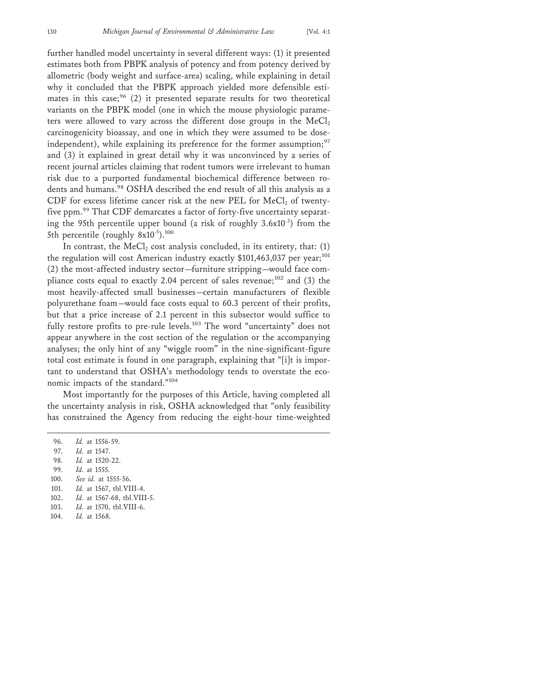further handled model uncertainty in several different ways: (1) it presented estimates both from PBPK analysis of potency and from potency derived by allometric (body weight and surface-area) scaling, while explaining in detail why it concluded that the PBPK approach yielded more defensible estimates in this case;<sup>96</sup> (2) it presented separate results for two theoretical variants on the PBPK model (one in which the mouse physiologic parameters were allowed to vary across the different dose groups in the  $MeCl<sub>2</sub>$ carcinogenicity bioassay, and one in which they were assumed to be doseindependent), while explaining its preference for the former assumption; $97$ and (3) it explained in great detail why it was unconvinced by a series of recent journal articles claiming that rodent tumors were irrelevant to human risk due to a purported fundamental biochemical difference between rodents and humans.<sup>98</sup> OSHA described the end result of all this analysis as a CDF for excess lifetime cancer risk at the new PEL for  $MeCl<sub>2</sub>$  of twentyfive ppm.<sup>99</sup> That CDF demarcates a factor of forty-five uncertainty separating the 95th percentile upper bound (a risk of roughly  $3.6x10^{-3}$ ) from the 5th percentile (roughly 8x10<sup>-5</sup>).<sup>100</sup>

In contrast, the  $MeCl<sub>2</sub>$  cost analysis concluded, in its entirety, that: (1) the regulation will cost American industry exactly \$101,463,037 per year;<sup>101</sup> (2) the most-affected industry sector—furniture stripping—would face compliance costs equal to exactly 2.04 percent of sales revenue; $102$  and (3) the most heavily-affected small businesses—certain manufacturers of flexible polyurethane foam—would face costs equal to 60.3 percent of their profits, but that a price increase of 2.1 percent in this subsector would suffice to fully restore profits to pre-rule levels.<sup>103</sup> The word "uncertainty" does not appear anywhere in the cost section of the regulation or the accompanying analyses; the only hint of any "wiggle room" in the nine-significant-figure total cost estimate is found in one paragraph, explaining that "[i]t is important to understand that OSHA's methodology tends to overstate the economic impacts of the standard."<sup>104</sup>

Most importantly for the purposes of this Article, having completed all the uncertainty analysis in risk, OSHA acknowledged that "only feasibility has constrained the Agency from reducing the eight-hour time-weighted

96. *Id.* at 1556-59. 97. *Id.* at 1547. 98. *Id.* at 1520-22. 99. *Id.* at 1555. 100. *See id.* at 1555-56. 101. *Id.* at 1567, tbl.VIII-4. 102. *Id.* at 1567-68, tbl.VIII-5. 103. *Id.* at 1570, tbl.VIII-6. 104. *Id.* at 1568.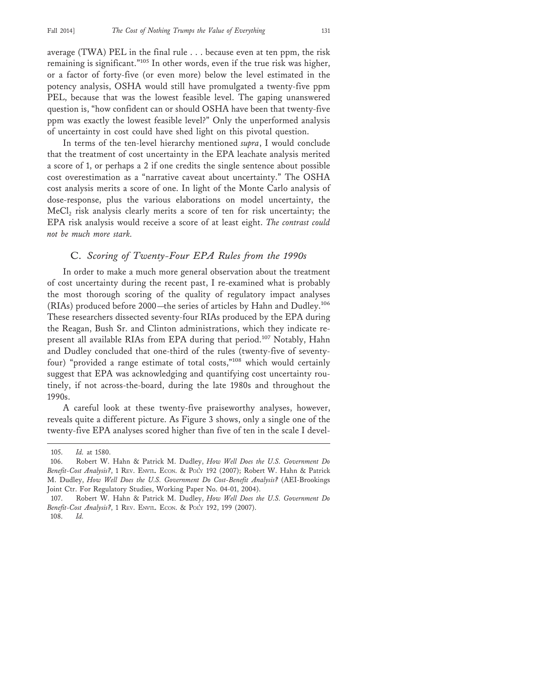average (TWA) PEL in the final rule . . . because even at ten ppm, the risk remaining is significant."105 In other words, even if the true risk was higher, or a factor of forty-five (or even more) below the level estimated in the potency analysis, OSHA would still have promulgated a twenty-five ppm PEL, because that was the lowest feasible level. The gaping unanswered question is, "how confident can or should OSHA have been that twenty-five ppm was exactly the lowest feasible level?" Only the unperformed analysis of uncertainty in cost could have shed light on this pivotal question.

In terms of the ten-level hierarchy mentioned *supra*, I would conclude that the treatment of cost uncertainty in the EPA leachate analysis merited a score of 1, or perhaps a 2 if one credits the single sentence about possible cost overestimation as a "narrative caveat about uncertainty." The OSHA cost analysis merits a score of one. In light of the Monte Carlo analysis of dose-response, plus the various elaborations on model uncertainty, the  $MeCl<sub>2</sub>$  risk analysis clearly merits a score of ten for risk uncertainty; the EPA risk analysis would receive a score of at least eight. *The contrast could not be much more stark.*

#### C. *Scoring of Twenty-Four EPA Rules from the 1990s*

In order to make a much more general observation about the treatment of cost uncertainty during the recent past, I re-examined what is probably the most thorough scoring of the quality of regulatory impact analyses (RIAs) produced before 2000—the series of articles by Hahn and Dudley.<sup>106</sup> These researchers dissected seventy-four RIAs produced by the EPA during the Reagan, Bush Sr. and Clinton administrations, which they indicate represent all available RIAs from EPA during that period.107 Notably, Hahn and Dudley concluded that one-third of the rules (twenty-five of seventyfour) "provided a range estimate of total costs,"108 which would certainly suggest that EPA was acknowledging and quantifying cost uncertainty routinely, if not across-the-board, during the late 1980s and throughout the 1990s.

A careful look at these twenty-five praiseworthy analyses, however, reveals quite a different picture. As Figure 3 shows, only a single one of the twenty-five EPA analyses scored higher than five of ten in the scale I devel-

<sup>105.</sup> *Id.* at 1580.

<sup>106.</sup> Robert W. Hahn & Patrick M. Dudley, *How Well Does the U.S. Government Do Benefit-Cost Analysis?*, 1 REV. ENVTL. ECON. & POL'Y 192 (2007); Robert W. Hahn & Patrick M. Dudley, *How Well Does the U.S. Government Do Cost-Benefit Analysis?* (AEI-Brookings Joint Ctr. For Regulatory Studies, Working Paper No. 04-01, 2004).

<sup>107.</sup> Robert W. Hahn & Patrick M. Dudley, *How Well Does the U.S. Government Do Benefit-Cost Analysis?*, 1 REV. ENVTL. ECON. & POL'Y 192, 199 (2007).

<sup>108.</sup> *Id.*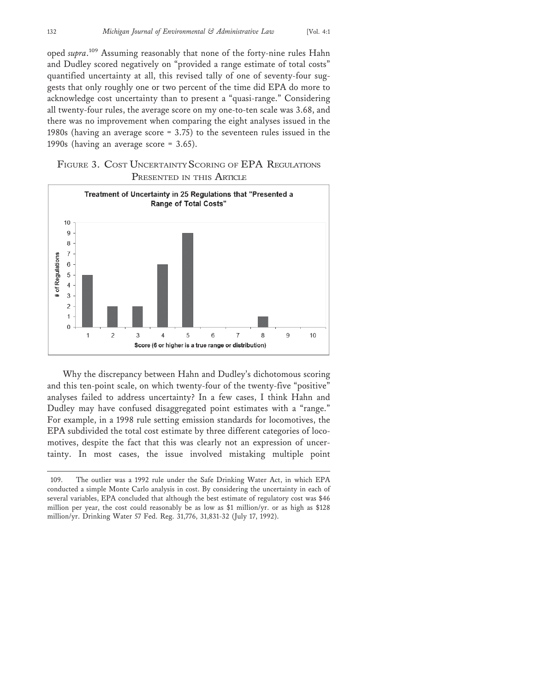oped *supra*. 109 Assuming reasonably that none of the forty-nine rules Hahn and Dudley scored negatively on "provided a range estimate of total costs" quantified uncertainty at all, this revised tally of one of seventy-four suggests that only roughly one or two percent of the time did EPA do more to acknowledge cost uncertainty than to present a "quasi-range." Considering all twenty-four rules, the average score on my one-to-ten scale was 3.68, and there was no improvement when comparing the eight analyses issued in the 1980s (having an average score = 3.75) to the seventeen rules issued in the 1990s (having an average score = 3.65).

FIGURE 3. COST UNCERTAINTY SCORING OF EPA REGULATIONS PRESENTED IN THIS ARTICLE



Why the discrepancy between Hahn and Dudley's dichotomous scoring and this ten-point scale, on which twenty-four of the twenty-five "positive" analyses failed to address uncertainty? In a few cases, I think Hahn and Dudley may have confused disaggregated point estimates with a "range." For example, in a 1998 rule setting emission standards for locomotives, the EPA subdivided the total cost estimate by three different categories of locomotives, despite the fact that this was clearly not an expression of uncertainty. In most cases, the issue involved mistaking multiple point

<sup>109.</sup> The outlier was a 1992 rule under the Safe Drinking Water Act, in which EPA conducted a simple Monte Carlo analysis in cost. By considering the uncertainty in each of several variables, EPA concluded that although the best estimate of regulatory cost was \$46 million per year, the cost could reasonably be as low as \$1 million/yr. or as high as \$128 million/yr. Drinking Water 57 Fed. Reg. 31,776, 31,831-32 (July 17, 1992).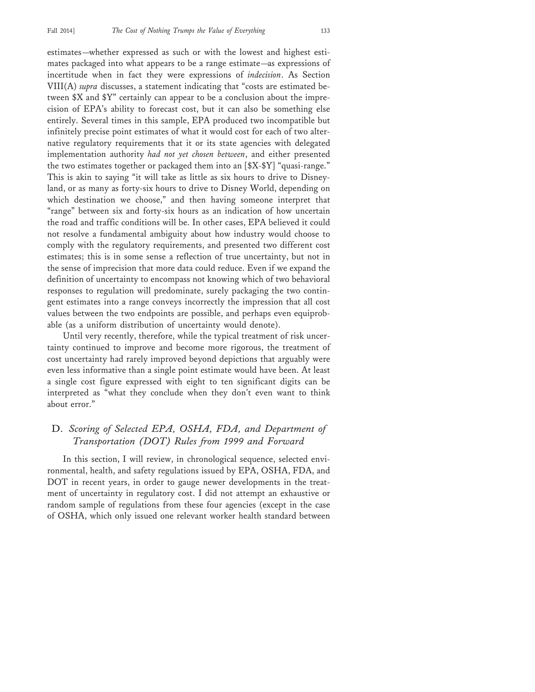estimates—whether expressed as such or with the lowest and highest estimates packaged into what appears to be a range estimate—as expressions of incertitude when in fact they were expressions of *indecision*. As Section VIII(A) *supra* discusses, a statement indicating that "costs are estimated between \$X and \$Y" certainly can appear to be a conclusion about the imprecision of EPA's ability to forecast cost, but it can also be something else entirely. Several times in this sample, EPA produced two incompatible but infinitely precise point estimates of what it would cost for each of two alternative regulatory requirements that it or its state agencies with delegated implementation authority *had not yet chosen between*, and either presented the two estimates together or packaged them into an [\$X-\$Y] "quasi-range." This is akin to saying "it will take as little as six hours to drive to Disneyland, or as many as forty-six hours to drive to Disney World, depending on which destination we choose," and then having someone interpret that "range" between six and forty-six hours as an indication of how uncertain the road and traffic conditions will be. In other cases, EPA believed it could not resolve a fundamental ambiguity about how industry would choose to comply with the regulatory requirements, and presented two different cost estimates; this is in some sense a reflection of true uncertainty, but not in the sense of imprecision that more data could reduce. Even if we expand the definition of uncertainty to encompass not knowing which of two behavioral responses to regulation will predominate, surely packaging the two contingent estimates into a range conveys incorrectly the impression that all cost values between the two endpoints are possible, and perhaps even equiprobable (as a uniform distribution of uncertainty would denote).

Until very recently, therefore, while the typical treatment of risk uncertainty continued to improve and become more rigorous, the treatment of cost uncertainty had rarely improved beyond depictions that arguably were even less informative than a single point estimate would have been. At least a single cost figure expressed with eight to ten significant digits can be interpreted as "what they conclude when they don't even want to think about error."

## D. *Scoring of Selected EPA, OSHA, FDA, and Department of Transportation (DOT) Rules from 1999 and Forward*

In this section, I will review, in chronological sequence, selected environmental, health, and safety regulations issued by EPA, OSHA, FDA, and DOT in recent years, in order to gauge newer developments in the treatment of uncertainty in regulatory cost. I did not attempt an exhaustive or random sample of regulations from these four agencies (except in the case of OSHA, which only issued one relevant worker health standard between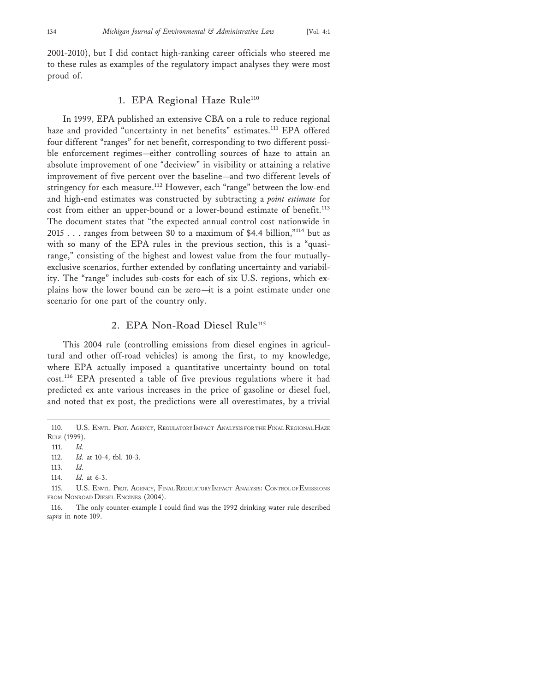2001-2010), but I did contact high-ranking career officials who steered me to these rules as examples of the regulatory impact analyses they were most proud of.

#### 1. EPA Regional Haze Rule<sup>110</sup>

In 1999, EPA published an extensive CBA on a rule to reduce regional haze and provided "uncertainty in net benefits" estimates.<sup>111</sup> EPA offered four different "ranges" for net benefit, corresponding to two different possible enforcement regimes—either controlling sources of haze to attain an absolute improvement of one "deciview" in visibility or attaining a relative improvement of five percent over the baseline—and two different levels of stringency for each measure.<sup>112</sup> However, each "range" between the low-end and high-end estimates was constructed by subtracting a *point estimate* for cost from either an upper-bound or a lower-bound estimate of benefit.<sup>113</sup> The document states that "the expected annual control cost nationwide in 2015 . . . ranges from between \$0 to a maximum of \$4.4 billion,"114 but as with so many of the EPA rules in the previous section, this is a "quasirange," consisting of the highest and lowest value from the four mutuallyexclusive scenarios, further extended by conflating uncertainty and variability. The "range" includes sub-costs for each of six U.S. regions, which explains how the lower bound can be zero—it is a point estimate under one scenario for one part of the country only.

#### 2. EPA Non-Road Diesel Rule<sup>115</sup>

This 2004 rule (controlling emissions from diesel engines in agricultural and other off-road vehicles) is among the first, to my knowledge, where EPA actually imposed a quantitative uncertainty bound on total cost.116 EPA presented a table of five previous regulations where it had predicted ex ante various increases in the price of gasoline or diesel fuel, and noted that ex post, the predictions were all overestimates, by a trivial

<sup>110.</sup> U.S. ENVTL. PROT. AGENCY, REGULATORY IMPACT ANALYSIS FOR THE FINAL REGIONAL HAZE RULE (1999).

<sup>111.</sup> *Id.*

<sup>112.</sup> *Id.* at 10-4, tbl. 10-3.

<sup>113.</sup> *Id.*

<sup>114.</sup> *Id.* at 6-3.

<sup>115.</sup> U.S. ENVTL. PROT. AGENCY, FINAL REGULATORY IMPACT ANALYSIS: CONTROL OF EMISSIONS FROM NONROAD DIESEL ENGINES (2004).

<sup>116.</sup> The only counter-example I could find was the 1992 drinking water rule described *supra* in note 109.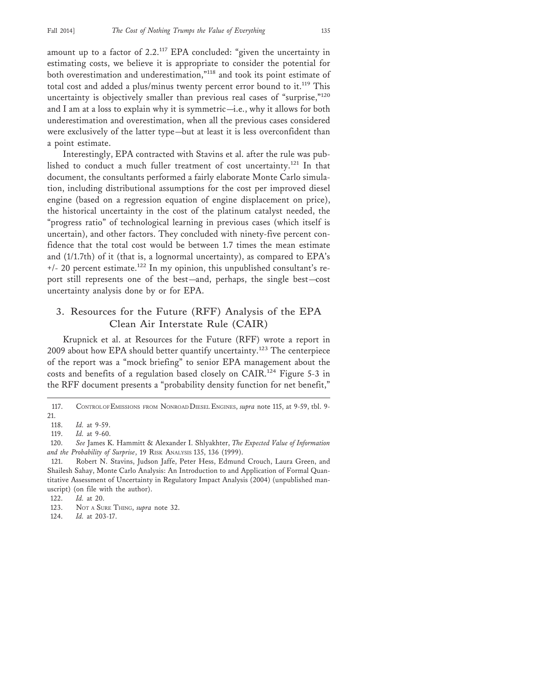amount up to a factor of  $2.2$ .<sup>117</sup> EPA concluded: "given the uncertainty in estimating costs, we believe it is appropriate to consider the potential for both overestimation and underestimation,"118 and took its point estimate of total cost and added a plus/minus twenty percent error bound to it.<sup>119</sup> This uncertainty is objectively smaller than previous real cases of "surprise,"<sup>120</sup> and I am at a loss to explain why it is symmetric—i.e., why it allows for both underestimation and overestimation, when all the previous cases considered were exclusively of the latter type—but at least it is less overconfident than a point estimate.

Interestingly, EPA contracted with Stavins et al. after the rule was published to conduct a much fuller treatment of cost uncertainty.121 In that document, the consultants performed a fairly elaborate Monte Carlo simulation, including distributional assumptions for the cost per improved diesel engine (based on a regression equation of engine displacement on price), the historical uncertainty in the cost of the platinum catalyst needed, the "progress ratio" of technological learning in previous cases (which itself is uncertain), and other factors. They concluded with ninety-five percent confidence that the total cost would be between 1.7 times the mean estimate and (1/1.7th) of it (that is, a lognormal uncertainty), as compared to EPA's  $+/- 20$  percent estimate.<sup>122</sup> In my opinion, this unpublished consultant's report still represents one of the best—and, perhaps, the single best—cost uncertainty analysis done by or for EPA.

## 3. Resources for the Future (RFF) Analysis of the EPA Clean Air Interstate Rule (CAIR)

Krupnick et al. at Resources for the Future (RFF) wrote a report in 2009 about how EPA should better quantify uncertainty.123 The centerpiece of the report was a "mock briefing" to senior EPA management about the costs and benefits of a regulation based closely on CAIR.124 Figure 5-3 in the RFF document presents a "probability density function for net benefit,"

<sup>117.</sup> CONTROL OF EMISSIONS FROM NONROAD DIESEL ENGINES, *supra* note 115, at 9-59, tbl. 9- 21.

<sup>118.</sup> *Id.* at 9-59.

<sup>119.</sup> *Id.* at 9-60.

<sup>120.</sup> *See* James K. Hammitt & Alexander I. Shlyakhter, *The Expected Value of Information and the Probability of Surprise*, 19 RISK ANALYSIS 135, 136 (1999).

<sup>121.</sup> Robert N. Stavins, Judson Jaffe, Peter Hess, Edmund Crouch, Laura Green, and Shailesh Sahay, Monte Carlo Analysis: An Introduction to and Application of Formal Quantitative Assessment of Uncertainty in Regulatory Impact Analysis (2004) (unpublished manuscript) (on file with the author).

<sup>122.</sup> *Id.* at 20.

<sup>123.</sup> NOT A SURE THING, *supra* note 32.

<sup>124.</sup> *Id.* at 203-17.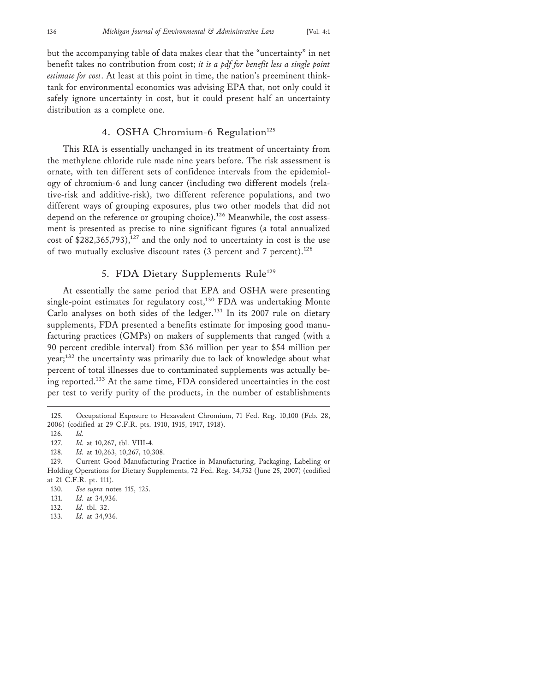but the accompanying table of data makes clear that the "uncertainty" in net

benefit takes no contribution from cost; *it is a pdf for benefit less a single point estimate for cost*. At least at this point in time, the nation's preeminent thinktank for environmental economics was advising EPA that, not only could it safely ignore uncertainty in cost, but it could present half an uncertainty distribution as a complete one.

#### 4. OSHA Chromium-6 Regulation<sup>125</sup>

This RIA is essentially unchanged in its treatment of uncertainty from the methylene chloride rule made nine years before. The risk assessment is ornate, with ten different sets of confidence intervals from the epidemiology of chromium-6 and lung cancer (including two different models (relative-risk and additive-risk), two different reference populations, and two different ways of grouping exposures, plus two other models that did not depend on the reference or grouping choice).<sup>126</sup> Meanwhile, the cost assessment is presented as precise to nine significant figures (a total annualized cost of  $$282,365,793$ ,<sup>127</sup> and the only nod to uncertainty in cost is the use of two mutually exclusive discount rates (3 percent and 7 percent).<sup>128</sup>

#### 5. FDA Dietary Supplements Rule<sup>129</sup>

At essentially the same period that EPA and OSHA were presenting single-point estimates for regulatory cost,<sup>130</sup> FDA was undertaking Monte Carlo analyses on both sides of the ledger.<sup>131</sup> In its 2007 rule on dietary supplements, FDA presented a benefits estimate for imposing good manufacturing practices (GMPs) on makers of supplements that ranged (with a 90 percent credible interval) from \$36 million per year to \$54 million per year;132 the uncertainty was primarily due to lack of knowledge about what percent of total illnesses due to contaminated supplements was actually being reported.133 At the same time, FDA considered uncertainties in the cost per test to verify purity of the products, in the number of establishments

133. *Id.* at 34,936.

<sup>125.</sup> Occupational Exposure to Hexavalent Chromium, 71 Fed. Reg. 10,100 (Feb. 28, 2006) (codified at 29 C.F.R. pts. 1910, 1915, 1917, 1918).

<sup>126.</sup> *Id.*

<sup>127.</sup> *Id.* at 10,267, tbl. VIII-4.

<sup>128.</sup> *Id.* at 10,263, 10,267, 10,308.

<sup>129.</sup> Current Good Manufacturing Practice in Manufacturing, Packaging, Labeling or Holding Operations for Dietary Supplements, 72 Fed. Reg. 34,752 (June 25, 2007) (codified at 21 C.F.R. pt. 111).

<sup>130.</sup> *See supra* notes 115, 125.

<sup>131.</sup> *Id.* at 34,936.

<sup>132.</sup> *Id.* tbl. 32.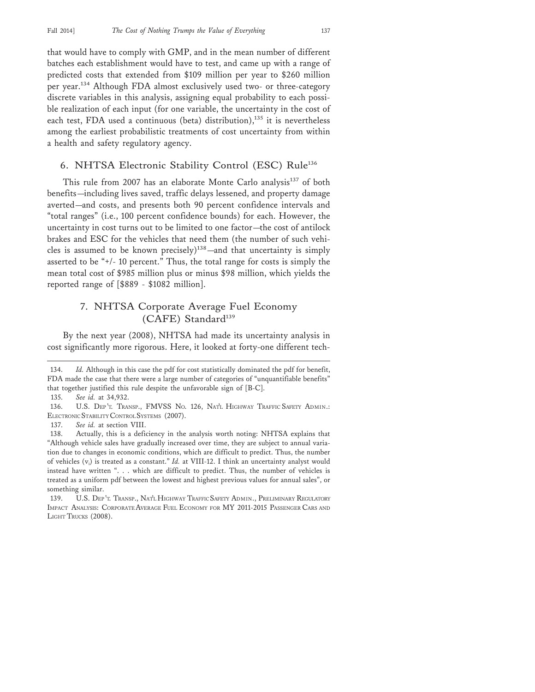that would have to comply with GMP, and in the mean number of different batches each establishment would have to test, and came up with a range of predicted costs that extended from \$109 million per year to \$260 million per year.134 Although FDA almost exclusively used two- or three-category discrete variables in this analysis, assigning equal probability to each possible realization of each input (for one variable, the uncertainty in the cost of each test, FDA used a continuous (beta) distribution), $135$  it is nevertheless among the earliest probabilistic treatments of cost uncertainty from within a health and safety regulatory agency.

#### 6. NHTSA Electronic Stability Control (ESC) Rule<sup>136</sup>

This rule from 2007 has an elaborate Monte Carlo analysis<sup>137</sup> of both benefits—including lives saved, traffic delays lessened, and property damage averted—and costs, and presents both 90 percent confidence intervals and "total ranges" (i.e., 100 percent confidence bounds) for each. However, the uncertainty in cost turns out to be limited to one factor—the cost of antilock brakes and ESC for the vehicles that need them (the number of such vehicles is assumed to be known precisely)<sup>138</sup>—and that uncertainty is simply asserted to be "+/- 10 percent." Thus, the total range for costs is simply the mean total cost of \$985 million plus or minus \$98 million, which yields the reported range of [\$889 - \$1082 million].

## 7. NHTSA Corporate Average Fuel Economy (CAFE) Standard<sup>139</sup>

By the next year (2008), NHTSA had made its uncertainty analysis in cost significantly more rigorous. Here, it looked at forty-one different tech-

<sup>134.</sup> *Id.* Although in this case the pdf for cost statistically dominated the pdf for benefit, FDA made the case that there were a large number of categories of "unquantifiable benefits" that together justified this rule despite the unfavorable sign of [B-C].

<sup>135.</sup> *See id.* at 34,932.

<sup>136.</sup> U.S. DEP 'T. TRANSP., FMVSS NO. 126, NAT'L HIGHWAY TRAFFIC SAFETY ADMIN.: ELECTRONIC STABILITY CONTROL SYSTEMS (2007).

<sup>137.</sup> *See id.* at section VIII.

<sup>138.</sup> Actually, this is a deficiency in the analysis worth noting: NHTSA explains that "Although vehicle sales have gradually increased over time, they are subject to annual variation due to changes in economic conditions, which are difficult to predict. Thus, the number of vehicles (vi) is treated as a constant." *Id.* at VIII-12. I think an uncertainty analyst would instead have written ". . . which are difficult to predict. Thus, the number of vehicles is treated as a uniform pdf between the lowest and highest previous values for annual sales", or something similar.

<sup>139.</sup> U.S. DEP 'T. TRANSP., NAT'L HIGHWAY TRAFFIC SAFETY ADMIN., PRELIMINARY REGULATORY IMPACT ANALYSIS: CORPORATE AVERAGE FUEL ECONOMY FOR MY 2011-2015 PASSENGER CARS AND LIGHT TRUCKS (2008).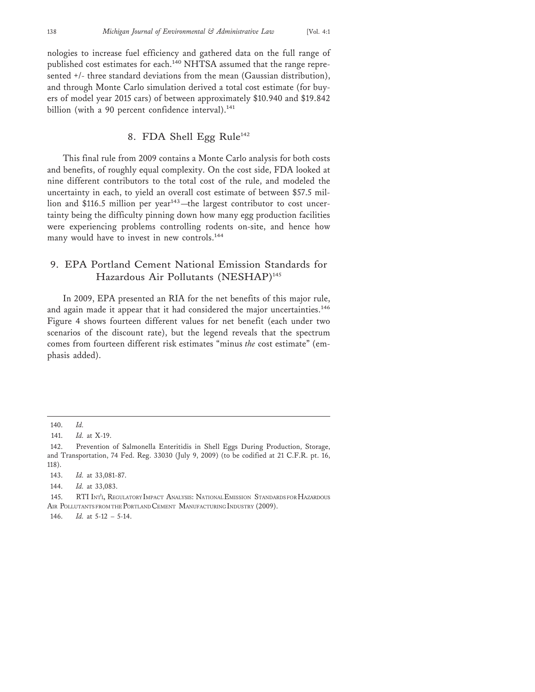nologies to increase fuel efficiency and gathered data on the full range of published cost estimates for each.<sup>140</sup> NHTSA assumed that the range represented +/- three standard deviations from the mean (Gaussian distribution), and through Monte Carlo simulation derived a total cost estimate (for buyers of model year 2015 cars) of between approximately \$10.940 and \$19.842 billion (with a 90 percent confidence interval).<sup>141</sup>

## 8. FDA Shell Egg Rule<sup>142</sup>

This final rule from 2009 contains a Monte Carlo analysis for both costs and benefits, of roughly equal complexity. On the cost side, FDA looked at nine different contributors to the total cost of the rule, and modeled the uncertainty in each, to yield an overall cost estimate of between \$57.5 million and \$116.5 million per year<sup>143</sup>—the largest contributor to cost uncertainty being the difficulty pinning down how many egg production facilities were experiencing problems controlling rodents on-site, and hence how many would have to invest in new controls.<sup>144</sup>

## 9. EPA Portland Cement National Emission Standards for Hazardous Air Pollutants (NESHAP)<sup>145</sup>

In 2009, EPA presented an RIA for the net benefits of this major rule, and again made it appear that it had considered the major uncertainties.<sup>146</sup> Figure 4 shows fourteen different values for net benefit (each under two scenarios of the discount rate), but the legend reveals that the spectrum comes from fourteen different risk estimates "minus *the* cost estimate" (emphasis added).

143. *Id.* at 33,081-87.

144. *Id.* at 33,083.

146. *Id.* at 5-12 – 5-14.

<sup>140.</sup> *Id.*

<sup>141.</sup> *Id.* at X-19.

<sup>142.</sup> Prevention of Salmonella Enteritidis in Shell Eggs During Production, Storage, and Transportation, 74 Fed. Reg. 33030 (July 9, 2009) (to be codified at 21 C.F.R. pt. 16, 118).

<sup>145.</sup> RTI INT'L, REGULATORY IMPACT ANALYSIS: NATIONAL EMISSION STANDARDS FOR HAZARDOUS AIR POLLUTANTS FROM THE PORTLAND CEMENT MANUFACTURING INDUSTRY (2009).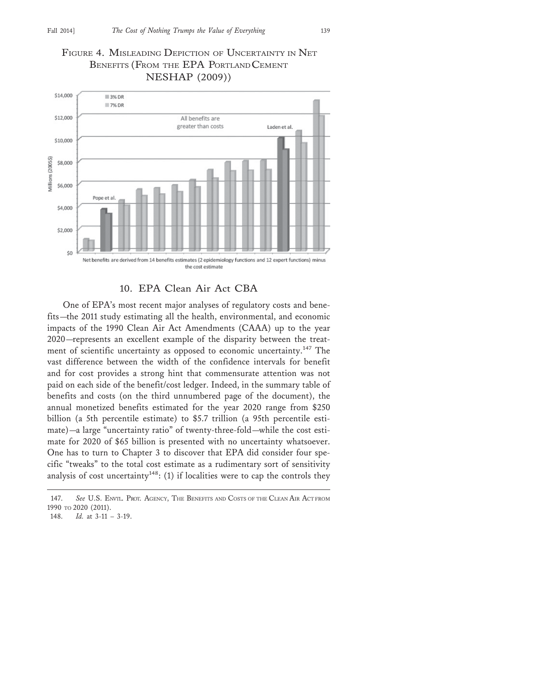## FIGURE 4. MISLEADING DEPICTION OF UNCERTAINTY IN NET BENEFITS (FROM THE EPA PORTLAND CEMENT NESHAP (2009))



#### 10. EPA Clean Air Act CBA

One of EPA's most recent major analyses of regulatory costs and benefits—the 2011 study estimating all the health, environmental, and economic impacts of the 1990 Clean Air Act Amendments (CAAA) up to the year 2020—represents an excellent example of the disparity between the treatment of scientific uncertainty as opposed to economic uncertainty.<sup>147</sup> The vast difference between the width of the confidence intervals for benefit and for cost provides a strong hint that commensurate attention was not paid on each side of the benefit/cost ledger. Indeed, in the summary table of benefits and costs (on the third unnumbered page of the document), the annual monetized benefits estimated for the year 2020 range from \$250 billion (a 5th percentile estimate) to \$5.7 trillion (a 95th percentile estimate)—a large "uncertainty ratio" of twenty-three-fold—while the cost estimate for 2020 of \$65 billion is presented with no uncertainty whatsoever. One has to turn to Chapter 3 to discover that EPA did consider four specific "tweaks" to the total cost estimate as a rudimentary sort of sensitivity analysis of cost uncertainty<sup>148</sup>: (1) if localities were to cap the controls they

<sup>147.</sup> *See* U.S. ENVIL. PROT. AGENCY, THE BENEFITS AND COSTS OF THE CLEAN AIR ACT FROM 1990 TO 2020 (2011).

<sup>148.</sup> *Id.* at 3-11 – 3-19.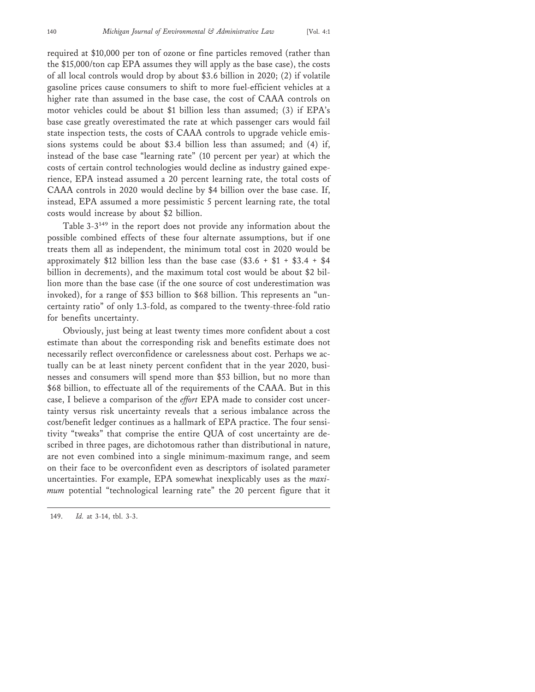required at \$10,000 per ton of ozone or fine particles removed (rather than the \$15,000/ton cap EPA assumes they will apply as the base case), the costs of all local controls would drop by about \$3.6 billion in 2020; (2) if volatile gasoline prices cause consumers to shift to more fuel-efficient vehicles at a higher rate than assumed in the base case, the cost of CAAA controls on motor vehicles could be about \$1 billion less than assumed; (3) if EPA's base case greatly overestimated the rate at which passenger cars would fail state inspection tests, the costs of CAAA controls to upgrade vehicle emissions systems could be about \$3.4 billion less than assumed; and (4) if, instead of the base case "learning rate" (10 percent per year) at which the costs of certain control technologies would decline as industry gained experience, EPA instead assumed a 20 percent learning rate, the total costs of CAAA controls in 2020 would decline by \$4 billion over the base case. If, instead, EPA assumed a more pessimistic 5 percent learning rate, the total costs would increase by about \$2 billion.

Table 3-3149 in the report does not provide any information about the possible combined effects of these four alternate assumptions, but if one treats them all as independent, the minimum total cost in 2020 would be approximately \$12 billion less than the base case  $(\$3.6 + \$1 + \$3.4 + \$4$ billion in decrements), and the maximum total cost would be about \$2 billion more than the base case (if the one source of cost underestimation was invoked), for a range of \$53 billion to \$68 billion. This represents an "uncertainty ratio" of only 1.3-fold, as compared to the twenty-three-fold ratio for benefits uncertainty.

Obviously, just being at least twenty times more confident about a cost estimate than about the corresponding risk and benefits estimate does not necessarily reflect overconfidence or carelessness about cost. Perhaps we actually can be at least ninety percent confident that in the year 2020, businesses and consumers will spend more than \$53 billion, but no more than \$68 billion, to effectuate all of the requirements of the CAAA. But in this case, I believe a comparison of the *effort* EPA made to consider cost uncertainty versus risk uncertainty reveals that a serious imbalance across the cost/benefit ledger continues as a hallmark of EPA practice. The four sensitivity "tweaks" that comprise the entire QUA of cost uncertainty are described in three pages, are dichotomous rather than distributional in nature, are not even combined into a single minimum-maximum range, and seem on their face to be overconfident even as descriptors of isolated parameter uncertainties. For example, EPA somewhat inexplicably uses as the *maximum* potential "technological learning rate" the 20 percent figure that it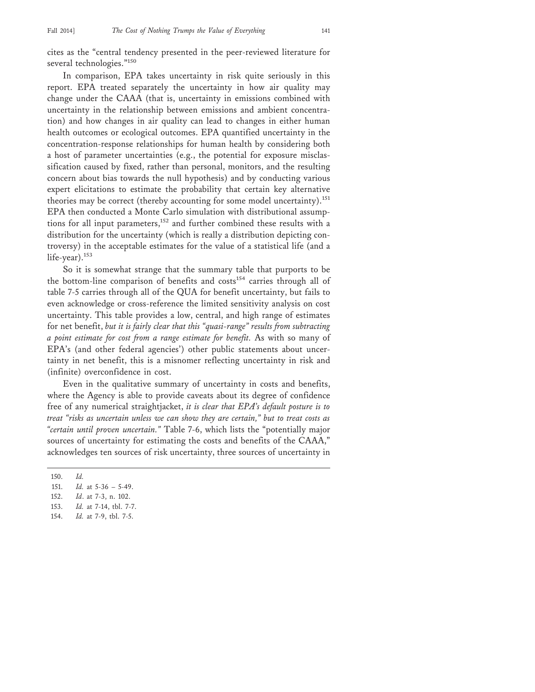cites as the "central tendency presented in the peer-reviewed literature for several technologies."<sup>150</sup>

In comparison, EPA takes uncertainty in risk quite seriously in this report. EPA treated separately the uncertainty in how air quality may change under the CAAA (that is, uncertainty in emissions combined with uncertainty in the relationship between emissions and ambient concentration) and how changes in air quality can lead to changes in either human health outcomes or ecological outcomes. EPA quantified uncertainty in the concentration-response relationships for human health by considering both a host of parameter uncertainties (e.g., the potential for exposure misclassification caused by fixed, rather than personal, monitors, and the resulting concern about bias towards the null hypothesis) and by conducting various expert elicitations to estimate the probability that certain key alternative theories may be correct (thereby accounting for some model uncertainty).<sup>151</sup> EPA then conducted a Monte Carlo simulation with distributional assumptions for all input parameters,<sup>152</sup> and further combined these results with a distribution for the uncertainty (which is really a distribution depicting controversy) in the acceptable estimates for the value of a statistical life (and a life-year).<sup>153</sup>

So it is somewhat strange that the summary table that purports to be the bottom-line comparison of benefits and costs<sup>154</sup> carries through all of table 7-5 carries through all of the QUA for benefit uncertainty, but fails to even acknowledge or cross-reference the limited sensitivity analysis on cost uncertainty. This table provides a low, central, and high range of estimates for net benefit, *but it is fairly clear that this "quasi-range" results from subtracting a point estimate for cost from a range estimate for benefit.* As with so many of EPA's (and other federal agencies') other public statements about uncertainty in net benefit, this is a misnomer reflecting uncertainty in risk and (infinite) overconfidence in cost.

Even in the qualitative summary of uncertainty in costs and benefits, where the Agency is able to provide caveats about its degree of confidence free of any numerical straightjacket, *it is clear that EPA's default posture is to treat "risks as uncertain unless we can show they are certain," but to treat costs as "certain until proven uncertain."* Table 7-6, which lists the "potentially major sources of uncertainty for estimating the costs and benefits of the CAAA," acknowledges ten sources of risk uncertainty, three sources of uncertainty in

153. *Id.* at 7-14, tbl. 7-7.

<sup>150.</sup> *Id.*

<sup>151.</sup> *Id.* at 5-36 – 5-49.

<sup>152.</sup> *Id*. at 7-3, n. 102.

<sup>154.</sup> *Id.* at 7-9, tbl. 7-5.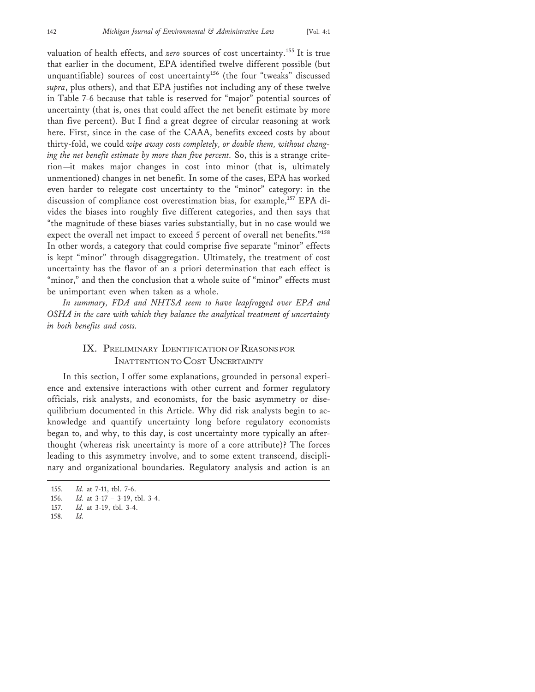valuation of health effects, and *zero* sources of cost uncertainty.155 It is true that earlier in the document, EPA identified twelve different possible (but unquantifiable) sources of cost uncertainty<sup>156</sup> (the four "tweaks" discussed *supra*, plus others), and that EPA justifies not including any of these twelve in Table 7-6 because that table is reserved for "major" potential sources of uncertainty (that is, ones that could affect the net benefit estimate by more than five percent). But I find a great degree of circular reasoning at work here. First, since in the case of the CAAA, benefits exceed costs by about thirty-fold, we could *wipe away costs completely, or double them, without changing the net benefit estimate by more than five percent.* So, this is a strange criterion—it makes major changes in cost into minor (that is, ultimately unmentioned) changes in net benefit. In some of the cases, EPA has worked even harder to relegate cost uncertainty to the "minor" category: in the discussion of compliance cost overestimation bias, for example,<sup>157</sup> EPA divides the biases into roughly five different categories, and then says that "the magnitude of these biases varies substantially, but in no case would we expect the overall net impact to exceed 5 percent of overall net benefits."<sup>158</sup> In other words, a category that could comprise five separate "minor" effects is kept "minor" through disaggregation. Ultimately, the treatment of cost uncertainty has the flavor of an a priori determination that each effect is "minor," and then the conclusion that a whole suite of "minor" effects must be unimportant even when taken as a whole.

*In summary, FDA and NHTSA seem to have leapfrogged over EPA and OSHA in the care with which they balance the analytical treatment of uncertainty in both benefits and costs.*

## IX. PRELIMINARY IDENTIFICATION OF REASONS FOR INATTENTION TO COST UNCERTAINTY

In this section, I offer some explanations, grounded in personal experience and extensive interactions with other current and former regulatory officials, risk analysts, and economists, for the basic asymmetry or disequilibrium documented in this Article. Why did risk analysts begin to acknowledge and quantify uncertainty long before regulatory economists began to, and why, to this day, is cost uncertainty more typically an afterthought (whereas risk uncertainty is more of a core attribute)? The forces leading to this asymmetry involve, and to some extent transcend, disciplinary and organizational boundaries. Regulatory analysis and action is an

157. *Id.* at 3-19, tbl. 3-4.

<sup>155.</sup> *Id.* at 7-11, tbl. 7-6.

<sup>156.</sup> *Id.* at 3-17 – 3-19, tbl. 3-4.

<sup>158.</sup> *Id.*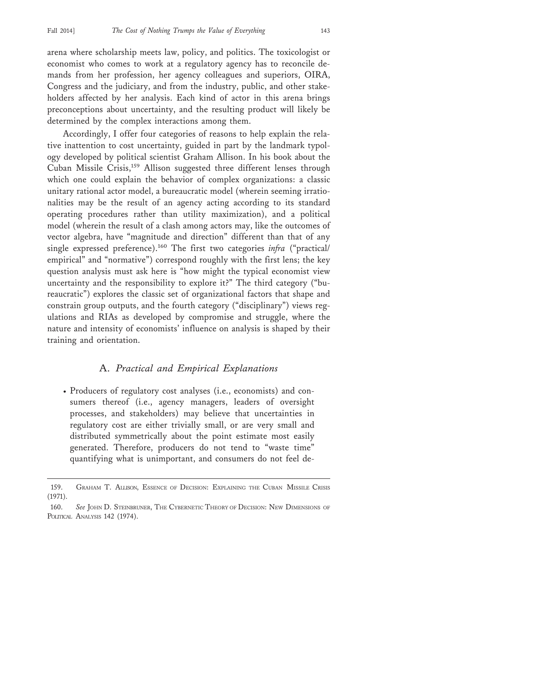arena where scholarship meets law, policy, and politics. The toxicologist or economist who comes to work at a regulatory agency has to reconcile demands from her profession, her agency colleagues and superiors, OIRA, Congress and the judiciary, and from the industry, public, and other stakeholders affected by her analysis. Each kind of actor in this arena brings preconceptions about uncertainty, and the resulting product will likely be determined by the complex interactions among them.

Accordingly, I offer four categories of reasons to help explain the relative inattention to cost uncertainty, guided in part by the landmark typology developed by political scientist Graham Allison. In his book about the Cuban Missile Crisis,159 Allison suggested three different lenses through which one could explain the behavior of complex organizations: a classic unitary rational actor model, a bureaucratic model (wherein seeming irrationalities may be the result of an agency acting according to its standard operating procedures rather than utility maximization), and a political model (wherein the result of a clash among actors may, like the outcomes of vector algebra, have "magnitude and direction" different than that of any single expressed preference).160 The first two categories *infra* ("practical/ empirical" and "normative") correspond roughly with the first lens; the key question analysis must ask here is "how might the typical economist view uncertainty and the responsibility to explore it?" The third category ("bureaucratic") explores the classic set of organizational factors that shape and constrain group outputs, and the fourth category ("disciplinary") views regulations and RIAs as developed by compromise and struggle, where the nature and intensity of economists' influence on analysis is shaped by their training and orientation.

## A. *Practical and Empirical Explanations*

• Producers of regulatory cost analyses (i.e., economists) and consumers thereof (i.e., agency managers, leaders of oversight processes, and stakeholders) may believe that uncertainties in regulatory cost are either trivially small, or are very small and distributed symmetrically about the point estimate most easily generated. Therefore, producers do not tend to "waste time" quantifying what is unimportant, and consumers do not feel de-

<sup>159.</sup> GRAHAM T. ALLISON, ESSENCE OF DECISION: EXPLAINING THE CUBAN MISSILE CRISIS (1971).

<sup>160.</sup> See JOHN D. STEINBRUNER, THE CYBERNETIC THEORY OF DECISION: NEW DIMENSIONS OF POLITICAL ANALYSIS 142 (1974).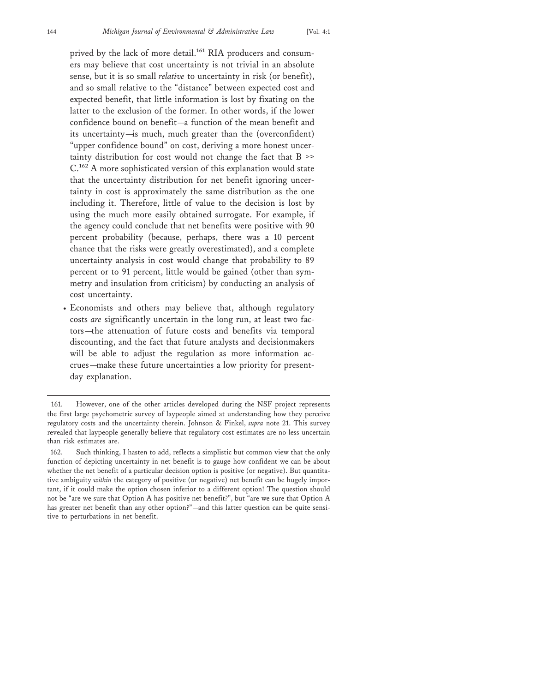prived by the lack of more detail.<sup>161</sup> RIA producers and consumers may believe that cost uncertainty is not trivial in an absolute sense, but it is so small *relative* to uncertainty in risk (or benefit), and so small relative to the "distance" between expected cost and expected benefit, that little information is lost by fixating on the latter to the exclusion of the former. In other words, if the lower confidence bound on benefit—a function of the mean benefit and its uncertainty—is much, much greater than the (overconfident) "upper confidence bound" on cost, deriving a more honest uncertainty distribution for cost would not change the fact that B >> C.162 A more sophisticated version of this explanation would state that the uncertainty distribution for net benefit ignoring uncertainty in cost is approximately the same distribution as the one including it. Therefore, little of value to the decision is lost by using the much more easily obtained surrogate. For example, if the agency could conclude that net benefits were positive with 90 percent probability (because, perhaps, there was a 10 percent chance that the risks were greatly overestimated), and a complete uncertainty analysis in cost would change that probability to 89 percent or to 91 percent, little would be gained (other than symmetry and insulation from criticism) by conducting an analysis of cost uncertainty.

• Economists and others may believe that, although regulatory costs *are* significantly uncertain in the long run, at least two factors—the attenuation of future costs and benefits via temporal discounting, and the fact that future analysts and decisionmakers will be able to adjust the regulation as more information accrues—make these future uncertainties a low priority for presentday explanation.

<sup>161.</sup> However, one of the other articles developed during the NSF project represents the first large psychometric survey of laypeople aimed at understanding how they perceive regulatory costs and the uncertainty therein. Johnson & Finkel, *supra* note 21. This survey revealed that laypeople generally believe that regulatory cost estimates are no less uncertain than risk estimates are.

<sup>162.</sup> Such thinking, I hasten to add, reflects a simplistic but common view that the only function of depicting uncertainty in net benefit is to gauge how confident we can be about whether the net benefit of a particular decision option is positive (or negative). But quantitative ambiguity *within* the category of positive (or negative) net benefit can be hugely important, if it could make the option chosen inferior to a different option! The question should not be "are we sure that Option A has positive net benefit?", but "are we sure that Option A has greater net benefit than any other option?"—and this latter question can be quite sensitive to perturbations in net benefit.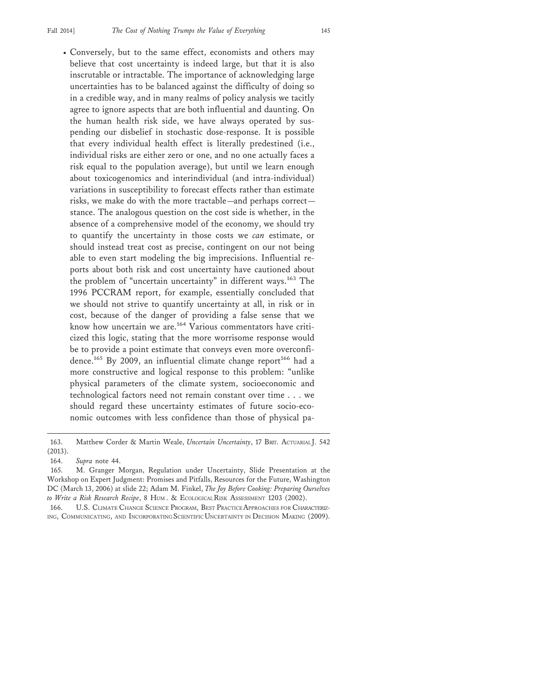• Conversely, but to the same effect, economists and others may believe that cost uncertainty is indeed large, but that it is also inscrutable or intractable. The importance of acknowledging large uncertainties has to be balanced against the difficulty of doing so in a credible way, and in many realms of policy analysis we tacitly agree to ignore aspects that are both influential and daunting. On the human health risk side, we have always operated by suspending our disbelief in stochastic dose-response. It is possible that every individual health effect is literally predestined (i.e., individual risks are either zero or one, and no one actually faces a risk equal to the population average), but until we learn enough about toxicogenomics and interindividual (and intra-individual) variations in susceptibility to forecast effects rather than estimate risks, we make do with the more tractable—and perhaps correct stance. The analogous question on the cost side is whether, in the absence of a comprehensive model of the economy, we should try to quantify the uncertainty in those costs we *can* estimate, or should instead treat cost as precise, contingent on our not being able to even start modeling the big imprecisions. Influential reports about both risk and cost uncertainty have cautioned about the problem of "uncertain uncertainty" in different ways.<sup>163</sup> The 1996 PCCRAM report, for example, essentially concluded that we should not strive to quantify uncertainty at all, in risk or in cost, because of the danger of providing a false sense that we know how uncertain we are.<sup>164</sup> Various commentators have criticized this logic, stating that the more worrisome response would be to provide a point estimate that conveys even more overconfidence.<sup>165</sup> By 2009, an influential climate change report<sup>166</sup> had a more constructive and logical response to this problem: "unlike physical parameters of the climate system, socioeconomic and technological factors need not remain constant over time . . . we should regard these uncertainty estimates of future socio-economic outcomes with less confidence than those of physical pa-

<sup>163.</sup> Matthew Corder & Martin Weale, *Uncertain Uncertainty*, 17 BRIT. ACTUARIAL J. 542 (2013).

<sup>164.</sup> *Supra* note 44.

<sup>165.</sup> M. Granger Morgan, Regulation under Uncertainty, Slide Presentation at the Workshop on Expert Judgment: Promises and Pitfalls, Resources for the Future, Washington DC (March 13, 2006) at slide 22; Adam M. Finkel, *The Joy Before Cooking: Preparing Ourselves to Write a Risk Research Recipe*, 8 HUM . & ECOLOGICAL RISK ASSESSMENT 1203 (2002).

<sup>166.</sup> U.S. CLIMATE CHANGE SCIENCE PROGRAM, BEST PRACTICE APPROACHES FOR CHARACTERIZ-ING, COMMUNICATING, AND INCORPORATING SCIENTIFIC UNCERTAINTY IN DECISION MAKING (2009).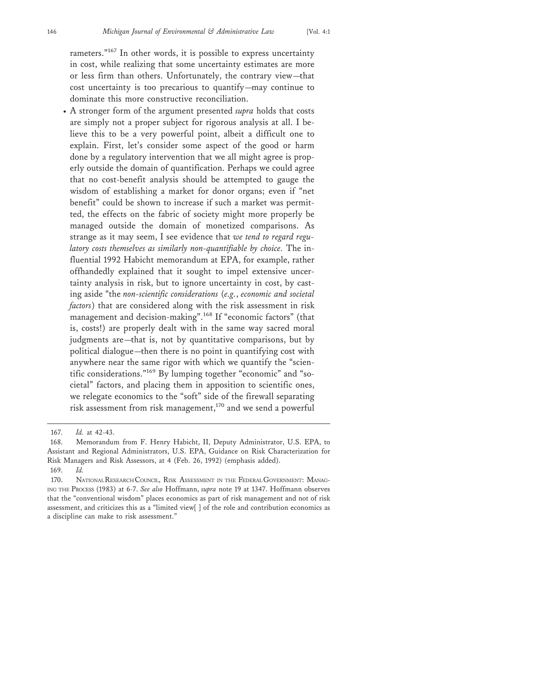rameters."167 In other words, it is possible to express uncertainty in cost, while realizing that some uncertainty estimates are more or less firm than others. Unfortunately, the contrary view—that cost uncertainty is too precarious to quantify—may continue to dominate this more constructive reconciliation.

• A stronger form of the argument presented *supra* holds that costs are simply not a proper subject for rigorous analysis at all. I believe this to be a very powerful point, albeit a difficult one to explain. First, let's consider some aspect of the good or harm done by a regulatory intervention that we all might agree is properly outside the domain of quantification. Perhaps we could agree that no cost-benefit analysis should be attempted to gauge the wisdom of establishing a market for donor organs; even if "net benefit" could be shown to increase if such a market was permitted, the effects on the fabric of society might more properly be managed outside the domain of monetized comparisons. As strange as it may seem, I see evidence that *we tend to regard regulatory costs themselves as similarly non-quantifiable by choice.* The influential 1992 Habicht memorandum at EPA, for example, rather offhandedly explained that it sought to impel extensive uncertainty analysis in risk, but to ignore uncertainty in cost, by casting aside "the *non-scientific considerations* (*e.g.*, *economic and societal factors*) that are considered along with the risk assessment in risk management and decision-making".168 If "economic factors" (that is, costs!) are properly dealt with in the same way sacred moral judgments are—that is, not by quantitative comparisons, but by political dialogue—then there is no point in quantifying cost with anywhere near the same rigor with which we quantify the "scientific considerations."169 By lumping together "economic" and "societal" factors, and placing them in apposition to scientific ones, we relegate economics to the "soft" side of the firewall separating risk assessment from risk management,170 and we send a powerful

169. *Id.*

<sup>167.</sup> *Id.* at 42-43.

<sup>168.</sup> Memorandum from F. Henry Habicht, II, Deputy Administrator, U.S. EPA, to Assistant and Regional Administrators, U.S. EPA, Guidance on Risk Characterization for Risk Managers and Risk Assessors, at 4 (Feb. 26, 1992) (emphasis added).

<sup>170.</sup> NATIONAL RESEARCH COUNCIL, RISK ASSESSMENT IN THE FEDERAL GOVERNMENT: MANAG-ING THE PROCESS (1983) at 6-7. *See also* Hoffmann, *supra* note 19 at 1347. Hoffmann observes that the "conventional wisdom" places economics as part of risk management and not of risk assessment, and criticizes this as a "limited view[ ] of the role and contribution economics as a discipline can make to risk assessment."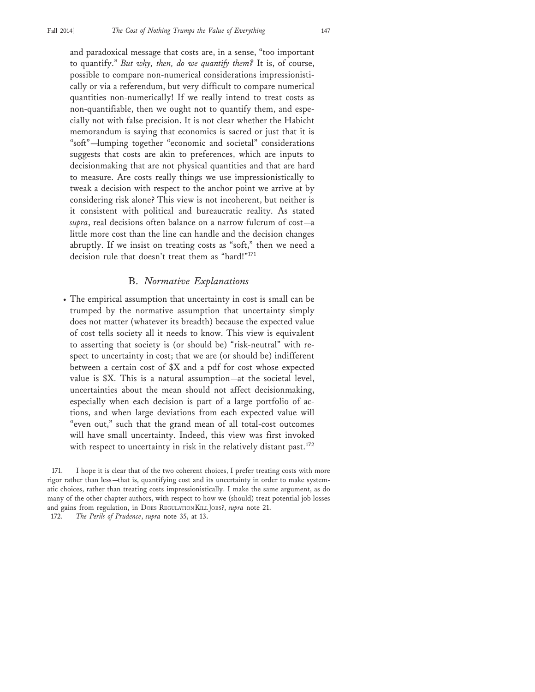and paradoxical message that costs are, in a sense, "too important to quantify." *But why, then, do we quantify them?* It is, of course, possible to compare non-numerical considerations impressionistically or via a referendum, but very difficult to compare numerical quantities non-numerically! If we really intend to treat costs as non-quantifiable, then we ought not to quantify them, and especially not with false precision. It is not clear whether the Habicht memorandum is saying that economics is sacred or just that it is "soft"—lumping together "economic and societal" considerations suggests that costs are akin to preferences, which are inputs to decisionmaking that are not physical quantities and that are hard to measure. Are costs really things we use impressionistically to tweak a decision with respect to the anchor point we arrive at by considering risk alone? This view is not incoherent, but neither is it consistent with political and bureaucratic reality. As stated *supra*, real decisions often balance on a narrow fulcrum of cost—a little more cost than the line can handle and the decision changes abruptly. If we insist on treating costs as "soft," then we need a decision rule that doesn't treat them as "hard!"<sup>171</sup>

#### B. *Normative Explanations*

• The empirical assumption that uncertainty in cost is small can be trumped by the normative assumption that uncertainty simply does not matter (whatever its breadth) because the expected value of cost tells society all it needs to know. This view is equivalent to asserting that society is (or should be) "risk-neutral" with respect to uncertainty in cost; that we are (or should be) indifferent between a certain cost of \$X and a pdf for cost whose expected value is \$X. This is a natural assumption—at the societal level, uncertainties about the mean should not affect decisionmaking, especially when each decision is part of a large portfolio of actions, and when large deviations from each expected value will "even out," such that the grand mean of all total-cost outcomes will have small uncertainty. Indeed, this view was first invoked with respect to uncertainty in risk in the relatively distant past.<sup>172</sup>

<sup>171.</sup> I hope it is clear that of the two coherent choices, I prefer treating costs with more rigor rather than less—that is, quantifying cost and its uncertainty in order to make systematic choices, rather than treating costs impressionistically. I make the same argument, as do many of the other chapter authors, with respect to how we (should) treat potential job losses and gains from regulation, in DOES REGULATION KILL JOBS?, *supra* note 21.

<sup>172.</sup> *The Perils of Prudence*, *supra* note 35, at 13.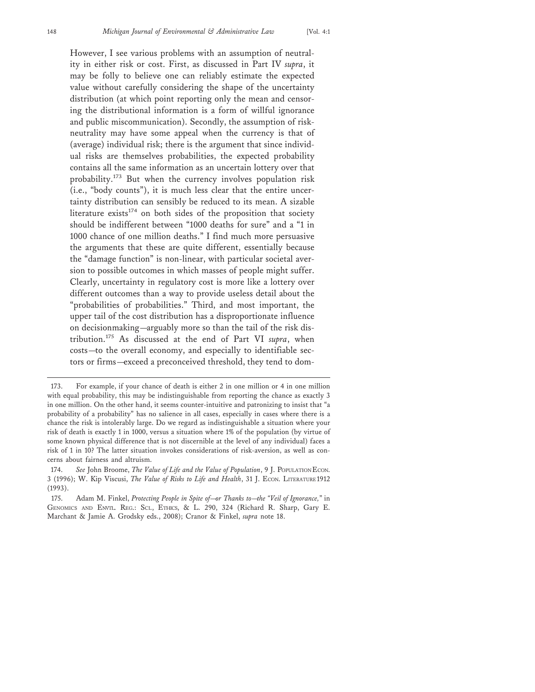However, I see various problems with an assumption of neutrality in either risk or cost. First, as discussed in Part IV *supra*, it may be folly to believe one can reliably estimate the expected value without carefully considering the shape of the uncertainty distribution (at which point reporting only the mean and censoring the distributional information is a form of willful ignorance and public miscommunication). Secondly, the assumption of riskneutrality may have some appeal when the currency is that of (average) individual risk; there is the argument that since individual risks are themselves probabilities, the expected probability contains all the same information as an uncertain lottery over that probability.173 But when the currency involves population risk (i.e., "body counts"), it is much less clear that the entire uncertainty distribution can sensibly be reduced to its mean. A sizable literature exists<sup>174</sup> on both sides of the proposition that society should be indifferent between "1000 deaths for sure" and a "1 in 1000 chance of one million deaths." I find much more persuasive the arguments that these are quite different, essentially because the "damage function" is non-linear, with particular societal aversion to possible outcomes in which masses of people might suffer. Clearly, uncertainty in regulatory cost is more like a lottery over different outcomes than a way to provide useless detail about the "probabilities of probabilities." Third, and most important, the upper tail of the cost distribution has a disproportionate influence on decisionmaking—arguably more so than the tail of the risk distribution.175 As discussed at the end of Part VI *supra*, when costs—to the overall economy, and especially to identifiable sectors or firms—exceed a preconceived threshold, they tend to dom-

<sup>173.</sup> For example, if your chance of death is either 2 in one million or 4 in one million with equal probability, this may be indistinguishable from reporting the chance as exactly 3 in one million. On the other hand, it seems counter-intuitive and patronizing to insist that "a probability of a probability" has no salience in all cases, especially in cases where there is a chance the risk is intolerably large. Do we regard as indistinguishable a situation where your risk of death is exactly 1 in 1000, versus a situation where 1% of the population (by virtue of some known physical difference that is not discernible at the level of any individual) faces a risk of 1 in 10? The latter situation invokes considerations of risk-aversion, as well as concerns about fairness and altruism.

<sup>174.</sup> *See* John Broome, *The Value of Life and the Value of Population*, 9 J. POPULATION ECON. 3 (1996); W. Kip Viscusi, *The Value of Risks to Life and Health*, 31 J. ECON. LITERATURE 1912 (1993).

<sup>175.</sup> Adam M. Finkel, *Protecting People in Spite of—or Thanks to—the "Veil of Ignorance,*" in GENOMICS AND ENVTL. REG.: SCI., ETHICS, & L. 290, 324 (Richard R. Sharp, Gary E. Marchant & Jamie A. Grodsky eds., 2008); Cranor & Finkel, *supra* note 18.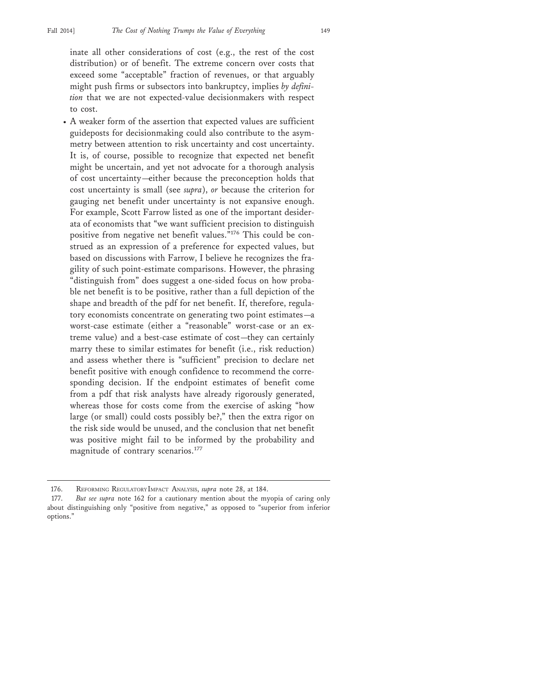inate all other considerations of cost (e.g., the rest of the cost distribution) or of benefit. The extreme concern over costs that exceed some "acceptable" fraction of revenues, or that arguably might push firms or subsectors into bankruptcy, implies *by definition* that we are not expected-value decisionmakers with respect to cost.

• A weaker form of the assertion that expected values are sufficient guideposts for decisionmaking could also contribute to the asymmetry between attention to risk uncertainty and cost uncertainty. It is, of course, possible to recognize that expected net benefit might be uncertain, and yet not advocate for a thorough analysis of cost uncertainty—either because the preconception holds that cost uncertainty is small (see *supra*), *or* because the criterion for gauging net benefit under uncertainty is not expansive enough. For example, Scott Farrow listed as one of the important desiderata of economists that "we want sufficient precision to distinguish positive from negative net benefit values."176 This could be construed as an expression of a preference for expected values, but based on discussions with Farrow, I believe he recognizes the fragility of such point-estimate comparisons. However, the phrasing "distinguish from" does suggest a one-sided focus on how probable net benefit is to be positive, rather than a full depiction of the shape and breadth of the pdf for net benefit. If, therefore, regulatory economists concentrate on generating two point estimates—a worst-case estimate (either a "reasonable" worst-case or an extreme value) and a best-case estimate of cost—they can certainly marry these to similar estimates for benefit (i.e., risk reduction) and assess whether there is "sufficient" precision to declare net benefit positive with enough confidence to recommend the corresponding decision. If the endpoint estimates of benefit come from a pdf that risk analysts have already rigorously generated, whereas those for costs come from the exercise of asking "how large (or small) could costs possibly be?," then the extra rigor on the risk side would be unused, and the conclusion that net benefit was positive might fail to be informed by the probability and magnitude of contrary scenarios.<sup>177</sup>

<sup>176.</sup> REFORMING REGULATORY IMPACT ANALYSIS, *supra* note 28, at 184.

<sup>177.</sup> *But see supra* note 162 for a cautionary mention about the myopia of caring only about distinguishing only "positive from negative," as opposed to "superior from inferior options."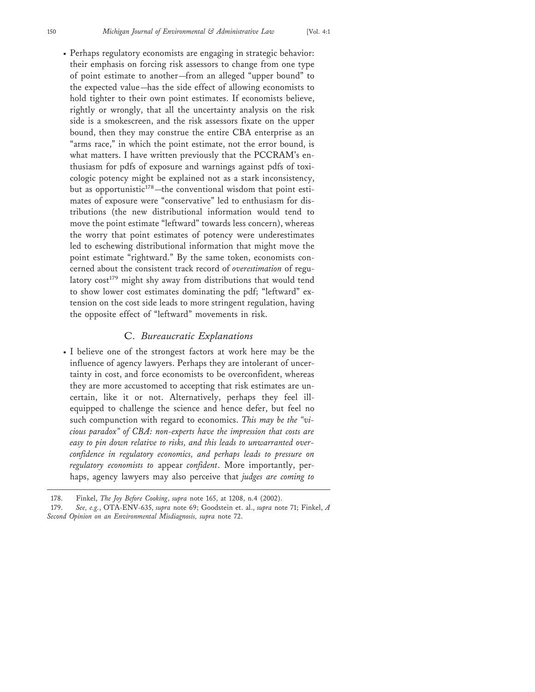• Perhaps regulatory economists are engaging in strategic behavior: their emphasis on forcing risk assessors to change from one type of point estimate to another—from an alleged "upper bound" to the expected value—has the side effect of allowing economists to hold tighter to their own point estimates. If economists believe, rightly or wrongly, that all the uncertainty analysis on the risk side is a smokescreen, and the risk assessors fixate on the upper bound, then they may construe the entire CBA enterprise as an "arms race," in which the point estimate, not the error bound, is what matters. I have written previously that the PCCRAM's enthusiasm for pdfs of exposure and warnings against pdfs of toxicologic potency might be explained not as a stark inconsistency, but as opportunistic $178$ —the conventional wisdom that point estimates of exposure were "conservative" led to enthusiasm for distributions (the new distributional information would tend to move the point estimate "leftward" towards less concern), whereas the worry that point estimates of potency were underestimates led to eschewing distributional information that might move the point estimate "rightward." By the same token, economists concerned about the consistent track record of *overestimation* of regulatory  $cost^{179}$  might shy away from distributions that would tend to show lower cost estimates dominating the pdf; "leftward" extension on the cost side leads to more stringent regulation, having the opposite effect of "leftward" movements in risk.

#### C. *Bureaucratic Explanations*

• I believe one of the strongest factors at work here may be the influence of agency lawyers. Perhaps they are intolerant of uncertainty in cost, and force economists to be overconfident, whereas they are more accustomed to accepting that risk estimates are uncertain, like it or not. Alternatively, perhaps they feel illequipped to challenge the science and hence defer, but feel no such compunction with regard to economics. *This may be the "vicious paradox" of CBA: non-experts have the impression that costs are easy to pin down relative to risks, and this leads to unwarranted overconfidence in regulatory economics, and perhaps leads to pressure on regulatory economists to* appear *confident*. More importantly, perhaps, agency lawyers may also perceive that *judges are coming to*

<sup>178.</sup> Finkel, *The Joy Before Cooking*, *supra* note 165, at 1208, n.4 (2002).

<sup>179.</sup> *See, e.g.*, OTA-ENV-635, *supra* note 69; Goodstein et. al., *supra* note 71; Finkel, *A Second Opinion on an Environmental Misdiagnosis, supra* note 72.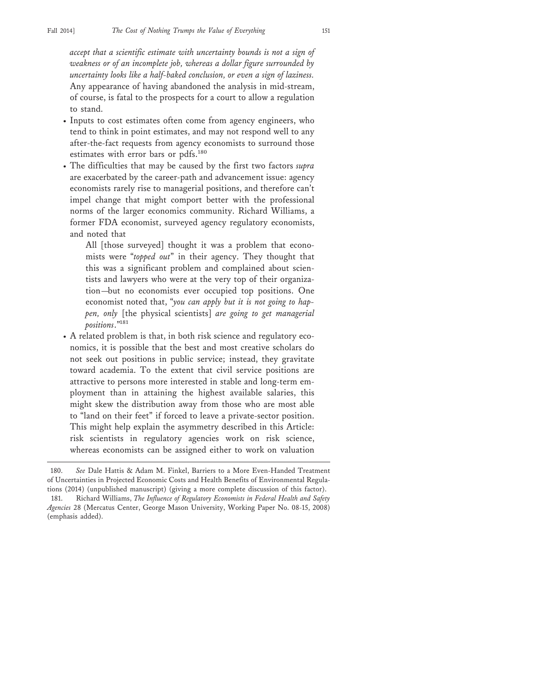*accept that a scientific estimate with uncertainty bounds is not a sign of weakness or of an incomplete job, whereas a dollar figure surrounded by uncertainty looks like a half-baked conclusion, or even a sign of laziness.* Any appearance of having abandoned the analysis in mid-stream, of course, is fatal to the prospects for a court to allow a regulation to stand.

- Inputs to cost estimates often come from agency engineers, who tend to think in point estimates, and may not respond well to any after-the-fact requests from agency economists to surround those estimates with error bars or pdfs.<sup>180</sup>
- The difficulties that may be caused by the first two factors *supra* are exacerbated by the career-path and advancement issue: agency economists rarely rise to managerial positions, and therefore can't impel change that might comport better with the professional norms of the larger economics community. Richard Williams, a former FDA economist, surveyed agency regulatory economists, and noted that

All [those surveyed] thought it was a problem that economists were "*topped out*" in their agency. They thought that this was a significant problem and complained about scientists and lawyers who were at the very top of their organization—but no economists ever occupied top positions. One economist noted that, "*you can apply but it is not going to happen, only* [the physical scientists] *are going to get managerial positions*."181

• A related problem is that, in both risk science and regulatory economics, it is possible that the best and most creative scholars do not seek out positions in public service; instead, they gravitate toward academia. To the extent that civil service positions are attractive to persons more interested in stable and long-term employment than in attaining the highest available salaries, this might skew the distribution away from those who are most able to "land on their feet" if forced to leave a private-sector position. This might help explain the asymmetry described in this Article: risk scientists in regulatory agencies work on risk science, whereas economists can be assigned either to work on valuation

<sup>180.</sup> *See* Dale Hattis & Adam M. Finkel, Barriers to a More Even-Handed Treatment of Uncertainties in Projected Economic Costs and Health Benefits of Environmental Regulations (2014) (unpublished manuscript) (giving a more complete discussion of this factor).

<sup>181.</sup> Richard Williams, *The Influence of Regulatory Economists in Federal Health and Safety Agencies* 28 (Mercatus Center, George Mason University, Working Paper No. 08-15, 2008) (emphasis added).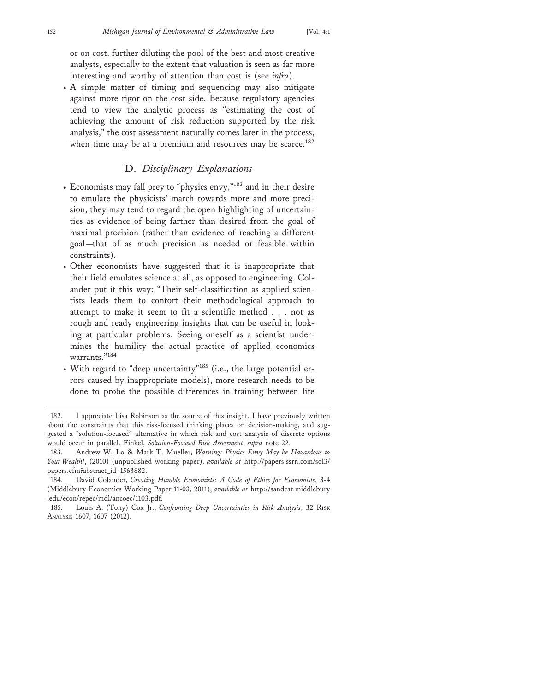or on cost, further diluting the pool of the best and most creative analysts, especially to the extent that valuation is seen as far more interesting and worthy of attention than cost is (see *infra*).

• A simple matter of timing and sequencing may also mitigate against more rigor on the cost side. Because regulatory agencies tend to view the analytic process as "estimating the cost of achieving the amount of risk reduction supported by the risk analysis," the cost assessment naturally comes later in the process, when time may be at a premium and resources may be scarce.<sup>182</sup>

## D. *Disciplinary Explanations*

- Economists may fall prey to "physics envy,"183 and in their desire to emulate the physicists' march towards more and more precision, they may tend to regard the open highlighting of uncertainties as evidence of being farther than desired from the goal of maximal precision (rather than evidence of reaching a different goal—that of as much precision as needed or feasible within constraints).
- Other economists have suggested that it is inappropriate that their field emulates science at all, as opposed to engineering. Colander put it this way: "Their self-classification as applied scientists leads them to contort their methodological approach to attempt to make it seem to fit a scientific method . . . not as rough and ready engineering insights that can be useful in looking at particular problems. Seeing oneself as a scientist undermines the humility the actual practice of applied economics warrants<sup>"184</sup>
- With regard to "deep uncertainty"185 (i.e., the large potential errors caused by inappropriate models), more research needs to be done to probe the possible differences in training between life

<sup>182.</sup> I appreciate Lisa Robinson as the source of this insight. I have previously written about the constraints that this risk-focused thinking places on decision-making, and suggested a "solution-focused" alternative in which risk and cost analysis of discrete options would occur in parallel. Finkel, *Solution-Focused Risk Assessment*, *supra* note 22.

<sup>183.</sup> Andrew W. Lo & Mark T. Mueller, *Warning: Physics Envy May be Hazardous to Your Wealth!*, (2010) (unpublished working paper), *available at* http://papers.ssrn.com/sol3/ papers.cfm?abstract\_id=1563882.

<sup>184.</sup> David Colander, *Creating Humble Economists: A Code of Ethics for Economists*, 3-4 (Middlebury Economics Working Paper 11-03, 2011), *available at* http://sandcat.middlebury .edu/econ/repec/mdl/ancoec/1103.pdf.

<sup>185.</sup> Louis A. (Tony) Cox Jr., *Confronting Deep Uncertainties in Risk Analysis*, 32 RISK ANALYSIS 1607, 1607 (2012).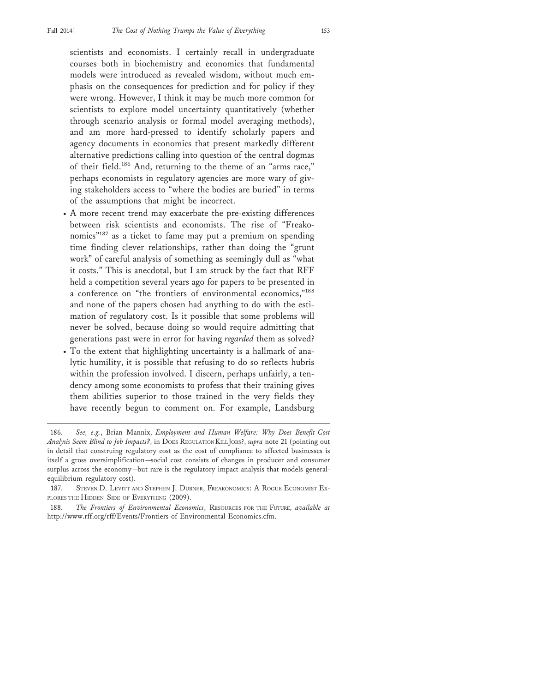scientists and economists. I certainly recall in undergraduate courses both in biochemistry and economics that fundamental models were introduced as revealed wisdom, without much emphasis on the consequences for prediction and for policy if they were wrong. However, I think it may be much more common for scientists to explore model uncertainty quantitatively (whether through scenario analysis or formal model averaging methods), and am more hard-pressed to identify scholarly papers and agency documents in economics that present markedly different alternative predictions calling into question of the central dogmas of their field.186 And, returning to the theme of an "arms race," perhaps economists in regulatory agencies are more wary of giving stakeholders access to "where the bodies are buried" in terms of the assumptions that might be incorrect.

- A more recent trend may exacerbate the pre-existing differences between risk scientists and economists. The rise of "Freakonomics"187 as a ticket to fame may put a premium on spending time finding clever relationships, rather than doing the "grunt work" of careful analysis of something as seemingly dull as "what it costs." This is anecdotal, but I am struck by the fact that RFF held a competition several years ago for papers to be presented in a conference on "the frontiers of environmental economics,"<sup>188</sup> and none of the papers chosen had anything to do with the estimation of regulatory cost. Is it possible that some problems will never be solved, because doing so would require admitting that generations past were in error for having *regarded* them as solved?
- To the extent that highlighting uncertainty is a hallmark of analytic humility, it is possible that refusing to do so reflects hubris within the profession involved. I discern, perhaps unfairly, a tendency among some economists to profess that their training gives them abilities superior to those trained in the very fields they have recently begun to comment on. For example, Landsburg

<sup>186.</sup> *See, e.g.*, Brian Mannix, *Employment and Human Welfare: Why Does Benefit-Cost Analysis Seem Blind to Job Impacts?*, in DOES REGULATION KILL JOBS?, *supra* note 21 (pointing out in detail that construing regulatory cost as the cost of compliance to affected businesses is itself a gross oversimplification—social cost consists of changes in producer and consumer surplus across the economy—but rare is the regulatory impact analysis that models generalequilibrium regulatory cost).

<sup>187.</sup> STEVEN D. LEVITT AND STEPHEN J. DUBNER, FREAKONOMICS: A ROGUE ECONOMIST EX-PLORES THE HIDDEN SIDE OF EVERYTHING (2009).

<sup>188.</sup> *The Frontiers of Environmental Economics*, RESOURCES FOR THE FUTURE, *available at* http://www.rff.org/rff/Events/Frontiers-of-Environmental-Economics.cfm.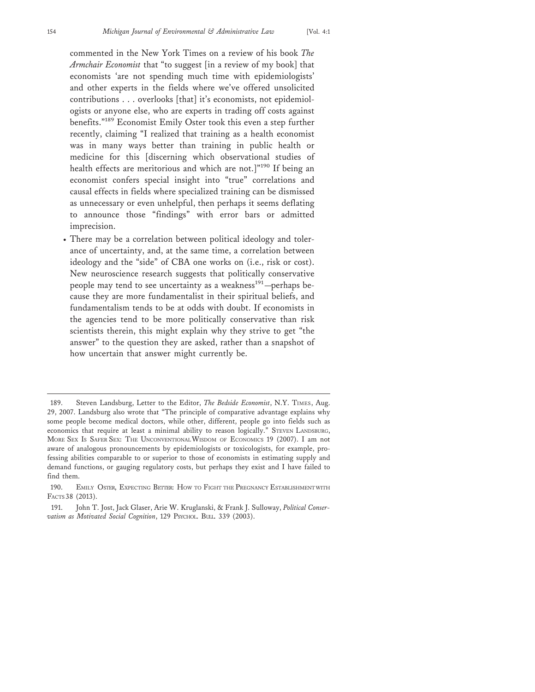commented in the New York Times on a review of his book *The Armchair Economist* that "to suggest [in a review of my book] that economists 'are not spending much time with epidemiologists' and other experts in the fields where we've offered unsolicited contributions . . . overlooks [that] it's economists, not epidemiologists or anyone else, who are experts in trading off costs against benefits."189 Economist Emily Oster took this even a step further recently, claiming "I realized that training as a health economist was in many ways better than training in public health or medicine for this [discerning which observational studies of health effects are meritorious and which are not.]"<sup>190</sup> If being an economist confers special insight into "true" correlations and causal effects in fields where specialized training can be dismissed as unnecessary or even unhelpful, then perhaps it seems deflating to announce those "findings" with error bars or admitted imprecision.

• There may be a correlation between political ideology and tolerance of uncertainty, and, at the same time, a correlation between ideology and the "side" of CBA one works on (i.e., risk or cost). New neuroscience research suggests that politically conservative people may tend to see uncertainty as a weakness<sup>191</sup>—perhaps because they are more fundamentalist in their spiritual beliefs, and fundamentalism tends to be at odds with doubt. If economists in the agencies tend to be more politically conservative than risk scientists therein, this might explain why they strive to get "the answer" to the question they are asked, rather than a snapshot of how uncertain that answer might currently be.

<sup>189.</sup> Steven Landsburg, Letter to the Editor, *The Bedside Economist*, N.Y. TIMES, Aug. 29, 2007. Landsburg also wrote that "The principle of comparative advantage explains why some people become medical doctors, while other, different, people go into fields such as economics that require at least a minimal ability to reason logically." STEVEN LANDSBURG, MORE SEX IS SAFER SEX: THE UNCONVENTIONAL WISDOM OF ECONOMICS 19 (2007). I am not aware of analogous pronouncements by epidemiologists or toxicologists, for example, professing abilities comparable to or superior to those of economists in estimating supply and demand functions, or gauging regulatory costs, but perhaps they exist and I have failed to find them.

<sup>190.</sup> EMILY OSTER, EXPECTING BETTER: HOW TO FIGHT THE PREGNANCY ESTABLISHMENT WITH FACTS 38 (2013).

<sup>191.</sup> John T. Jost, Jack Glaser, Arie W. Kruglanski, & Frank J. Sulloway, *Political Conservatism as Motivated Social Cognition*, 129 PSYCHOL. BULL. 339 (2003).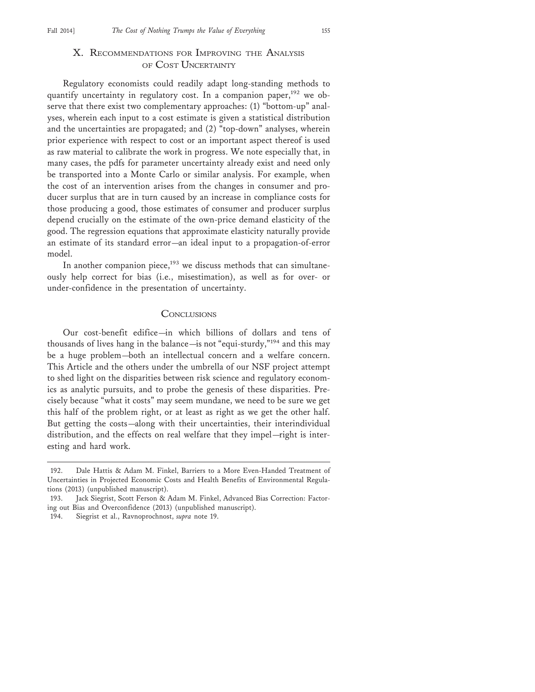## X. RECOMMENDATIONS FOR IMPROVING THE ANALYSIS OF COST UNCERTAINTY

Regulatory economists could readily adapt long-standing methods to quantify uncertainty in regulatory cost. In a companion paper,<sup>192</sup> we observe that there exist two complementary approaches: (1) "bottom-up" analyses, wherein each input to a cost estimate is given a statistical distribution and the uncertainties are propagated; and (2) "top-down" analyses, wherein prior experience with respect to cost or an important aspect thereof is used as raw material to calibrate the work in progress. We note especially that, in many cases, the pdfs for parameter uncertainty already exist and need only be transported into a Monte Carlo or similar analysis. For example, when the cost of an intervention arises from the changes in consumer and producer surplus that are in turn caused by an increase in compliance costs for those producing a good, those estimates of consumer and producer surplus depend crucially on the estimate of the own-price demand elasticity of the good. The regression equations that approximate elasticity naturally provide an estimate of its standard error—an ideal input to a propagation-of-error model.

In another companion piece,<sup>193</sup> we discuss methods that can simultaneously help correct for bias (i.e., misestimation), as well as for over- or under-confidence in the presentation of uncertainty.

#### **CONCLUSIONS**

Our cost-benefit edifice—in which billions of dollars and tens of thousands of lives hang in the balance—is not "equi-sturdy,"194 and this may be a huge problem—both an intellectual concern and a welfare concern. This Article and the others under the umbrella of our NSF project attempt to shed light on the disparities between risk science and regulatory economics as analytic pursuits, and to probe the genesis of these disparities. Precisely because "what it costs" may seem mundane, we need to be sure we get this half of the problem right, or at least as right as we get the other half. But getting the costs—along with their uncertainties, their interindividual distribution, and the effects on real welfare that they impel—right is interesting and hard work.

<sup>192.</sup> Dale Hattis & Adam M. Finkel, Barriers to a More Even-Handed Treatment of Uncertainties in Projected Economic Costs and Health Benefits of Environmental Regulations (2013) (unpublished manuscript).

<sup>193.</sup> Jack Siegrist, Scott Ferson & Adam M. Finkel, Advanced Bias Correction: Factoring out Bias and Overconfidence (2013) (unpublished manuscript).

<sup>194.</sup> Siegrist et al., Ravnoprochnost, *supra* note 19.